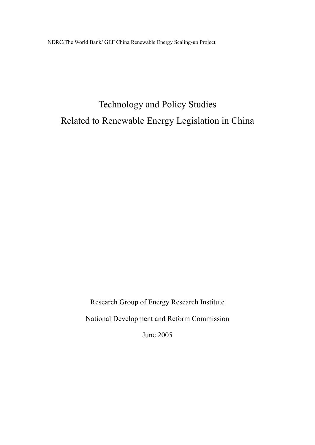# Technology and Policy Studies Related to Renewable Energy Legislation in China

Research Group of Energy Research Institute National Development and Reform Commission June 2005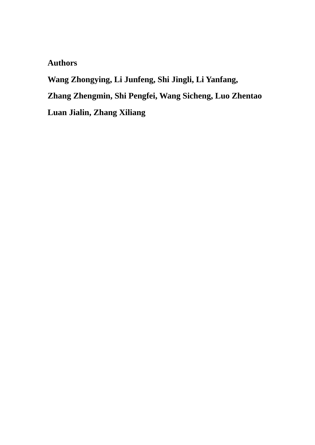# **Authors**

**Wang Zhongying, Li Junfeng, Shi Jingli, Li Yanfang, Zhang Zhengmin, Shi Pengfei, Wang Sicheng, Luo Zhentao Luan Jialin, Zhang Xiliang**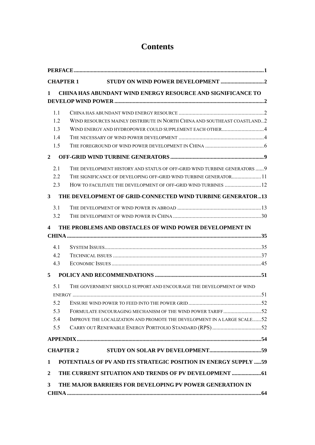# **Contents**

|                |            | <b>CHAPTER 1</b> |                                                                           |  |
|----------------|------------|------------------|---------------------------------------------------------------------------|--|
| 1              |            |                  | <b>CHINA HAS ABUNDANT WIND ENERGY RESOURCE AND SIGNIFICANCE TO</b>        |  |
|                |            |                  |                                                                           |  |
|                | 1.1        |                  |                                                                           |  |
|                | 1.2        |                  | WIND RESOURCES MAINLY DISTRIBUTE IN NORTH CHINA AND SOUTHEAST COASTLAND2  |  |
|                | 1.3        |                  | WIND ENERGY AND HYDROPOWER COULD SUPPLEMENT EACH OTHER4                   |  |
|                | 1.4        |                  |                                                                           |  |
|                | 1.5        |                  |                                                                           |  |
| $\overline{2}$ |            |                  |                                                                           |  |
|                | 2.1        |                  | THE DEVELOPMENT HISTORY AND STATUS OF OFF-GRID WIND TURBINE GENERATORS  9 |  |
|                | 2.2        |                  | THE SIGNIFICANCE OF DEVELOPING OFF-GRID WIND TURBINE GENERATOR11          |  |
|                | 2.3        |                  | HOW TO FACILITATE THE DEVELOPMENT OF OFF-GRID WIND TURBINES  12           |  |
| $\mathbf{3}$   |            |                  | THE DEVELOPMENT OF GRID-CONNECTED WIND TURBINE GENERATOR13                |  |
|                | 3.1        |                  |                                                                           |  |
|                | 3.2        |                  |                                                                           |  |
| 4              |            |                  | THE PROBLEMS AND OBSTACLES OF WIND POWER DEVELOPMENT IN                   |  |
|                |            |                  |                                                                           |  |
|                |            |                  |                                                                           |  |
|                | 4.1        |                  |                                                                           |  |
|                | 4.2<br>4.3 |                  |                                                                           |  |
|                |            |                  |                                                                           |  |
| 5              |            |                  |                                                                           |  |
|                | 5.1        |                  | THE GOVERNMENT SHOULD SUPPORT AND ENCOURAGE THE DEVELOPMENT OF WIND       |  |
|                |            |                  |                                                                           |  |
|                | 5.2        |                  |                                                                           |  |
|                | 5.3        |                  |                                                                           |  |
|                | 5.4        |                  | IMPROVE THE LOCALIZATION AND PROMOTE THE DEVELOPMENT IN A LARGE SCALE52   |  |
|                | 5.5        |                  |                                                                           |  |
|                |            |                  |                                                                           |  |
|                |            | <b>CHAPTER 2</b> |                                                                           |  |
| 1              |            |                  | POTENTIALS OF PV AND ITS STRATEGIC POSITION IN ENERGY SUPPLY 59           |  |
| $\mathbf{2}$   |            |                  |                                                                           |  |
| 3              |            |                  | THE MAJOR BARRIERS FOR DEVELOPING PV POWER GENERATION IN                  |  |
|                |            |                  |                                                                           |  |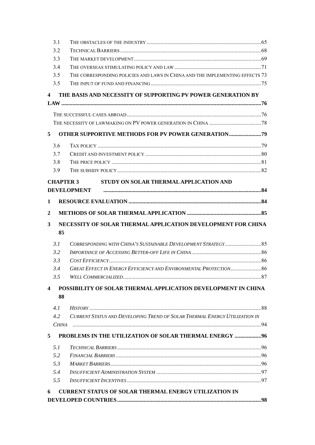| 3.1              |                                                                              |  |
|------------------|------------------------------------------------------------------------------|--|
| 3.2              |                                                                              |  |
| 3.3              |                                                                              |  |
| 3.4              |                                                                              |  |
| 3.5              | THE CORRESPONDING POLICIES AND LAWS IN CHINA AND THE IMPLEMENTING EFFECTS 73 |  |
| 3.5              |                                                                              |  |
| 4                | THE BASIS AND NECESSITY OF SUPPORTING PV POWER GENERATION BY                 |  |
|                  |                                                                              |  |
|                  |                                                                              |  |
|                  |                                                                              |  |
| 5                | <b>OTHER SUPPORTIVE METHODS FOR PV POWER GENERATION? 9</b>                   |  |
| 3.6              |                                                                              |  |
| 3.7              |                                                                              |  |
| 3.8              |                                                                              |  |
| 3.9              |                                                                              |  |
| <b>CHAPTER 3</b> | STUDY ON SOLAR THERMAL APPLICATION AND                                       |  |
|                  | <b>DEVELOPMENT</b>                                                           |  |
| 1                |                                                                              |  |
| $\mathbf{2}$     |                                                                              |  |
| 3<br>85          | NECESSITY OF SOLAR THERMAL APPLICATION DEVELOPMENT FOR CHINA                 |  |
| 3.1              |                                                                              |  |
| 3.2              |                                                                              |  |
| 3.3              |                                                                              |  |
| 3.4              | <b>GREAT EFFECT IN ENERGY EFFICIENCY AND ENVIRONMENTAL PROTECTION 86</b>     |  |
|                  |                                                                              |  |
| 3.5              |                                                                              |  |
| 4<br>88          | POSSIBILITY OF SOLAR THERMAL APPLICATION DEVELOPMENT IN CHINA                |  |
| 4.1              | $H$ <i>ISTORY</i> 88                                                         |  |
| 4.2              | CURRENT STATUS AND DEVELOPING TREND OF SOLAR THERMAL ENERGY UTILIZATION IN   |  |
| CHINA            |                                                                              |  |
| 5                | PROBLEMS IN THE UTILIZATION OF SOLAR THERMAL ENERGY  96                      |  |
|                  |                                                                              |  |
| 5.1<br>5.2       |                                                                              |  |
| 5.3              |                                                                              |  |
| 5.4              |                                                                              |  |
| 5.5              |                                                                              |  |
| 6                | <b>CURRENT STATUS OF SOLAR THERMAL ENERGY UTILIZATION IN</b>                 |  |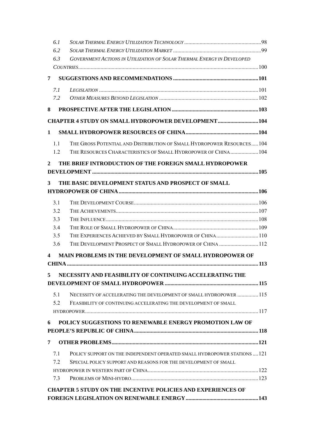| 6.1 |                                                                               |  |
|-----|-------------------------------------------------------------------------------|--|
| 6.2 |                                                                               |  |
| 6.3 | <b>GOVERNMENT ACTIONS IN UTILIZATION OF SOLAR THERMAL ENERGY IN DEVELOPED</b> |  |
|     |                                                                               |  |
| 7   |                                                                               |  |
| 7.1 |                                                                               |  |
| 7.2 |                                                                               |  |
| 8   |                                                                               |  |
|     | <b>CHAPTER 4 STUDY ON SMALL HYDROPOWER DEVELOPMENT104</b>                     |  |
| 1   |                                                                               |  |
| 1.1 | THE GROSS POTENTIAL AND DISTRIBUTION OF SMALL HYDROPOWER RESOURCES104         |  |
| 1.2 | THE RESOURCES CHARACTERISTICS OF SMALL HYDROPOWER OF CHINA 104                |  |
| 2   | THE BRIEF INTRODUCTION OF THE FOREIGN SMALL HYDROPOWER                        |  |
|     |                                                                               |  |
| 3   | THE BASIC DEVELOPMENT STATUS AND PROSPECT OF SMALL                            |  |
|     |                                                                               |  |
| 3.1 |                                                                               |  |
| 3.2 |                                                                               |  |
| 3.3 |                                                                               |  |
| 3.4 |                                                                               |  |
| 3.5 | THE EXPERIENCES ACHIEVED BY SMALL HYDROPOWER OF CHINA 110                     |  |
| 3.6 | THE DEVELOPMENT PROSPECT OF SMALL HYDROPOWER OF CHINA  112                    |  |
| 4   | <b>MAIN PROBLEMS IN THE DEVELOPMENT OF SMALL HYDROPOWER OF</b>                |  |
|     |                                                                               |  |
|     | 5 NECESSITY AND FEASIBILITY OF CONTINUING ACCELERATING THE                    |  |
|     |                                                                               |  |
| 5.1 | NECESSITY OF ACCELERATING THE DEVELOPMENT OF SMALL HYDROPOWER  115            |  |
| 5.2 | FEASIBILITY OF CONTINUING ACCELERATING THE DEVELOPMENT OF SMALL               |  |
|     |                                                                               |  |
| 6   | POLICY SUGGESTIONS TO RENEWABLE ENERGY PROMOTION LAW OF                       |  |
|     |                                                                               |  |
| 7   |                                                                               |  |
|     |                                                                               |  |
| 7.1 | POLICY SUPPORT ON THE INDEPENDENT OPERATED SMALL HYDROPOWER STATIONS  121     |  |
| 7.2 | SPECIAL POLICY SUPPORT AND REASONS FOR THE DEVELOPMENT OF SMALL               |  |
| 7.3 |                                                                               |  |
|     |                                                                               |  |
|     | <b>CHAPTER 5 STUDY ON THE INCENTIVE POLICIES AND EXPERIENCES OF</b>           |  |
|     |                                                                               |  |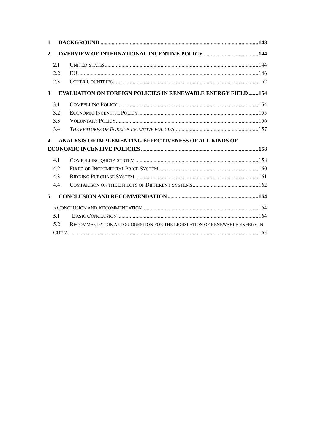| $\mathbf{1}$     |     |                                                                          |  |
|------------------|-----|--------------------------------------------------------------------------|--|
| $\mathbf{2}$     |     |                                                                          |  |
|                  | 21  |                                                                          |  |
|                  | 22  |                                                                          |  |
|                  | 2.3 |                                                                          |  |
| 3                |     | <b>EVALUATION ON FOREIGN POLICIES IN RENEWABLE ENERGY FIELD154</b>       |  |
|                  | 3.1 |                                                                          |  |
|                  | 3.2 |                                                                          |  |
|                  | 3.3 |                                                                          |  |
|                  | 3.4 |                                                                          |  |
| $\blacktriangle$ |     | ANALYSIS OF IMPLEMENTING EFFECTIVENESS OF ALL KINDS OF                   |  |
|                  |     |                                                                          |  |
|                  | 4.1 |                                                                          |  |
|                  | 42  |                                                                          |  |
|                  | 4.3 |                                                                          |  |
|                  | 44  |                                                                          |  |
| 5                |     |                                                                          |  |
|                  |     |                                                                          |  |
|                  | 51  |                                                                          |  |
|                  | 52  | RECOMMENDATION AND SUGGESTION FOR THE LEGISLATION OF RENEWABLE ENERGY IN |  |
|                  |     |                                                                          |  |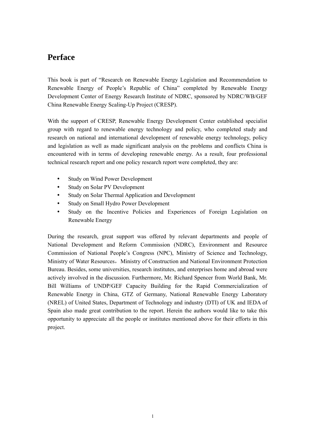## <span id="page-6-0"></span>**Perface**

This book is part of "Research on Renewable Energy Legislation and Recommendation to Renewable Energy of People's Republic of China" completed by Renewable Energy Development Center of Energy Research Institute of NDRC, sponsored by NDRC/WB/GEF China Renewable Energy Scaling-Up Project (CRESP).

With the support of CRESP, Renewable Energy Development Center established specialist group with regard to renewable energy technology and policy, who completed study and research on national and international development of renewable energy technology, policy and legislation as well as made significant analysis on the problems and conflicts China is encountered with in terms of developing renewable energy. As a result, four professional technical research report and one policy research report were completed, they are:

- Study on Wind Power Development
- Study on Solar PV Development
- Study on Solar Thermal Application and Development
- Study on Small Hydro Power Development
- Study on the Incentive Policies and Experiences of Foreign Legislation on Renewable Energy

During the research, great support was offered by relevant departments and people of National Development and Reform Commission (NDRC), Environment and Resource Commission of National People's Congress (NPC), Ministry of Science and Technology, Ministry of Water Resources, Ministry of Construction and National Environment Protection Bureau. Besides, some universities, research institutes, and enterprises home and abroad were actively involved in the discussion. Furthermore, Mr. Richard Spencer from World Bank, Mr. Bill Williams of UNDP/GEF Capacity Building for the Rapid Commercialization of Renewable Energy in China, GTZ of Germany, National Renewable Energy Laboratory (NREL) of United States, Department of Technology and industry (DTI) of UK and IEDA of Spain also made great contribution to the report. Herein the authors would like to take this opportunity to appreciate all the people or institutes mentioned above for their efforts in this project.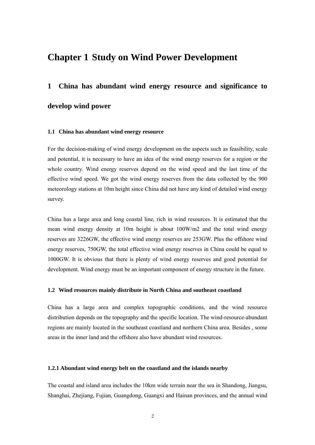## <span id="page-7-0"></span>**Chapter 1 Study on Wind Power Development**

# **1 China has abundant wind energy resource and significance to develop wind power**

#### **1.1 China has abundant wind energy resource**

For the decision-making of wind energy development on the aspects such as feasibility, scale and potential, it is necessary to have an idea of the wind energy reserves for a region or the whole country. Wind energy reserves depend on the wind speed and the last time of the effective wind speed. We got the wind energy reserves from the data collected by the 900 meteorology stations at 10m height since China did not have any kind of detailed wind energy survey.

China has a large area and long coastal line, rich in wind resources. It is estimated that the mean wind energy density at 10m height is about 100W/m2 and the total wind energy reserves are 3226GW, the effective wind energy reserves are 253GW. Plus the offshore wind energy reserves, 750GW, the total effective wind energy reserves in China could be equal to 1000GW. It is obvious that there is plenty of wind energy reserves and good potential for development. Wind energy must be an important component of energy structure in the future.

#### **1.2 Wind resources mainly distribute in North China and southeast coastland**

China has a large area and complex topographic conditions, and the wind resource distribution depends on the topography and the specific location. The wind-resource-abundant regions are mainly located in the southeast coastland and northern China area. Besides , some areas in the inner land and the offshore also have abundant wind resources.

### **1.2.1 Abundant wind energy belt on the coastland and the islands nearby**

The coastal and island area includes the 10km wide terrain near the sea in Shandong, Jiangsu, Shanghai, Zhejiang, Fujian, Guangdong, Guangxi and Hainan provinces, and the annual wind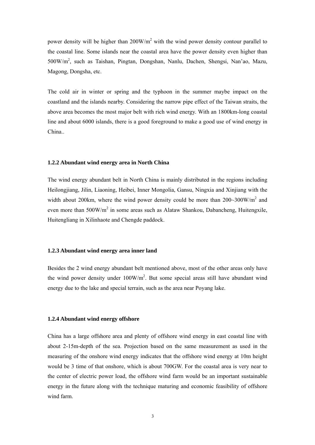power density will be higher than  $200W/m^2$  with the wind power density contour parallel to the coastal line. Some islands near the coastal area have the power density even higher than 500W/m2 , such as Taishan, Pingtan, Dongshan, Nanlu, Dachen, Shengsi, Nan'ao, Mazu, Magong, Dongsha, etc.

The cold air in winter or spring and the typhoon in the summer maybe impact on the coastland and the islands nearby. Considering the narrow pipe effect of the Taiwan straits, the above area becomes the most major belt with rich wind energy. With an 1800km-long coastal line and about 6000 islands, there is a good foreground to make a good use of wind energy in China..

#### **1.2.2 Abundant wind energy area in North China**

The wind energy abundant belt in North China is mainly distributed in the regions including Heilongjiang, Jilin, Liaoning, Heibei, Inner Mongolia, Gansu, Ningxia and Xinjiang with the width about 200km, where the wind power density could be more than  $200~300$ W/m<sup>2</sup> and even more than  $500W/m^2$  in some areas such as Alataw Shankou, Dabancheng, Huitengxile, Huitengliang in Xilinhaote and Chengde paddock.

#### **1.2.3 Abundant wind energy area inner land**

Besides the 2 wind energy abundant belt mentioned above, most of the other areas only have the wind power density under  $100W/m<sup>2</sup>$ . But some special areas still have abundant wind energy due to the lake and special terrain, such as the area near Poyang lake.

#### **1.2.4 Abundant wind energy offshore**

China has a large offshore area and plenty of offshore wind energy in east coastal line with about 2-15m-depth of the sea. Projection based on the same measurement as used in the measuring of the onshore wind energy indicates that the offshore wind energy at 10m height would be 3 time of that onshore, which is about 700GW. For the coastal area is very near to the center of electric power load, the offshore wind farm would be an important sustainable energy in the future along with the technique maturing and economic feasibility of offshore wind farm.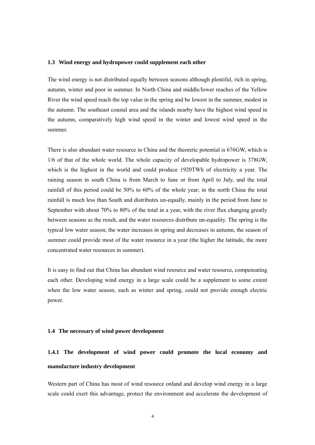#### <span id="page-9-0"></span>**1.3 Wind energy and hydropower could supplement each other**

The wind energy is not distributed equally between seasons although plentiful, rich in spring, autumn, winter and poor in summer. In North China and middle/lower reaches of the Yellow River the wind speed reach the top value in the spring and be lowest in the summer, modest in the autumn. The southeast coastal area and the islands nearby have the highest wind speed in the autumn, comparatively high wind speed in the winter and lowest wind speed in the summer.

There is also abundant water resource in China and the theoretic potential is 676GW, which is 1/6 of that of the whole world. The whole capacity of developable hydropower is 378GW, which is the highest in the world and could produce 1920TWh of electricity a year. The raining season in south China is from March to June or from April to July, and the total rainfall of this period could be 50% to 60% of the whole year; in the north China the total rainfall is much less than South and distributes un-equally, mainly in the period from June to September with about 70% to 80% of the total in a year, with the river flux changing greatly between seasons as the result, and the water resources distribute un-equality. The spring is the typical low water season; the water increases in spring and decreases in autumn, the season of summer could provide most of the water resource in a year (the higher the latitude, the more concentrated water resources in summer).

It is easy to find out that China has abundant wind resource and water resource, compensating each other. Developing wind energy in a large scale could be a supplement to some extent when the low water season, such as winter and spring, could not provide enough electric power.

#### **1.4 The necessary of wind power development**

# **1.4.1 The development of wind power could promote the local economy and manufacture industry development**

Western part of China has most of wind resource onland and develop wind energy in a large scale could exert this advantage, protect the environment and accelerate the development of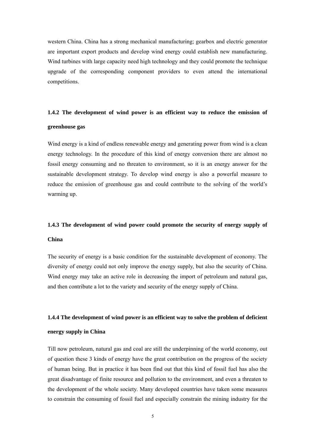western China. China has a strong mechanical manufacturing; gearbox and electric generator are important export products and develop wind energy could establish new manufacturing. Wind turbines with large capacity need high technology and they could promote the technique upgrade of the corresponding component providers to even attend the international competitions.

# **1.4.2 The development of wind power is an efficient way to reduce the emission of greenhouse gas**

Wind energy is a kind of endless renewable energy and generating power from wind is a clean energy technology. In the procedure of this kind of energy conversion there are almost no fossil energy consuming and no threaten to environment, so it is an energy answer for the sustainable development strategy. To develop wind energy is also a powerful measure to reduce the emission of greenhouse gas and could contribute to the solving of the world's warming up.

# **1.4.3 The development of wind power could promote the security of energy supply of**

### **China**

The security of energy is a basic condition for the sustainable development of economy. The diversity of energy could not only improve the energy supply, but also the security of China. Wind energy may take an active role in decreasing the import of petroleum and natural gas, and then contribute a lot to the variety and security of the energy supply of China.

#### **1.4.4 The development of wind power is an efficient way to solve the problem of deficient**

#### **energy supply in China**

Till now petroleum, natural gas and coal are still the underpinning of the world economy, out of question these 3 kinds of energy have the great contribution on the progress of the society of human being. But in practice it has been find out that this kind of fossil fuel has also the great disadvantage of finite resource and pollution to the environment, and even a threaten to the development of the whole society. Many developed countries have taken some measures to constrain the consuming of fossil fuel and especially constrain the mining industry for the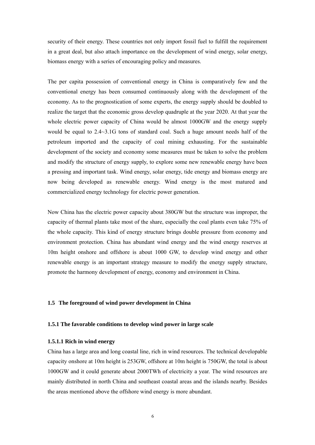<span id="page-11-0"></span>security of their energy. These countries not only import fossil fuel to fulfill the requirement in a great deal, but also attach importance on the development of wind energy, solar energy, biomass energy with a series of encouraging policy and measures.

The per capita possession of conventional energy in China is comparatively few and the conventional energy has been consumed continuously along with the development of the economy. As to the prognostication of some experts, the energy supply should be doubled to realize the target that the economic gross develop quadruple at the year 2020. At that year the whole electric power capacity of China would be almost 1000GW and the energy supply would be equal to 2.4~3.1G tons of standard coal. Such a huge amount needs half of the petroleum imported and the capacity of coal mining exhausting. For the sustainable development of the society and economy some measures must be taken to solve the problem and modify the structure of energy supply, to explore some new renewable energy have been a pressing and important task. Wind energy, solar energy, tide energy and biomass energy are now being developed as renewable energy. Wind energy is the most matured and commercialized energy technology for electric power generation.

Now China has the electric power capacity about 380GW but the structure was improper, the capacity of thermal plants take most of the share, especially the coal plants even take 75% of the whole capacity. This kind of energy structure brings double pressure from economy and environment protection. China has abundant wind energy and the wind energy reserves at 10m height onshore and offshore is about 1000 GW, to develop wind energy and other renewable energy is an important strategy measure to modify the energy supply structure, promote the harmony development of energy, economy and environment in China.

#### **1.5 The foreground of wind power development in China**

#### **1.5.1 The favorable conditions to develop wind power in large scale**

#### **1.5.1.1 Rich in wind energy**

China has a large area and long coastal line, rich in wind resources. The technical developable capacity onshore at 10m height is 253GW, offshore at 10m height is 750GW, the total is about 1000GW and it could generate about 2000TWh of electricity a year. The wind resources are mainly distributed in north China and southeast coastal areas and the islands nearby. Besides the areas mentioned above the offshore wind energy is more abundant.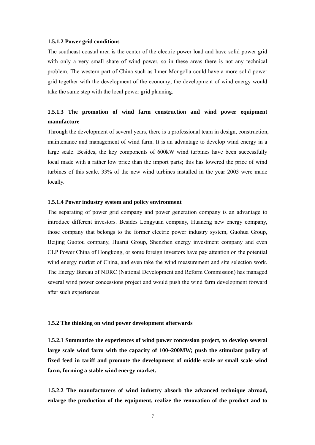#### **1.5.1.2 Power grid conditions**

The southeast coastal area is the center of the electric power load and have solid power grid with only a very small share of wind power, so in these areas there is not any technical problem. The western part of China such as Inner Mongolia could have a more solid power grid together with the development of the economy; the development of wind energy would take the same step with the local power grid planning.

### **1.5.1.3 The promotion of wind farm construction and wind power equipment manufacture**

Through the development of several years, there is a professional team in design, construction, maintenance and management of wind farm. It is an advantage to develop wind energy in a large scale. Besides, the key components of 600kW wind turbines have been successfully local made with a rather low price than the import parts; this has lowered the price of wind turbines of this scale. 33% of the new wind turbines installed in the year 2003 were made locally.

#### **1.5.1.4 Power industry system and policy environment**

The separating of power grid company and power generation company is an advantage to introduce different investors. Besides Longyuan company, Huaneng new energy company, those company that belongs to the former electric power industry system, Guohua Group, Beijing Guotou company, Huarui Group, Shenzhen energy investment company and even CLP Power China of Hongkong, or some foreign investors have pay attention on the potential wind energy market of China, and even take the wind measurement and site selection work. The Energy Bureau of NDRC (National Development and Reform Commission) has managed several wind power concessions project and would push the wind farm development forward after such experiences.

#### **1.5.2 The thinking on wind power development afterwards**

**1.5.2.1 Summarize the experiences of wind power concession project, to develop several large scale wind farm with the capacity of 100~200MW; push the stimulant policy of fixed feed in tariff and promote the development of middle scale or small scale wind farm, forming a stable wind energy market.** 

**1.5.2.2 The manufacturers of wind industry absorb the advanced technique abroad, enlarge the production of the equipment, realize the renovation of the product and to**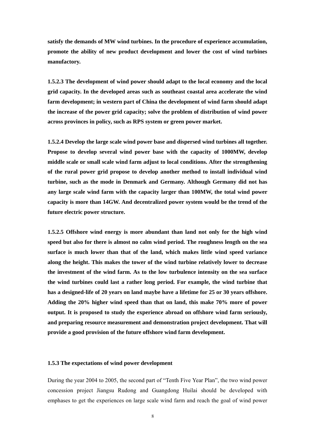**satisfy the demands of MW wind turbines. In the procedure of experience accumulation, promote the ability of new product development and lower the cost of wind turbines manufactory.** 

**1.5.2.3 The development of wind power should adapt to the local economy and the local grid capacity. In the developed areas such as southeast coastal area accelerate the wind farm development; in western part of China the development of wind farm should adapt the increase of the power grid capacity; solve the problem of distribution of wind power across provinces in policy, such as RPS system or green power market.** 

**1.5.2.4 Develop the large scale wind power base and dispersed wind turbines all together. Propose to develop several wind power base with the capacity of 1000MW, develop middle scale or small scale wind farm adjust to local conditions. After the strengthening of the rural power grid propose to develop another method to install individual wind turbine, such as the mode in Denmark and Germany. Although Germany did not has any large scale wind farm with the capacity larger than 100MW, the total wind power capacity is more than 14GW. And decentralized power system would be the trend of the future electric power structure.** 

**1.5.2.5 Offshore wind energy is more abundant than land not only for the high wind speed but also for there is almost no calm wind period. The roughness length on the sea surface is much lower than that of the land, which makes little wind speed variance along the height. This makes the tower of the wind turbine relatively lower to decrease the investment of the wind farm. As to the low turbulence intensity on the sea surface the wind turbines could last a rather long period. For example, the wind turbine that has a designed-life of 20 years on land maybe have a lifetime for 25 or 30 years offshore. Adding the 20% higher wind speed than that on land, this make 70% more of power output. It is proposed to study the experience abroad on offshore wind farm seriously, and preparing resource measurement and demonstration project development. That will provide a good provision of the future offshore wind farm development.** 

#### **1.5.3 The expectations of wind power development**

During the year 2004 to 2005, the second part of "Tenth Five Year Plan", the two wind power concession project Jiangsu Rudong and Guangdong Huilai should be developed with emphases to get the experiences on large scale wind farm and reach the goal of wind power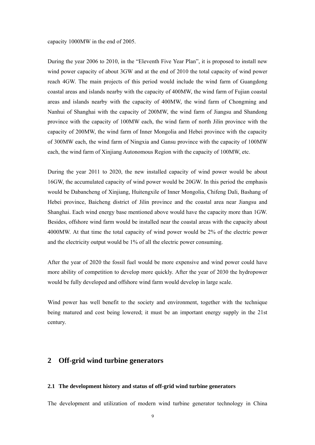<span id="page-14-0"></span>capacity 1000MW in the end of 2005.

During the year 2006 to 2010, in the "Eleventh Five Year Plan", it is proposed to install new wind power capacity of about 3GW and at the end of 2010 the total capacity of wind power reach 4GW. The main projects of this period would include the wind farm of Guangdong coastal areas and islands nearby with the capacity of 400MW, the wind farm of Fujian coastal areas and islands nearby with the capacity of 400MW, the wind farm of Chongming and Nanhui of Shanghai with the capacity of 200MW, the wind farm of Jiangsu and Shandong province with the capacity of 100MW each, the wind farm of north Jilin province with the capacity of 200MW, the wind farm of Inner Mongolia and Hebei province with the capacity of 300MW each, the wind farm of Ningxia and Gansu province with the capacity of 100MW each, the wind farm of Xinjiang Autonomous Region with the capacity of 100MW, etc.

During the year 2011 to 2020, the new installed capacity of wind power would be about 16GW, the accumulated capacity of wind power would be 20GW. In this period the emphasis would be Dabancheng of Xinjiang, Huitengxile of Inner Mongolia, Chifeng Dali, Bashang of Hebei province, Baicheng district of Jilin province and the coastal area near Jiangsu and Shanghai. Each wind energy base mentioned above would have the capacity more than 1GW. Besides, offshore wind farm would be installed near the coastal areas with the capacity about 4000MW. At that time the total capacity of wind power would be 2% of the electric power and the electricity output would be 1% of all the electric power consuming.

After the year of 2020 the fossil fuel would be more expensive and wind power could have more ability of competition to develop more quickly. After the year of 2030 the hydropower would be fully developed and offshore wind farm would develop in large scale.

Wind power has well benefit to the society and environment, together with the technique being matured and cost being lowered; it must be an important energy supply in the 21st century.

### **2 Off-grid wind turbine generators**

### **2.1 The development history and status of off-grid wind turbine generators**

The development and utilization of modern wind turbine generator technology in China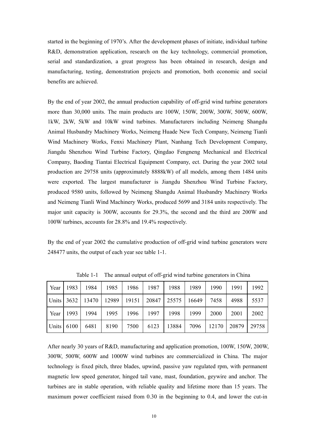started in the beginning of 1970's. After the development phases of initiate, individual turbine R&D, demonstration application, research on the key technology, commercial promotion, serial and standardization, a great progress has been obtained in research, design and manufacturing, testing, demonstration projects and promotion, both economic and social benefits are achieved.

By the end of year 2002, the annual production capability of off-grid wind turbine generators more than 30,000 units. The main products are 100W, 150W, 200W, 300W, 500W, 600W, 1kW, 2kW, 5kW and 10kW wind turbines. Manufacturers including Neimeng Shangdu Animal Husbandry Machinery Works, Neimeng Huade New Tech Company, Neimeng Tianli Wind Machinery Works, Fenxi Machinery Plant, Nanhang Tech Development Company, Jiangdu Shenzhou Wind Turbine Factory, Qingdao Fengneng Mechanical and Electrical Company, Baoding Tiantai Electrical Equipment Company, ect. During the year 2002 total production are 29758 units (approximately 8888kW) of all models, among them 1484 units were exported. The largest manufacturer is Jiangdu Shenzhou Wind Turbine Factory, produced 9580 units, followed by Neimeng Shangdu Animal Husbandry Machinery Works and Neimeng Tianli Wind Machinery Works, produced 5699 and 3184 units respectively. The major unit capacity is 300W, accounts for 29.3%, the second and the third are 200W and 100W turbines, accounts for 28.8% and 19.4% respectively.

By the end of year 2002 the cumulative production of off-grid wind turbine generators were 248477 units, the output of each year see table 1-1.

| Year  | 1983 | 1984  | 1985  | 1986  | 1987  | 1988  | 1989  | 1990  | 1991  | 1992  |
|-------|------|-------|-------|-------|-------|-------|-------|-------|-------|-------|
| Units | 3632 | 13470 | 12989 | 19151 | 20847 | 25575 | 16649 | 7458  | 4988  | 5537  |
| Year  | 1993 | 1994  | 1995  | 1996  | 1997  | 1998  | 1999  | 2000  | 2001  | 2002  |
| Units | 6100 | 6481  | 8190  | 7500  | 6123  | 13884 | 7096  | 12170 | 20879 | 29758 |

Table 1-1 The annual output of off-grid wind turbine generators in China

After nearly 30 years of R&D, manufacturing and application promotion, 100W, 150W, 200W, 300W, 500W, 600W and 1000W wind turbines are commercialized in China. The major technology is fixed pitch, three blades, upwind, passive yaw regulated rpm, with permanent magnetic low speed generator, hinged tail vane, mast, foundation, geywire and anchor. The turbines are in stable operation, with reliable quality and lifetime more than 15 years. The maximum power coefficient raised from 0.30 in the beginning to 0.4, and lower the cut-in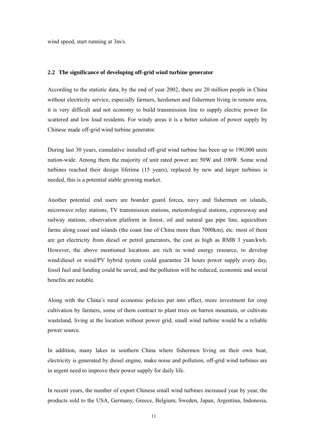<span id="page-16-0"></span>wind speed, start running at 3m/s.

#### **2.2 The significance of developing off-grid wind turbine generator**

According to the statistic data, by the end of year 2002, there are 20 million people in China without electricity service, especially farmers, herdsmen and fishermen living in remote area, it is very difficult and not economy to build transmission line to supply electric power for scattered and low load residents. For windy areas it is a better solution of power supply by Chinese made off-grid wind turbine generator.

During last 30 years, cumulative installed off-grid wind turbine has been up to 190,000 units nation-wide. Among them the majority of unit rated power are 50W and 100W. Some wind turbines reached their design lifetime (15 years), replaced by new and larger turbines is needed, this is a potential stable growing market.

Another potential end users are boarder guard forces, navy and fishermen on islands, microwave relay stations, TV transmission stations, meteorological stations, expressway and railway stations, observation platform in forest, oil and natural gas pipe line, aquiculture farms along coast and islands (the coast line of China more than 7000km), etc. most of them are get electricity from diesel or petrol generators, the cost as high as RMB 3 yuan/kwh. However, the above mentioned locations are rich in wind energy resource, to develop wind/diesel or wind/PV hybrid system could guarantee 24 hours power supply every day, fossil fuel and funding could be saved, and the pollution will be reduced, economic and social benefits are notable.

Along with the China's rural economic policies put into effect, more investment for crop cultivation by farmers, some of them contract to plant trees on barren mountain, or cultivate wasteland, living at the location without power grid, small wind turbine would be a reliable power source.

In addition, many lakes in southern China where fishermen living on their own boat, electricity is generated by diesel engine, make noise and pollution, off-grid wind turbines are in urgent need to improve their power supply for daily life.

In recent years, the number of export Chinese small wind turbines increased year by year, the products sold to the USA, Germany, Greece, Belgium, Sweden, Japan, Argentina, Indonesia,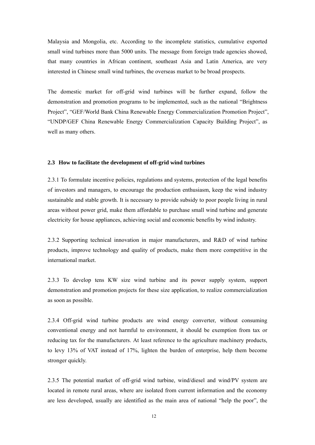<span id="page-17-0"></span>Malaysia and Mongolia, etc. According to the incomplete statistics, cumulative exported small wind turbines more than 5000 units. The message from foreign trade agencies showed, that many countries in African continent, southeast Asia and Latin America, are very interested in Chinese small wind turbines, the overseas market to be broad prospects.

The domestic market for off-grid wind turbines will be further expand, follow the demonstration and promotion programs to be implemented, such as the national "Brightness Project", "GEF/World Bank China Renewable Energy Commercialization Promotion Project", "UNDP/GEF China Renewable Energy Commercialization Capacity Building Project", as well as many others.

#### **2.3 How to facilitate the development of off-grid wind turbines**

2.3.1 To formulate incentive policies, regulations and systems, protection of the legal benefits of investors and managers, to encourage the production enthusiasm, keep the wind industry sustainable and stable growth. It is necessary to provide subsidy to poor people living in rural areas without power grid, make them affordable to purchase small wind turbine and generate electricity for house appliances, achieving social and economic benefits by wind industry.

2.3.2 Supporting technical innovation in major manufacturers, and R&D of wind turbine products, improve technology and quality of products, make them more competitive in the international market.

2.3.3 To develop tens KW size wind turbine and its power supply system, support demonstration and promotion projects for these size application, to realize commercialization as soon as possible.

2.3.4 Off-grid wind turbine products are wind energy converter, without consuming conventional energy and not harmful to environment, it should be exemption from tax or reducing tax for the manufacturers. At least reference to the agriculture machinery products, to levy 13% of VAT instead of 17%, lighten the burden of enterprise, help them become stronger quickly.

2.3.5 The potential market of off-grid wind turbine, wind/diesel and wind/PV system are located in remote rural areas, where are isolated from current information and the economy are less developed, usually are identified as the main area of national "help the poor", the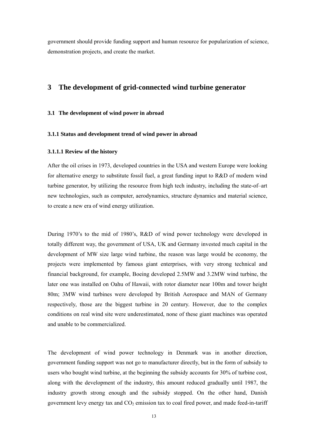government should provide funding support and human resource for popularization of science, demonstration projects, and create the market.

### **3 The development of grid-connected wind turbine generator**

#### **3.1 The development of wind power in abroad**

#### **3.1.1 Status and development trend of wind power in abroad**

#### **3.1.1.1 Review of the history**

After the oil crises in 1973, developed countries in the USA and western Europe were looking for alternative energy to substitute fossil fuel, a great funding input to R&D of modern wind turbine generator, by utilizing the resource from high tech industry, including the state-of–art new technologies, such as computer, aerodynamics, structure dynamics and material science, to create a new era of wind energy utilization.

During 1970's to the mid of 1980's, R&D of wind power technology were developed in totally different way, the government of USA, UK and Germany invested much capital in the development of MW size large wind turbine, the reason was large would be economy, the projects were implemented by famous giant enterprises, with very strong technical and financial background, for example, Boeing developed 2.5MW and 3.2MW wind turbine, the later one was installed on Oahu of Hawaii, with rotor diameter near 100m and tower height 80m; 3MW wind turbines were developed by British Aerospace and MAN of Germany respectively, those are the biggest turbine in 20 century. However, due to the complex conditions on real wind site were underestimated, none of these giant machines was operated and unable to be commercialized.

The development of wind power technology in Denmark was in another direction, government funding support was not go to manufacturer directly, but in the form of subsidy to users who bought wind turbine, at the beginning the subsidy accounts for 30% of turbine cost, along with the development of the industry, this amount reduced gradually until 1987, the industry growth strong enough and the subsidy stopped. On the other hand, Danish government levy energy tax and  $CO<sub>2</sub>$  emission tax to coal fired power, and made feed-in-tariff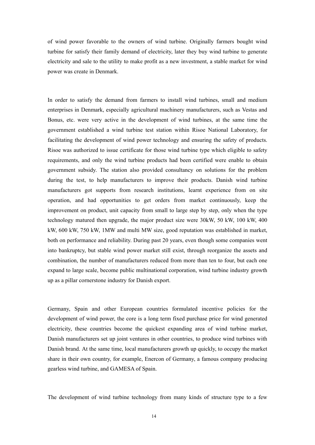of wind power favorable to the owners of wind turbine. Originally farmers bought wind turbine for satisfy their family demand of electricity, later they buy wind turbine to generate electricity and sale to the utility to make profit as a new investment, a stable market for wind power was create in Denmark.

In order to satisfy the demand from farmers to install wind turbines, small and medium enterprises in Denmark, especially agricultural machinery manufacturers, such as Vestas and Bonus, etc. were very active in the development of wind turbines, at the same time the government established a wind turbine test station within Risoe National Laboratory, for facilitating the development of wind power technology and ensuring the safety of products. Risoe was authorized to issue certificate for those wind turbine type which eligible to safety requirements, and only the wind turbine products had been certified were enable to obtain government subsidy. The station also provided consultancy on solutions for the problem during the test, to help manufacturers to improve their products. Danish wind turbine manufacturers got supports from research institutions, learnt experience from on site operation, and had opportunities to get orders from market continuously, keep the improvement on product, unit capacity from small to large step by step, only when the type technology matured then upgrade, the major product size were 30kW, 50 kW, 100 kW, 400 kW, 600 kW, 750 kW, 1MW and multi MW size, good reputation was established in market, both on performance and reliability. During past 20 years, even though some companies went into bankruptcy, but stable wind power market still exist, through reorganize the assets and combination, the number of manufacturers reduced from more than ten to four, but each one expand to large scale, become public multinational corporation, wind turbine industry growth up as a pillar cornerstone industry for Danish export.

Germany, Spain and other European countries formulated incentive policies for the development of wind power, the core is a long term fixed purchase price for wind generated electricity, these countries become the quickest expanding area of wind turbine market, Danish manufacturers set up joint ventures in other countries, to produce wind turbines with Danish brand. At the same time, local manufacturers growth up quickly, to occupy the market share in their own country, for example, Enercon of Germany, a famous company producing gearless wind turbine, and GAMESA of Spain.

The development of wind turbine technology from many kinds of structure type to a few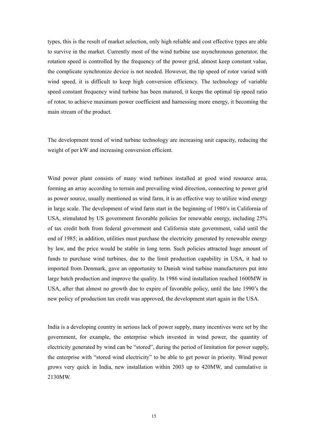types, this is the result of market selection, only high reliable and cost effective types are able to survive in the market. Currently most of the wind turbine use asynchronous generator, the rotation speed is controlled by the frequency of the power grid, almost keep constant value, the complicate synchronize device is not needed. However, the tip speed of rotor varied with wind speed, it is difficult to keep high conversion efficiency. The technology of variable speed constant frequency wind turbine has been matured, it keeps the optimal tip speed ratio of rotor, to achieve maximum power coefficient and harnessing more energy, it becoming the main stream of the product.

The development trend of wind turbine technology are increasing unit capacity, reducing the weight of per kW and increasing conversion efficient.

Wind power plant consists of many wind turbines installed at good wind resource area, forming an array according to terrain and prevailing wind direction, connecting to power grid as power source, usually mentioned as wind farm, it is an effective way to utilize wind energy in large scale. The development of wind farm start in the beginning of 1980's in California of USA, stimulated by US government favorable policies for renewable energy, including 25% of tax credit both from federal government and California state government, valid until the end of 1985; in addition, utilities must purchase the electricity generated by renewable energy by law, and the price would be stable in long term. Such policies attracted huge amount of funds to purchase wind turbines, due to the limit production capability in USA, it had to imported from Denmark, gave an opportunity to Danish wind turbine manufacturers put into large batch production and improve the quality. In 1986 wind installation reached 1600MW in USA, after that almost no growth due to expire of favorable policy, until the late 1990's the new policy of production tax credit was approved, the development start again in the USA.

India is a developing country in serious lack of power supply, many incentives were set by the government, for example, the enterprise which invested in wind power, the quantity of electricity generated by wind can be "stored", during the period of limitation for power supply, the enterprise with "stored wind electricity" to be able to get power in priority. Wind power grows very quick in India, new installation within 2003 up to 420MW, and cumulative is 2130MW.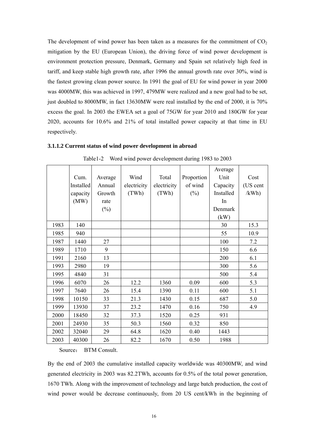The development of wind power has been taken as a measures for the commitment of  $CO<sub>2</sub>$ mitigation by the EU (European Union), the driving force of wind power development is environment protection pressure, Denmark, Germany and Spain set relatively high feed in tariff, and keep stable high growth rate, after 1996 the annual growth rate over 30%, wind is the fastest growing clean power source. In 1991 the goal of EU for wind power in year 2000 was 4000MW, this was achieved in 1997, 479MW were realized and a new goal had to be set, just doubled to 8000MW, in fact 13630MW were real installed by the end of 2000, it is 70% excess the goal. In 2003 the EWEA set a goal of 75GW for year 2010 and 180GW for year 2020, accounts for 10.6% and 21% of total installed power capacity at that time in EU respectively.

#### **3.1.1.2 Current status of wind power development in abroad**

|      |           |         |             |             |            | Average   |          |
|------|-----------|---------|-------------|-------------|------------|-----------|----------|
|      | Cum.      | Average | Wind        | Total       | Proportion | Unit      | Cost     |
|      | Installed | Annual  | electricity | electricity | of wind    | Capacity  | (US cent |
|      | capacity  | Growth  | (TWh)       | (TWh)       | $(\%)$     | Installed | /kWh     |
|      | (MW)      | rate    |             |             |            | In        |          |
|      |           | $(\%)$  |             |             |            | Denmark   |          |
|      |           |         |             |             |            | (kW)      |          |
| 1983 | 140       |         |             |             |            | 30        | 15.3     |
| 1985 | 940       |         |             |             |            | 55        | 10.9     |
| 1987 | 1440      | 27      |             |             |            | 100       | 7.2      |
| 1989 | 1710      | 9       |             |             |            | 150       | 6.6      |
| 1991 | 2160      | 13      |             |             |            | 200       | 6.1      |
| 1993 | 2980      | 19      |             |             |            | 300       | 5.6      |
| 1995 | 4840      | 31      |             |             |            | 500       | 5.4      |
| 1996 | 6070      | 26      | 12.2        | 1360        | 0.09       | 600       | 5.3      |
| 1997 | 7640      | 26      | 15.4        | 1390        | 0.11       | 600       | 5.1      |
| 1998 | 10150     | 33      | 21.3        | 1430        | 0.15       | 687       | 5.0      |
| 1999 | 13930     | 37      | 23.2        | 1470        | 0.16       | 750       | 4.9      |
| 2000 | 18450     | 32      | 37.3        | 1520        | 0.25       | 931       |          |
| 2001 | 24930     | 35      | 50.3        | 1560        | 0.32       | 850       |          |
| 2002 | 32040     | 29      | 64.8        | 1620        | 0.40       | 1443      |          |
| 2003 | 40300     | 26      | 82.2        | 1670        | 0.50       | 1988      |          |

Table1-2 Word wind power development during 1983 to 2003

Source: BTM Consult.

By the end of 2003 the cumulative installed capacity worldwide was 40300MW, and wind generated electricity in 2003 was 82.2TWh, accounts for 0.5% of the total power generation, 1670 TWh. Along with the improvement of technology and large batch production, the cost of wind power would be decrease continuously, from 20 US cent/kWh in the beginning of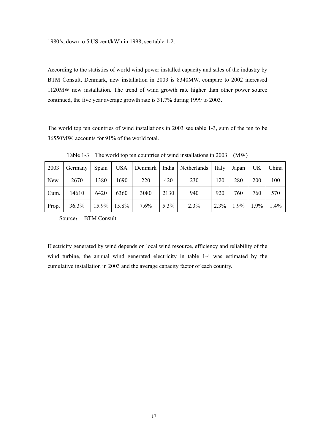According to the statistics of world wind power installed capacity and sales of the industry by BTM Consult, Denmark, new installation in 2003 is 8340MW, compare to 2002 increased 1120MW new installation. The trend of wind growth rate higher than other power source continued, the five year average growth rate is 31.7% during 1999 to 2003.

The world top ten countries of wind installations in 2003 see table 1-3, sum of the ten to be 36550MW, accounts for 91% of the world total.

| 2003       | Germany | Spain | <b>USA</b>       |      |         | Denmark   India   Netherlands | Italy   | Japan   | UK      | China   |
|------------|---------|-------|------------------|------|---------|-------------------------------|---------|---------|---------|---------|
| <b>New</b> | 2670    | 1380  | 1690             | 220  | 420     | 230                           | 120     | 280     | 200     | 100     |
| Cum.       | 14610   | 6420  | 6360             | 3080 | 2130    | 940                           | 920     | 760     | 760     | 570     |
| Prop.      | 36.3%   |       | $15.9\%$   15.8% | 7.6% | $5.3\%$ | 2.3%                          | $2.3\%$ | $1.9\%$ | $1.9\%$ | $1.4\%$ |

Table 1-3 The world top ten countries of wind installations in 2003 (MW)

Source: BTM Consult.

Electricity generated by wind depends on local wind resource, efficiency and reliability of the wind turbine, the annual wind generated electricity in table 1-4 was estimated by the cumulative installation in 2003 and the average capacity factor of each country.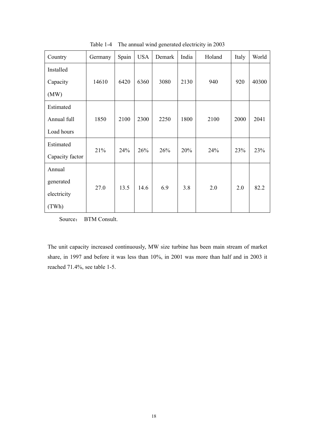| Country         | Germany | Spain | <b>USA</b> | Demark | India | Holand | Italy | World |
|-----------------|---------|-------|------------|--------|-------|--------|-------|-------|
| Installed       |         |       |            |        |       |        |       |       |
| Capacity        | 14610   | 6420  | 6360       | 3080   | 2130  | 940    | 920   | 40300 |
| (MW)            |         |       |            |        |       |        |       |       |
| Estimated       |         |       |            |        |       |        |       |       |
| Annual full     | 1850    | 2100  | 2300       | 2250   | 1800  | 2100   | 2000  | 2041  |
| Load hours      |         |       |            |        |       |        |       |       |
| Estimated       | 21%     | 24%   | 26%        | 26%    | 20%   | 24%    | 23%   | 23%   |
| Capacity factor |         |       |            |        |       |        |       |       |
| Annual          |         |       |            |        |       |        |       |       |
| generated       |         |       |            |        |       |        |       |       |
| electricity     | 27.0    | 13.5  | 14.6       | 6.9    | 3.8   | 2.0    | 2.0   | 82.2  |
| (TWh)           |         |       |            |        |       |        |       |       |

Table 1-4 The annual wind generated electricity in 2003

Source: BTM Consult.

The unit capacity increased continuously, MW size turbine has been main stream of market share, in 1997 and before it was less than 10%, in 2001 was more than half and in 2003 it reached 71.4%, see table 1-5.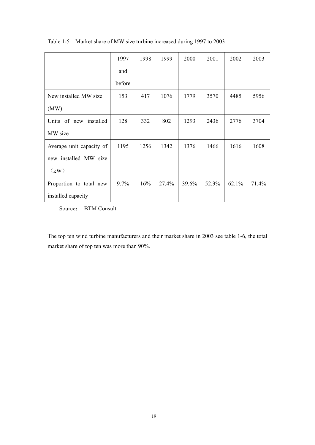|                          | 1997   | 1998 | 1999  | 2000  | 2001  | 2002  | 2003  |
|--------------------------|--------|------|-------|-------|-------|-------|-------|
|                          | and    |      |       |       |       |       |       |
|                          | before |      |       |       |       |       |       |
| New installed MW size    | 153    | 417  | 1076  | 1779  | 3570  | 4485  | 5956  |
| (MW)                     |        |      |       |       |       |       |       |
| Units of new installed   | 128    | 332  | 802   | 1293  | 2436  | 2776  | 3704  |
| MW size                  |        |      |       |       |       |       |       |
| Average unit capacity of | 1195   | 1256 | 1342  | 1376  | 1466  | 1616  | 1608  |
| new installed MW size    |        |      |       |       |       |       |       |
| (kW)                     |        |      |       |       |       |       |       |
| Proportion to total new  | 9.7%   | 16%  | 27.4% | 39.6% | 52.3% | 62.1% | 71.4% |
| installed capacity       |        |      |       |       |       |       |       |

Table 1-5 Market share of MW size turbine increased during 1997 to 2003

Source: BTM Consult.

The top ten wind turbine manufacturers and their market share in 2003 see table 1-6, the total market share of top ten was more than 90%.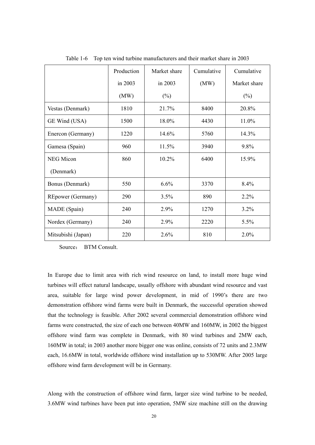|                    | Production | Market share | Cumulative | Cumulative   |
|--------------------|------------|--------------|------------|--------------|
|                    | in $2003$  | in $2003$    | (MW)       | Market share |
|                    | (MW)       | $(\%)$       |            | $(\%)$       |
| Vestas (Denmark)   | 1810       | 21.7%        | 8400       | 20.8%        |
| GE Wind (USA)      | 1500       | 18.0%        | 4430       | 11.0%        |
| Enercon (Germany)  | 1220       | 14.6%        | 5760       | 14.3%        |
| Gamesa (Spain)     | 960        | 11.5%        | 3940       | 9.8%         |
| <b>NEG</b> Micon   | 860        | $10.2\%$     | 6400       | 15.9%        |
| (Denmark)          |            |              |            |              |
| Bonus (Denmark)    | 550        | 6.6%         | 3370       | $8.4\%$      |
| REpower (Germany)  | 290        | 3.5%         | 890        | 2.2%         |
| MADE (Spain)       | 240        | 2.9%         | 1270       | 3.2%         |
| Nordex (Germany)   | 240        | 2.9%         | 2220       | 5.5%         |
| Mitsubishi (Japan) | 220        | 2.6%         | 810        | 2.0%         |

Table 1-6 Top ten wind turbine manufacturers and their market share in 2003

Source: BTM Consult.

In Europe due to limit area with rich wind resource on land, to install more huge wind turbines will effect natural landscape, usually offshore with abundant wind resource and vast area, suitable for large wind power development, in mid of 1990's there are two demonstration offshore wind farms were built in Denmark, the successful operation showed that the technology is feasible. After 2002 several commercial demonstration offshore wind farms were constructed, the size of each one between 40MW and 160MW, in 2002 the biggest offshore wind farm was complete in Denmark, with 80 wind turbines and 2MW each, 160MW in total; in 2003 another more bigger one was online, consists of 72 units and 2.3MW each, 16.6MW in total, worldwide offshore wind installation up to 530MW. After 2005 large offshore wind farm development will be in Germany.

Along with the construction of offshore wind farm, larger size wind turbine to be needed, 3.6MW wind turbines have been put into operation, 5MW size machine still on the drawing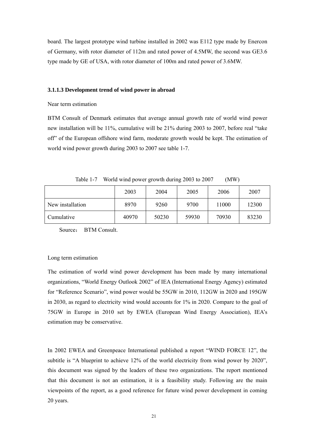board. The largest prototype wind turbine installed in 2002 was E112 type made by Enercon of Germany, with rotor diameter of 112m and rated power of 4.5MW, the second was GE3.6 type made by GE of USA, with rotor diameter of 100m and rated power of 3.6MW.

### **3.1.1.3 Development trend of wind power in abroad**

#### Near term estimation

BTM Consult of Denmark estimates that average annual growth rate of world wind power new installation will be 11%, cumulative will be 21% during 2003 to 2007, before real "take off" of the European offshore wind farm, moderate growth would be kept. The estimation of world wind power growth during 2003 to 2007 see table 1-7.

Table 1-7 World wind power growth during 2003 to 2007 (MW)

|                  | 2003  | 2004  | 2005  | 2006  | 2007  |
|------------------|-------|-------|-------|-------|-------|
| New installation | 8970  | 9260  | 9700  | 11000 | 12300 |
| Cumulative       | 40970 | 50230 | 59930 | 70930 | 83230 |

Source: BTM Consult.

#### Long term estimation

The estimation of world wind power development has been made by many international organizations, "World Energy Outlook 2002" of IEA (International Energy Agency) estimated for "Reference Scenario", wind power would be 55GW in 2010, 112GW in 2020 and 195GW in 2030, as regard to electricity wind would accounts for 1% in 2020. Compare to the goal of 75GW in Europe in 2010 set by EWEA (European Wind Energy Association), IEA's estimation may be conservative.

In 2002 EWEA and Greenpeace International published a report "WIND FORCE 12", the subtitle is "A blueprint to achieve 12% of the world electricity from wind power by 2020", this document was signed by the leaders of these two organizations. The report mentioned that this document is not an estimation, it is a feasibility study. Following are the main viewpoints of the report, as a good reference for future wind power development in coming 20 years.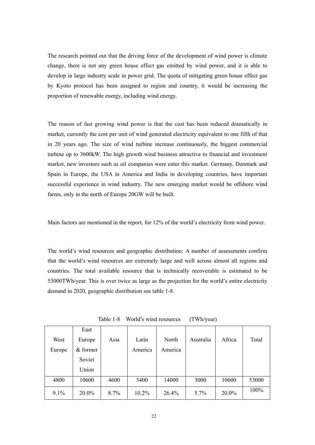The research pointed out that the driving force of the development of wind power is climate change, there is not any green house effect gas emitted by wind power, and it is able to develop in large industry scale in power grid. The quota of mitigating green house effect gas by Kyoto protocol has been assigned to region and country, it would be increasing the proportion of renewable energy, including wind energy.

The reason of fast growing wind power is that the cost has been reduced dramatically in market, currently the cost per unit of wind generated electricity equivalent to one fifth of that in 20 years ago. The size of wind turbine increase continuously, the biggest commercial turbine up to 3600kW. The high growth wind business attractive to financial and investment market, new investors such as oil companies were enter this market. Germany, Denmark and Spain in Europe, the USA in America and India in developing countries, have important successful experience in wind industry. The new emerging market would be offshore wind farms, only in the north of Europe 20GW will be built.

Main factors are mentioned in the report, for 12% of the world's electricity from wind power.

The world's wind resources and geographic distribution: A number of assessments confirm that the world's wind resources are extremely large and well across almost all regions and countries. The total available resource that is technically recoverable is estimated to be 53000TWh/year. This is over twice as large as the projection for the world's entire electricity demand in 2020, geographic distribution see table 1-8.

|         | East     |      |          |         |           |        |       |
|---------|----------|------|----------|---------|-----------|--------|-------|
| West    | Europe   | Asia | Latin    | North   | Australia | Africa | Total |
| Europe  | & former |      | America  | America |           |        |       |
|         | Soviet   |      |          |         |           |        |       |
|         | Union    |      |          |         |           |        |       |
| 4800    | 10600    | 4600 | 5400     | 14000   | 3000      | 10600  | 53000 |
| $9.1\%$ | 20.0%    | 8.7% | $10.2\%$ | 26.4%   | 5.7%      | 20.0%  | 100%  |

Table 1-8 World's wind resources (TWh/year)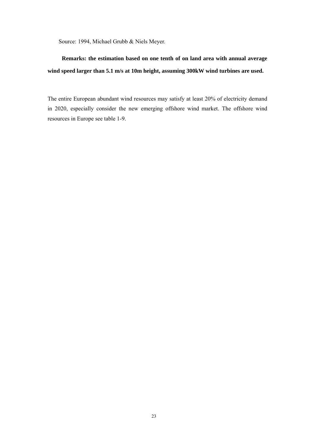Source: 1994, Michael Grubb & Niels Meyer.

## **Remarks: the estimation based on one tenth of on land area with annual average wind speed larger than 5.1 m/s at 10m height, assuming 300kW wind turbines are used.**

The entire European abundant wind resources may satisfy at least 20% of electricity demand in 2020, especially consider the new emerging offshore wind market. The offshore wind resources in Europe see table 1-9.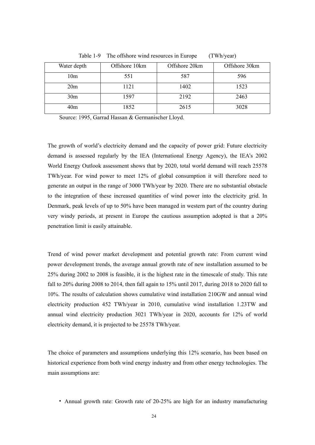| Water depth     | Offshore 10km | Offshore 20km | Offshore 30km |  |
|-----------------|---------------|---------------|---------------|--|
| 10 <sub>m</sub> | 551           | 587           | 596           |  |
| 20m             | 1121          | 1402          | 1523          |  |
| 30 <sub>m</sub> | 1597          | 2192          | 2463          |  |
| 40 <sub>m</sub> | 1852          | 2615          | 3028          |  |

Table 1-9 The offshore wind resources in Europe (TWh/year)

Source: 1995, Garrad Hassan & Germanischer Lloyd.

The growth of world's electricity demand and the capacity of power grid: Future electricity demand is assessed regularly by the IEA (International Energy Agency), the IEA's 2002 World Energy Outlook assessment shows that by 2020, total world demand will reach 25578 TWh/year. For wind power to meet 12% of global consumption it will therefore need to generate an output in the range of 3000 TWh/year by 2020. There are no substantial obstacle to the integration of these increased quantities of wind power into the electricity grid. In Denmark, peak levels of up to 50% have been managed in western part of the country during very windy periods, at present in Europe the cautious assumption adopted is that a 20% penetration limit is easily attainable.

Trend of wind power market development and potential growth rate: From current wind power development trends, the average annual growth rate of new installation assumed to be 25% during 2002 to 2008 is feasible, it is the highest rate in the timescale of study. This rate fall to 20% during 2008 to 2014, then fall again to 15% until 2017, during 2018 to 2020 fall to 10%. The results of calculation shows cumulative wind installation 210GW and annual wind electricity production 452 TWh/year in 2010, cumulative wind installation 1.23TW and annual wind electricity production 3021 TWh/year in 2020, accounts for 12% of world electricity demand, it is projected to be 25578 TWh/year.

The choice of parameters and assumptions underlying this 12% scenario, has been based on historical experience from both wind energy industry and from other energy technologies. The main assumptions are:

• Annual growth rate: Growth rate of 20-25% are high for an industry manufacturing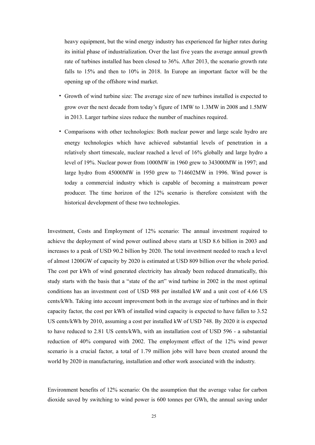heavy equipment, but the wind energy industry has experienced far higher rates during its initial phase of industrialization. Over the last five years the average annual growth rate of turbines installed has been closed to 36%. After 2013, the scenario growth rate falls to 15% and then to 10% in 2018. In Europe an important factor will be the opening up of the offshore wind market.

- Growth of wind turbine size: The average size of new turbines installed is expected to grow over the next decade from today's figure of 1MW to 1.3MW in 2008 and 1.5MW in 2013. Larger turbine sizes reduce the number of machines required.
- Comparisons with other technologies: Both nuclear power and large scale hydro are energy technologies which have achieved substantial levels of penetration in a relatively short timescale, nuclear reached a level of 16% globally and large hydro a level of 19%. Nuclear power from 1000MW in 1960 grew to 343000MW in 1997; and large hydro from 45000MW in 1950 grew to 714602MW in 1996. Wind power is today a commercial industry which is capable of becoming a mainstream power producer. The time horizon of the 12% scenario is therefore consistent with the historical development of these two technologies.

Investment, Costs and Employment of 12% scenario: The annual investment required to achieve the deployment of wind power outlined above starts at USD 8.6 billion in 2003 and increases to a peak of USD 90.2 billion by 2020. The total investment needed to reach a level of almost 1200GW of capacity by 2020 is estimated at USD 809 billion over the whole period. The cost per kWh of wind generated electricity has already been reduced dramatically, this study starts with the basis that a "state of the art" wind turbine in 2002 in the most optimal conditions has an investment cost of USD 988 per installed kW and a unit cost of 4.66 US cents/kWh. Taking into account improvement both in the average size of turbines and in their capacity factor, the cost per kWh of installed wind capacity is expected to have fallen to 3.52 US cents/kWh by 2010, assuming a cost per installed kW of USD 748. By 2020 it is expected to have reduced to 2.81 US cents/kWh, with an installation cost of USD 596 - a substantial reduction of 40% compared with 2002. The employment effect of the 12% wind power scenario is a crucial factor, a total of 1.79 million jobs will have been created around the world by 2020 in manufacturing, installation and other work associated with the industry.

Environment benefits of 12% scenario: On the assumption that the average value for carbon dioxide saved by switching to wind power is 600 tonnes per GWh, the annual saving under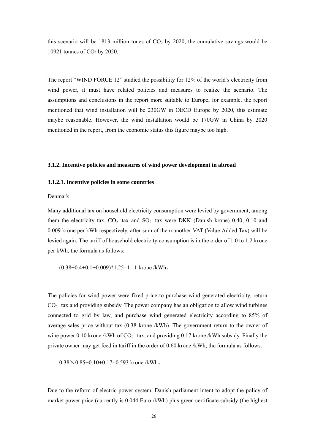this scenario will be 1813 million tones of  $CO<sub>2</sub>$  by 2020, the cumulative savings would be 10921 tonnes of  $CO<sub>2</sub>$  by 2020.

The report "WIND FORCE 12" studied the possibility for 12% of the world's electricity from wind power, it must have related policies and measures to realize the scenario. The assumptions and conclusions in the report more suitable to Europe, for example, the report mentioned that wind installation will be 230GW in OECD Europe by 2020, this estimate maybe reasonable. However, the wind installation would be 170GW in China by 2020 mentioned in the report, from the economic status this figure maybe too high.

#### **3.1.2. Incentive policies and measures of wind power development in abroad**

#### **3.1.2.1. Incentive policies in some countries**

#### Denmark

Many additional tax on household electricity consumption were levied by government, among them the electricity tax,  $CO<sub>2</sub>$  tax and  $SO<sub>2</sub>$  tax were DKK (Danish krone) 0.40, 0.10 and 0.009 krone per kWh respectively, after sum of them another VAT (Value Added Tax) will be levied again. The tariff of household electricity consumption is in the order of 1.0 to 1.2 krone per kWh, the formula as follows:

 $(0.38+0.4+0.1+0.009)*1.25=1.11$  krone /kWh.

The policies for wind power were fixed price to purchase wind generated electricity, return  $CO<sub>2</sub>$  tax and providing subsidy. The power company has an obligation to allow wind turbines connected to grid by law, and purchase wind generated electricity according to 85% of average sales price without tax (0.38 krone /kWh). The government return to the owner of wine power 0.10 krone /kWh of  $CO<sub>2</sub>$  tax, and providing 0.17 krone /kWh subsidy. Finally the private owner may get feed in tariff in the order of 0.60 krone /kWh, the formula as follows:

 $0.38\times0.85+0.10+0.17=0.593$  krone /kWh.

Due to the reform of electric power system, Danish parliament intent to adopt the policy of market power price (currently is 0.044 Euro /kWh) plus green certificate subsidy (the highest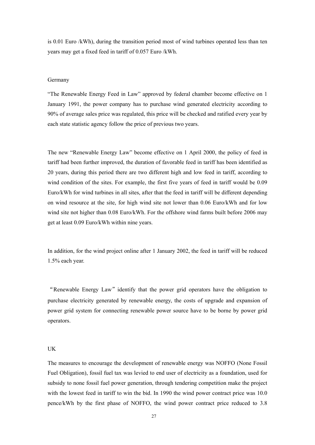is 0.01 Euro /kWh), during the transition period most of wind turbines operated less than ten years may get a fixed feed in tariff of 0.057 Euro /kWh.

#### Germany

"The Renewable Energy Feed in Law" approved by federal chamber become effective on 1 January 1991, the power company has to purchase wind generated electricity according to 90% of average sales price was regulated, this price will be checked and ratified every year by each state statistic agency follow the price of previous two years.

The new "Renewable Energy Law" become effective on 1 April 2000, the policy of feed in tariff had been further improved, the duration of favorable feed in tariff has been identified as 20 years, during this period there are two different high and low feed in tariff, according to wind condition of the sites. For example, the first five years of feed in tariff would be 0.09 Euro/kWh for wind turbines in all sites, after that the feed in tariff will be different depending on wind resource at the site, for high wind site not lower than 0.06 Euro/kWh and for low wind site not higher than 0.08 Euro/kWh. For the offshore wind farms built before 2006 may get at least 0.09 Euro/kWh within nine years.

In addition, for the wind project online after 1 January 2002, the feed in tariff will be reduced 1.5% each year.

"Renewable Energy Law"identify that the power grid operators have the obligation to purchase electricity generated by renewable energy, the costs of upgrade and expansion of power grid system for connecting renewable power source have to be borne by power grid operators.

#### UK

The measures to encourage the development of renewable energy was NOFFO (None Fossil Fuel Obligation), fossil fuel tax was levied to end user of electricity as a foundation, used for subsidy to none fossil fuel power generation, through tendering competition make the project with the lowest feed in tariff to win the bid. In 1990 the wind power contract price was 10.0 pence/kWh by the first phase of NOFFO, the wind power contract price reduced to 3.8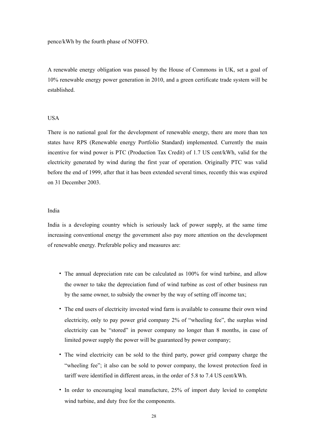pence/kWh by the fourth phase of NOFFO.

A renewable energy obligation was passed by the House of Commons in UK, set a goal of 10% renewable energy power generation in 2010, and a green certificate trade system will be established.

#### USA

There is no national goal for the development of renewable energy, there are more than ten states have RPS (Renewable energy Portfolio Standard) implemented. Currently the main incentive for wind power is PTC (Production Tax Credit) of 1.7 US cent/kWh, valid for the electricity generated by wind during the first year of operation. Originally PTC was valid before the end of 1999, after that it has been extended several times, recently this was expired on 31 December 2003.

#### India

India is a developing country which is seriously lack of power supply, at the same time increasing conventional energy the government also pay more attention on the development of renewable energy. Preferable policy and measures are:

- The annual depreciation rate can be calculated as 100% for wind turbine, and allow the owner to take the depreciation fund of wind turbine as cost of other business run by the same owner, to subsidy the owner by the way of setting off income tax;
- The end users of electricity invested wind farm is available to consume their own wind electricity, only to pay power grid company 2% of "wheeling fee", the surplus wind electricity can be "stored" in power company no longer than 8 months, in case of limited power supply the power will be guaranteed by power company;
- The wind electricity can be sold to the third party, power grid company charge the "wheeling fee"; it also can be sold to power company, the lowest protection feed in tariff were identified in different areas, in the order of 5.8 to 7.4 US cent/kWh.
- In order to encouraging local manufacture, 25% of import duty levied to complete wind turbine, and duty free for the components.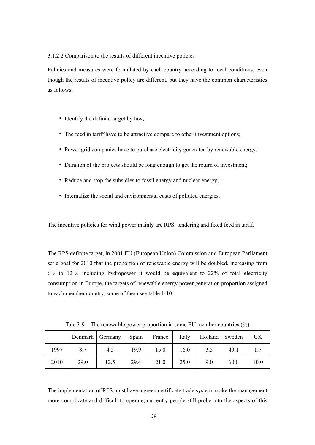#### 3.1.2.2 Comparison to the results of different incentive policies

Policies and measures were formulated by each country according to local conditions, even though the results of incentive policy are different, but they have the common characteristics as follows:

- Identify the definite target by law;
- The feed in tariff have to be attractive compare to other investment options;
- Power grid companies have to purchase electricity generated by renewable energy;
- Duration of the projects should be long enough to get the return of investment;
- Reduce and stop the subsidies to fossil energy and nuclear energy;
- Internalize the social and environmental costs of polluted energies.

The incentive policies for wind power mainly are RPS, tendering and fixed feed in tariff.

The RPS definite target, in 2001 EU (European Union) Commission and European Parliament set a goal for 2010 that the proportion of renewable energy will be doubled, increasing from 6% to 12%, including hydropower it would be equivalent to 22% of total electricity consumption in Europe, the targets of renewable energy power generation proportion assigned to each member country, some of them see table 1-10.

|      |      | Denmark Germany | Spain | France | Italy | Holland   Sweden |      | UK   |
|------|------|-----------------|-------|--------|-------|------------------|------|------|
| 1997 | 8.7  | 4.5             | 19.9  | 15.0   | 16.0  | 3.5              | 49.1 |      |
| 2010 | 29.0 | 12.5            | 29.4  | 21.0   | 25.0  | 9.0              | 60.0 | 10.0 |

Tale 3-9 The renewable power proportion in some EU member countries (%)

The implementation of RPS must have a green certificate trade system, make the management more complicate and difficult to operate, currently people still probe into the aspects of this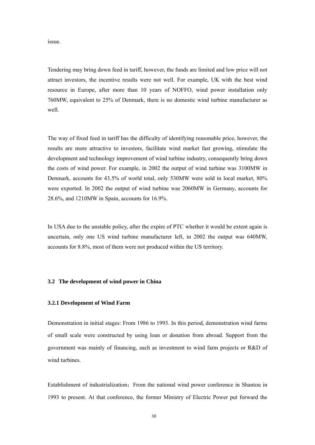issue.

Tendering may bring down feed in tariff, however, the funds are limited and low price will not attract investors, the incentive results were not well. For example, UK with the best wind resource in Europe, after more than 10 years of NOFFO, wind power installation only 760MW, equivalent to 25% of Denmark, there is no domestic wind turbine manufacturer as well.

The way of fixed feed in tariff has the difficulty of identifying reasonable price, however, the results are more attractive to investors, facilitate wind market fast growing, stimulate the development and technology improvement of wind turbine industry, consequently bring down the costs of wind power. For example, in 2002 the output of wind turbine was 3100MW in Denmark, accounts for 43.5% of world total, only 530MW were sold in local market, 80% were exported. In 2002 the output of wind turbine was 2060MW in Germany, accounts for 28.6%, and 1210MW in Spain, accounts for 16.9%.

In USA due to the unstable policy, after the expire of PTC whether it would be extent again is uncertain, only one US wind turbine manufacturer left, in 2002 the output was 640MW, accounts for 8.8%, most of them were not produced within the US territory.

#### **3.2 The development of wind power in China**

#### **3.2.1 Development of Wind Farm**

Demonstration in initial stages: From 1986 to 1993. In this period, demonstration wind farms of small scale were constructed by using loan or donation from abroad. Support from the government was mainly of financing, such as investment to wind farm projects or R&D of wind turbines.

Establishment of industrialization: From the national wind power conference in Shantou in 1993 to present. At that conference, the former Ministry of Electric Power put forward the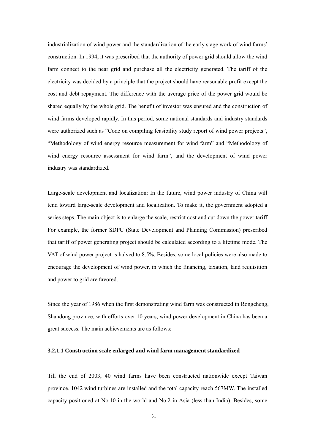industrialization of wind power and the standardization of the early stage work of wind farms' construction. In 1994, it was prescribed that the authority of power grid should allow the wind farm connect to the near grid and purchase all the electricity generated. The tariff of the electricity was decided by a principle that the project should have reasonable profit except the cost and debt repayment. The difference with the average price of the power grid would be shared equally by the whole grid. The benefit of investor was ensured and the construction of wind farms developed rapidly. In this period, some national standards and industry standards were authorized such as "Code on compiling feasibility study report of wind power projects", "Methodology of wind energy resource measurement for wind farm" and "Methodology of wind energy resource assessment for wind farm", and the development of wind power industry was standardized.

Large-scale development and localization: In the future, wind power industry of China will tend toward large-scale development and localization. To make it, the government adopted a series steps. The main object is to enlarge the scale, restrict cost and cut down the power tariff. For example, the former SDPC (State Development and Planning Commission) prescribed that tariff of power generating project should be calculated according to a lifetime mode. The VAT of wind power project is halved to 8.5%. Besides, some local policies were also made to encourage the development of wind power, in which the financing, taxation, land requisition and power to grid are favored.

Since the year of 1986 when the first demonstrating wind farm was constructed in Rongcheng, Shandong province, with efforts over 10 years, wind power development in China has been a great success. The main achievements are as follows:

# **3.2.1.1 Construction scale enlarged and wind farm management standardized**

Till the end of 2003, 40 wind farms have been constructed nationwide except Taiwan province. 1042 wind turbines are installed and the total capacity reach 567MW. The installed capacity positioned at No.10 in the world and No.2 in Asia (less than India). Besides, some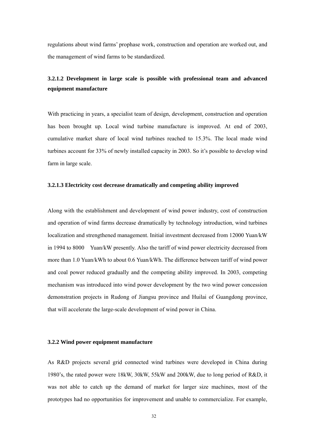regulations about wind farms' prophase work, construction and operation are worked out, and the management of wind farms to be standardized.

# **3.2.1.2 Development in large scale is possible with professional team and advanced equipment manufacture**

With practicing in years, a specialist team of design, development, construction and operation has been brought up. Local wind turbine manufacture is improved. At end of 2003, cumulative market share of local wind turbines reached to 15.3%. The local made wind turbines account for 33% of newly installed capacity in 2003. So it's possible to develop wind farm in large scale.

#### **3.2.1.3 Electricity cost decrease dramatically and competing ability improved**

Along with the establishment and development of wind power industry, cost of construction and operation of wind farms decrease dramatically by technology introduction, wind turbines localization and strengthened management. Initial investment decreased from 12000 Yuan/kW in 1994 to 8000 Yuan/kW presently. Also the tariff of wind power electricity decreased from more than 1.0 Yuan/kWh to about 0.6 Yuan/kWh. The difference between tariff of wind power and coal power reduced gradually and the competing ability improved. In 2003, competing mechanism was introduced into wind power development by the two wind power concession demonstration projects in Rudong of Jiangsu province and Huilai of Guangdong province, that will accelerate the large-scale development of wind power in China.

#### **3.2.2 Wind power equipment manufacture**

As R&D projects several grid connected wind turbines were developed in China during 1980's, the rated power were 18kW, 30kW, 55kW and 200kW, due to long period of R&D, it was not able to catch up the demand of market for larger size machines, most of the prototypes had no opportunities for improvement and unable to commercialize. For example,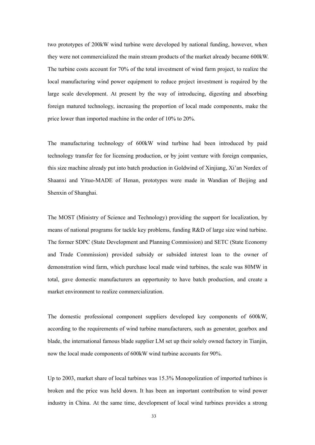two prototypes of 200kW wind turbine were developed by national funding, however, when they were not commercialized the main stream products of the market already became 600kW. The turbine costs account for 70% of the total investment of wind farm project, to realize the local manufacturing wind power equipment to reduce project investment is required by the large scale development. At present by the way of introducing, digesting and absorbing foreign matured technology, increasing the proportion of local made components, make the price lower than imported machine in the order of 10% to 20%.

The manufacturing technology of 600kW wind turbine had been introduced by paid technology transfer fee for licensing production, or by joint venture with foreign companies, this size machine already put into batch production in Goldwind of Xinjiang, Xi'an Nordex of Shaanxi and Yituo-MADE of Henan, prototypes were made in Wandian of Beijing and Shenxin of Shanghai.

The MOST (Ministry of Science and Technology) providing the support for localization, by means of national programs for tackle key problems, funding R&D of large size wind turbine. The former SDPC (State Development and Planning Commission) and SETC (State Economy and Trade Commission) provided subsidy or subsided interest loan to the owner of demonstration wind farm, which purchase local made wind turbines, the scale was 80MW in total, gave domestic manufacturers an opportunity to have batch production, and create a market environment to realize commercialization.

The domestic professional component suppliers developed key components of 600kW, according to the requirements of wind turbine manufacturers, such as generator, gearbox and blade, the international famous blade supplier LM set up their solely owned factory in Tianjin, now the local made components of 600kW wind turbine accounts for 90%.

Up to 2003, market share of local turbines was 15.3% Monopolization of imported turbines is broken and the price was held down. It has been an important contribution to wind power industry in China. At the same time, development of local wind turbines provides a strong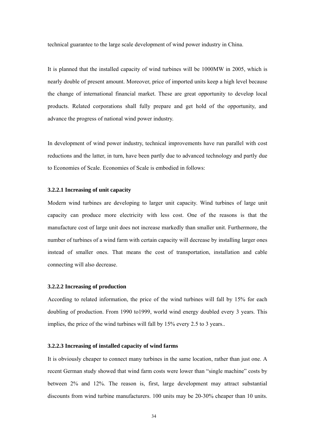technical guarantee to the large scale development of wind power industry in China.

It is planned that the installed capacity of wind turbines will be 1000MW in 2005, which is nearly double of present amount. Moreover, price of imported units keep a high level because the change of international financial market. These are great opportunity to develop local products. Related corporations shall fully prepare and get hold of the opportunity, and advance the progress of national wind power industry.

In development of wind power industry, technical improvements have run parallel with cost reductions and the latter, in turn, have been partly due to advanced technology and partly due to Economies of Scale. Economies of Scale is embodied in follows:

#### **3.2.2.1 Increasing of unit capacity**

Modern wind turbines are developing to larger unit capacity. Wind turbines of large unit capacity can produce more electricity with less cost. One of the reasons is that the manufacture cost of large unit does not increase markedly than smaller unit. Furthermore, the number of turbines of a wind farm with certain capacity will decrease by installing larger ones instead of smaller ones. That means the cost of transportation, installation and cable connecting will also decrease.

# **3.2.2.2 Increasing of production**

According to related information, the price of the wind turbines will fall by 15% for each doubling of production. From 1990 to1999, world wind energy doubled every 3 years. This implies, the price of the wind turbines will fall by 15% every 2.5 to 3 years..

### **3.2.2.3 Increasing of installed capacity of wind farms**

It is obviously cheaper to connect many turbines in the same location, rather than just one. A recent German study showed that wind farm costs were lower than "single machine" costs by between 2% and 12%. The reason is, first, large development may attract substantial discounts from wind turbine manufacturers. 100 units may be 20-30% cheaper than 10 units.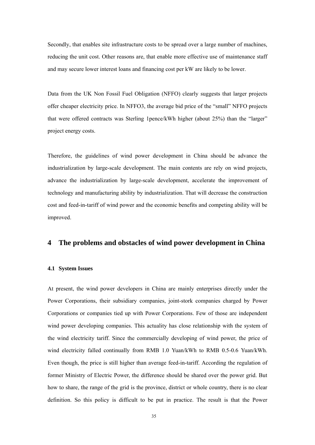Secondly, that enables site infrastructure costs to be spread over a large number of machines, reducing the unit cost. Other reasons are, that enable more effective use of maintenance staff and may secure lower interest loans and financing cost per kW are likely to be lower.

Data from the UK Non Fossil Fuel Obligation (NFFO) clearly suggests that larger projects offer cheaper electricity price. In NFFO3, the average bid price of the "small" NFFO projects that were offered contracts was Sterling 1pence/kWh higher (about 25%) than the "larger" project energy costs.

Therefore, the guidelines of wind power development in China should be advance the industrialization by large-scale development. The main contents are rely on wind projects, advance the industrialization by large-scale development, accelerate the improvement of technology and manufacturing ability by industrialization. That will decrease the construction cost and feed-in-tariff of wind power and the economic benefits and competing ability will be improved.

# **4 The problems and obstacles of wind power development in China**

#### **4.1 System Issues**

At present, the wind power developers in China are mainly enterprises directly under the Power Corporations, their subsidiary companies, joint-stork companies charged by Power Corporations or companies tied up with Power Corporations. Few of those are independent wind power developing companies. This actuality has close relationship with the system of the wind electricity tariff. Since the commercially developing of wind power, the price of wind electricity falled continually from RMB 1.0 Yuan/kWh to RMB 0.5-0.6 Yuan/kWh. Even though, the price is still higher than average feed-in-tariff. According the regulation of former Ministry of Electric Power, the difference should be shared over the power grid. But how to share, the range of the grid is the province, district or whole country, there is no clear definition. So this policy is difficult to be put in practice. The result is that the Power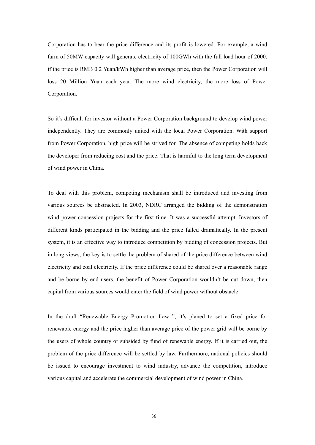Corporation has to bear the price difference and its profit is lowered. For example, a wind farm of 50MW capacity will generate electricity of 100GWh with the full load hour of 2000. if the price is RMB 0.2 Yuan/kWh higher than average price, then the Power Corporation will loss 20 Million Yuan each year. The more wind electricity, the more loss of Power Corporation.

So it's difficult for investor without a Power Corporation background to develop wind power independently. They are commonly united with the local Power Corporation. With support from Power Corporation, high price will be strived for. The absence of competing holds back the developer from reducing cost and the price. That is harmful to the long term development of wind power in China.

To deal with this problem, competing mechanism shall be introduced and investing from various sources be abstracted. In 2003, NDRC arranged the bidding of the demonstration wind power concession projects for the first time. It was a successful attempt. Investors of different kinds participated in the bidding and the price falled dramatically. In the present system, it is an effective way to introduce competition by bidding of concession projects. But in long views, the key is to settle the problem of shared of the price difference between wind electricity and coal electricity. If the price difference could be shared over a reasonable range and be borne by end users, the benefit of Power Corporation wouldn't be cut down, then capital from various sources would enter the field of wind power without obstacle.

In the draft "Renewable Energy Promotion Law ", it's planed to set a fixed price for renewable energy and the price higher than average price of the power grid will be borne by the users of whole country or subsided by fund of renewable energy. If it is carried out, the problem of the price difference will be settled by law. Furthermore, national policies should be issued to encourage investment to wind industry, advance the competition, introduce various capital and accelerate the commercial development of wind power in China.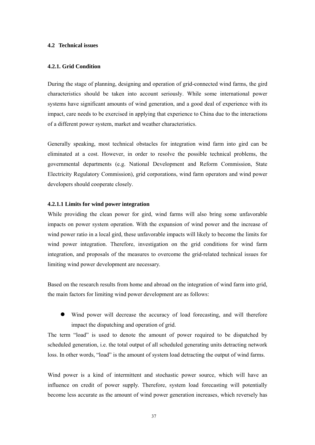# **4.2 Technical issues**

# **4.2.1. Grid Condition**

During the stage of planning, designing and operation of grid-connected wind farms, the gird characteristics should be taken into account seriously. While some international power systems have significant amounts of wind generation, and a good deal of experience with its impact, care needs to be exercised in applying that experience to China due to the interactions of a different power system, market and weather characteristics.

Generally speaking, most technical obstacles for integration wind farm into gird can be eliminated at a cost. However, in order to resolve the possible technical problems, the governmental departments (e.g. National Development and Reform Commission, State Electricity Regulatory Commission), grid corporations, wind farm operators and wind power developers should cooperate closely.

#### **4.2.1.1 Limits for wind power integration**

While providing the clean power for gird, wind farms will also bring some unfavorable impacts on power system operation. With the expansion of wind power and the increase of wind power ratio in a local gird, these unfavorable impacts will likely to become the limits for wind power integration. Therefore, investigation on the grid conditions for wind farm integration, and proposals of the measures to overcome the grid-related technical issues for limiting wind power development are necessary.

Based on the research results from home and abroad on the integration of wind farm into grid, the main factors for limiting wind power development are as follows:

• Wind power will decrease the accuracy of load forecasting, and will therefore impact the dispatching and operation of grid.

The term "load" is used to denote the amount of power required to be dispatched by scheduled generation, i.e. the total output of all scheduled generating units detracting network loss. In other words, "load" is the amount of system load detracting the output of wind farms.

Wind power is a kind of intermittent and stochastic power source, which will have an influence on credit of power supply. Therefore, system load forecasting will potentially become less accurate as the amount of wind power generation increases, which reversely has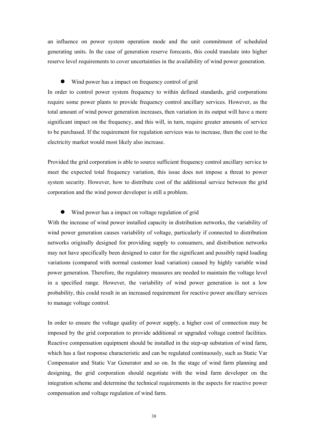an influence on power system operation mode and the unit commitment of scheduled generating units. In the case of generation reserve forecasts, this could translate into higher reserve level requirements to cover uncertainties in the availability of wind power generation.

# Wind power has a impact on frequency control of grid

In order to control power system frequency to within defined standards, grid corporations require some power plants to provide frequency control ancillary services. However, as the total amount of wind power generation increases, then variation in its output will have a more significant impact on the frequency, and this will, in turn, require greater amounts of service to be purchased. If the requirement for regulation services was to increase, then the cost to the electricity market would most likely also increase.

Provided the grid corporation is able to source sufficient frequency control ancillary service to meet the expected total frequency variation, this issue does not impose a threat to power system security. However, how to distribute cost of the additional service between the grid corporation and the wind power developer is still a problem.

# Wind power has a impact on voltage regulation of grid

With the increase of wind power installed capacity in distribution networks, the variability of wind power generation causes variability of voltage, particularly if connected to distribution networks originally designed for providing supply to consumers, and distribution networks may not have specifically been designed to cater for the significant and possibly rapid loading variations (compared with normal customer load variation) caused by highly variable wind power generation. Therefore, the regulatory measures are needed to maintain the voltage level in a specified range. However, the variability of wind power generation is not a low probability, this could result in an increased requirement for reactive power ancillary services to manage voltage control.

In order to ensure the voltage quality of power supply, a higher cost of connection may be imposed by the grid corporation to provide additional or upgraded voltage control facilities. Reactive compensation equipment should be installed in the step-up substation of wind farm, which has a fast response characteristic and can be regulated continuously, such as Static Var Compensator and Static Var Generator and so on. In the stage of wind farm planning and designing, the grid corporation should negotiate with the wind farm developer on the integration scheme and determine the technical requirements in the aspects for reactive power compensation and voltage regulation of wind farm.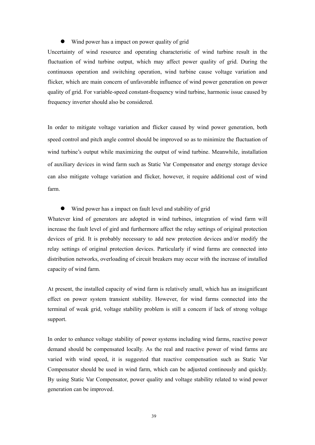#### Wind power has a impact on power quality of grid

Uncertainty of wind resource and operating characteristic of wind turbine result in the fluctuation of wind turbine output, which may affect power quality of grid. During the continuous operation and switching operation, wind turbine cause voltage variation and flicker, which are main concern of unfavorable influence of wind power generation on power quality of grid. For variable-speed constant-frequency wind turbine, harmonic issue caused by frequency inverter should also be considered.

In order to mitigate voltage variation and flicker caused by wind power generation, both speed control and pitch angle control should be improved so as to minimize the fluctuation of wind turbine's output while maximizing the output of wind turbine. Meanwhile, installation of auxiliary devices in wind farm such as Static Var Compensator and energy storage device can also mitigate voltage variation and flicker, however, it require additional cost of wind farm.

Wind power has a impact on fault level and stability of grid

Whatever kind of generators are adopted in wind turbines, integration of wind farm will increase the fault level of gird and furthermore affect the relay settings of original protection devices of grid. It is probably necessary to add new protection devices and/or modify the relay settings of original protection devices. Particularly if wind farms are connected into distribution networks, overloading of circuit breakers may occur with the increase of installed capacity of wind farm.

At present, the installed capacity of wind farm is relatively small, which has an insignificant effect on power system transient stability. However, for wind farms connected into the terminal of weak grid, voltage stability problem is still a concern if lack of strong voltage support.

In order to enhance voltage stability of power systems including wind farms, reactive power demand should be compensated locally. As the real and reactive power of wind farms are varied with wind speed, it is suggested that reactive compensation such as Static Var Compensator should be used in wind farm, which can be adjusted continously and quickly. By using Static Var Compensator, power quality and voltage stability related to wind power generation can be improved.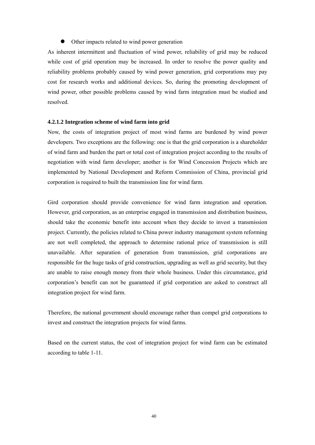#### $\bullet$  Other impacts related to wind power generation

As inherent intermittent and fluctuation of wind power, reliability of grid may be reduced while cost of grid operation may be increased. In order to resolve the power quality and reliability problems probably caused by wind power generation, grid corporations may pay cost for research works and additional devices. So, during the promoting development of wind power, other possible problems caused by wind farm integration must be studied and resolved.

# **4.2.1.2 Integration scheme of wind farm into grid**

Now, the costs of integration project of most wind farms are burdened by wind power developers. Two exceptions are the following: one is that the grid corporation is a shareholder of wind farm and burden the part or total cost of integration project according to the results of negotiation with wind farm developer; another is for Wind Concession Projects which are implemented by National Development and Reform Commission of China, provincial grid corporation is required to built the transmission line for wind farm.

Gird corporation should provide convenience for wind farm integration and operation. However, grid corporation, as an enterprise engaged in transmission and distribution business, should take the economic benefit into account when they decide to invest a transmission project. Currently, the policies related to China power industry management system reforming are not well completed, the approach to determine rational price of transmission is still unavailable. After separation of generation from transmission, grid corporations are responsible for the huge tasks of grid construction, upgrading as well as grid security, but they are unable to raise enough money from their whole business. Under this circumstance, grid corporation's benefit can not be guaranteed if grid corporation are asked to construct all integration project for wind farm.

Therefore, the national government should encourage rather than compel grid corporations to invest and construct the integration projects for wind farms.

Based on the current status, the cost of integration project for wind farm can be estimated according to table 1-11.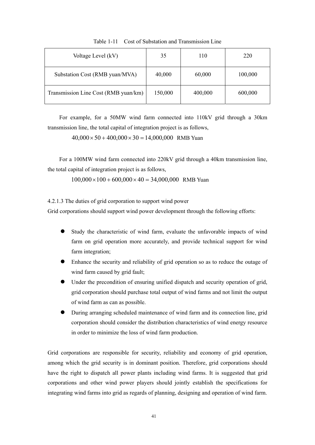| Voltage Level (kV)                   | 35      | 110     | 220     |
|--------------------------------------|---------|---------|---------|
| Substation Cost (RMB yuan/MVA)       | 40,000  | 60,000  | 100,000 |
| Transmission Line Cost (RMB yuan/km) | 150,000 | 400,000 | 600,000 |

Table 1-11 Cost of Substation and Transmission Line

For example, for a 50MW wind farm connected into 110kV grid through a 30km transmission line, the total capital of integration project is as follows,

 $40,000 \times 50 + 400,000 \times 30 = 14,000,000$  RMB Yuan

For a 100MW wind farm connected into 220kV grid through a 40km transmission line, the total capital of integration project is as follows,

 $100,000 \times 100 + 600,000 \times 40 = 34,000,000$  RMB Yuan

4.2.1.3 The duties of grid corporation to support wind power

Grid corporations should support wind power development through the following efforts:

- Study the characteristic of wind farm, evaluate the unfavorable impacts of wind farm on grid operation more accurately, and provide technical support for wind farm integration;
- Enhance the security and reliability of grid operation so as to reduce the outage of wind farm caused by grid fault;
- Under the precondition of ensuring unified dispatch and security operation of grid, grid corporation should purchase total output of wind farms and not limit the output of wind farm as can as possible.
- During arranging scheduled maintenance of wind farm and its connection line, grid corporation should consider the distribution characteristics of wind energy resource in order to minimize the loss of wind farm production.

Grid corporations are responsible for security, reliability and economy of grid operation, among which the grid security is in dominant position. Therefore, grid corporations should have the right to dispatch all power plants including wind farms. It is suggested that grid corporations and other wind power players should jointly establish the specifications for integrating wind farms into grid as regards of planning, designing and operation of wind farm.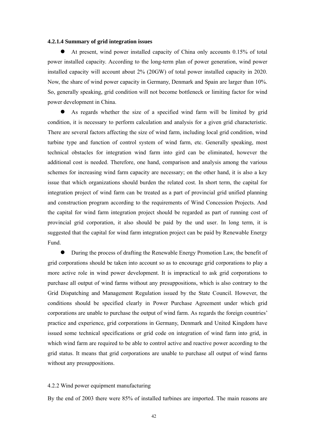#### **4.2.1.4 Summary of grid integration issues**

At present, wind power installed capacity of China only accounts 0.15% of total power installed capacity. According to the long-term plan of power generation, wind power installed capacity will account about 2% (20GW) of total power installed capacity in 2020. Now, the share of wind power capacity in Germany, Denmark and Spain are larger than 10%. So, generally speaking, grid condition will not become bottleneck or limiting factor for wind power development in China.

• As regards whether the size of a specified wind farm will be limited by grid condition, it is necessary to perform calculation and analysis for a given grid characteristic. There are several factors affecting the size of wind farm, including local grid condition, wind turbine type and function of control system of wind farm, etc. Generally speaking, most technical obstacles for integration wind farm into gird can be eliminated, however the additional cost is needed. Therefore, one hand, comparison and analysis among the various schemes for increasing wind farm capacity are necessary; on the other hand, it is also a key issue that which organizations should burden the related cost. In short term, the capital for integration project of wind farm can be treated as a part of provincial grid unified planning and construction program according to the requirements of Wind Concession Projects. And the capital for wind farm integration project should be regarded as part of running cost of provincial grid corporation, it also should be paid by the und user. In long term, it is suggested that the capital for wind farm integration project can be paid by Renewable Energy Fund.

During the process of drafting the Renewable Energy Promotion Law, the benefit of grid corporations should be taken into account so as to encourage grid corporations to play a more active role in wind power development. It is impractical to ask grid corporations to purchase all output of wind farms without any presuppositions, which is also contrary to the Grid Dispatching and Management Regulation issued by the State Council. However, the conditions should be specified clearly in Power Purchase Agreement under which grid corporations are unable to purchase the output of wind farm. As regards the foreign countries' practice and experience, grid corporations in Germany, Denmark and United Kingdom have issued some technical specifications or grid code on integration of wind farm into grid, in which wind farm are required to be able to control active and reactive power according to the grid status. It means that grid corporations are unable to purchase all output of wind farms without any presuppositions.

#### 4.2.2 Wind power equipment manufacturing

By the end of 2003 there were 85% of installed turbines are imported. The main reasons are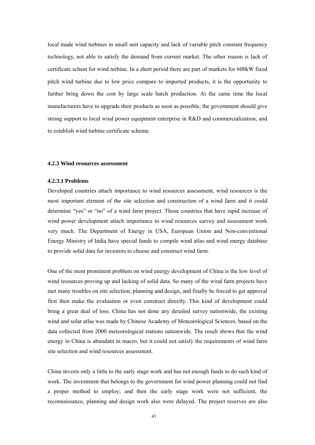local made wind turbines in small unit capacity and lack of variable pitch constant frequency technology, not able to satisfy the demand from current market. The other reason is lack of certificate schem for wind turbine. In a short period there are part of markets for 600kW fixed pitch wind turbine due to low price compare to imported products, it is the opportunity to further bring down the cost by large scale batch production. At the same time the local manufacturers have to upgrade their products as soon as possible, the government should give strong support to local wind power equipment enterprise in R&D and commercialization, and to establish wind turbine certificate scheme.

#### **4.2.3 Wind resources assessment**

#### **4.2.3.1 Problems**

Developed countries attach importance to wind resources assessment, wind resources is the most important element of the site selection and construction of a wind farm and it could determine "yes" or "no" of a wind farm project. Those countries that have rapid increase of wind power development attach importance to wind resources survey and assessment work very much. The Department of Energy in USA, European Union and Non-conventional Energy Ministry of India have special funds to compile wind atlas and wind energy database to provide solid data for investors to choose and construct wind farm.

One of the most prominent problem on wind energy development of China is the low level of wind resources proving up and lacking of solid data. So many of the wind farm projects have met many troubles on site selection, planning and design, and finally be forced to get approval first then make the evaluation or even construct directly. This kind of development could bring a great deal of loss. China has not done any detailed survey nationwide, the existing wind and solar atlas was made by Chinese Academy of Meteorological Sciences, based on the data collected from 2000 meteorological stations nationwide. The result shows that the wind energy in China is abundant in macro, but it could not satisfy the requirements of wind farm site selection and wind resources assessment.

China invests only a little to the early stage work and has not enough funds to do such kind of work. The investment that belongs to the government for wind power planning could not find a proper method to employ; and then the early stage work were not sufficient, the reconnaissance, planning and design work also were delayed. The project reserves are also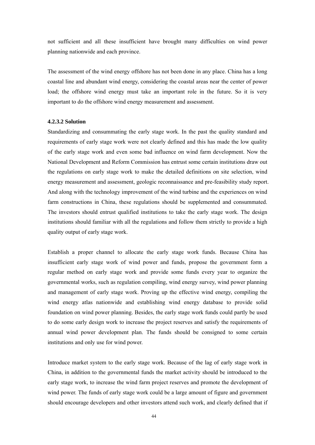not sufficient and all these insufficient have brought many difficulties on wind power planning nationwide and each province.

The assessment of the wind energy offshore has not been done in any place. China has a long coastal line and abundant wind energy, considering the coastal areas near the center of power load; the offshore wind energy must take an important role in the future. So it is very important to do the offshore wind energy measurement and assessment.

#### **4.2.3.2 Solution**

Standardizing and consummating the early stage work. In the past the quality standard and requirements of early stage work were not clearly defined and this has made the low quality of the early stage work and even some bad influence on wind farm development. Now the National Development and Reform Commission has entrust some certain institutions draw out the regulations on early stage work to make the detailed definitions on site selection, wind energy measurement and assessment, geologic reconnaissance and pre-feasibility study report. And along with the technology improvement of the wind turbine and the experiences on wind farm constructions in China, these regulations should be supplemented and consummated. The investors should entrust qualified institutions to take the early stage work. The design institutions should familiar with all the regulations and follow them strictly to provide a high quality output of early stage work.

Establish a proper channel to allocate the early stage work funds. Because China has insufficient early stage work of wind power and funds, propose the government form a regular method on early stage work and provide some funds every year to organize the governmental works, such as regulation compiling, wind energy survey, wind power planning and management of early stage work. Proving up the effective wind energy, compiling the wind energy atlas nationwide and establishing wind energy database to provide solid foundation on wind power planning. Besides, the early stage work funds could partly be used to do some early design work to increase the project reserves and satisfy the requirements of annual wind power development plan. The funds should be consigned to some certain institutions and only use for wind power.

Introduce market system to the early stage work. Because of the lag of early stage work in China, in addition to the governmental funds the market activity should be introduced to the early stage work, to increase the wind farm project reserves and promote the development of wind power. The funds of early stage work could be a large amount of figure and government should encourage developers and other investors attend such work, and clearly defined that if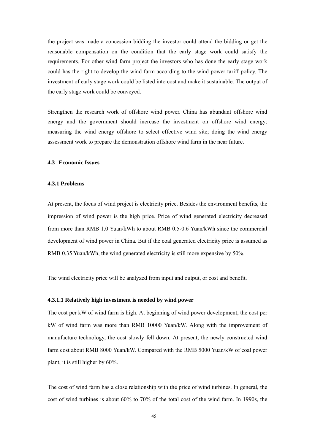the project was made a concession bidding the investor could attend the bidding or get the reasonable compensation on the condition that the early stage work could satisfy the requirements. For other wind farm project the investors who has done the early stage work could has the right to develop the wind farm according to the wind power tariff policy. The investment of early stage work could be listed into cost and make it sustainable. The output of the early stage work could be conveyed.

Strengthen the research work of offshore wind power. China has abundant offshore wind energy and the government should increase the investment on offshore wind energy; measuring the wind energy offshore to select effective wind site; doing the wind energy assessment work to prepare the demonstration offshore wind farm in the near future.

# **4.3 Economic Issues**

# **4.3.1 Problems**

At present, the focus of wind project is electricity price. Besides the environment benefits, the impression of wind power is the high price. Price of wind generated electricity decreased from more than RMB 1.0 Yuan/kWh to about RMB 0.5-0.6 Yuan/kWh since the commercial development of wind power in China. But if the coal generated electricity price is assumed as RMB 0.35 Yuan/kWh, the wind generated electricity is still more expensive by 50%.

The wind electricity price will be analyzed from input and output, or cost and benefit.

## **4.3.1.1 Relatively high investment is needed by wind power**

The cost per kW of wind farm is high. At beginning of wind power development, the cost per kW of wind farm was more than RMB 10000 Yuan/kW. Along with the improvement of manufacture technology, the cost slowly fell down. At present, the newly constructed wind farm cost about RMB 8000 Yuan/kW. Compared with the RMB 5000 Yuan/kW of coal power plant, it is still higher by 60%.

The cost of wind farm has a close relationship with the price of wind turbines. In general, the cost of wind turbines is about 60% to 70% of the total cost of the wind farm. In 1990s, the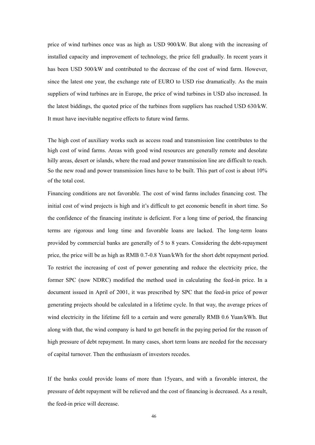price of wind turbines once was as high as USD 900/kW. But along with the increasing of installed capacity and improvement of technology, the price fell gradually. In recent years it has been USD 500/kW and contributed to the decrease of the cost of wind farm. However, since the latest one year, the exchange rate of EURO to USD rise dramatically. As the main suppliers of wind turbines are in Europe, the price of wind turbines in USD also increased. In the latest biddings, the quoted price of the turbines from suppliers has reached USD 630/kW. It must have inevitable negative effects to future wind farms.

The high cost of auxiliary works such as access road and transmission line contributes to the high cost of wind farms. Areas with good wind resources are generally remote and desolate hilly areas, desert or islands, where the road and power transmission line are difficult to reach. So the new road and power transmission lines have to be built. This part of cost is about 10% of the total cost.

Financing conditions are not favorable. The cost of wind farms includes financing cost. The initial cost of wind projects is high and it's difficult to get economic benefit in short time. So the confidence of the financing institute is deficient. For a long time of period, the financing terms are rigorous and long time and favorable loans are lacked. The long-term loans provided by commercial banks are generally of 5 to 8 years. Considering the debt-repayment price, the price will be as high as RMB 0.7-0.8 Yuan/kWh for the short debt repayment period. To restrict the increasing of cost of power generating and reduce the electricity price, the former SPC (now NDRC) modified the method used in calculating the feed-in price. In a document issued in April of 2001, it was prescribed by SPC that the feed-in price of power generating projects should be calculated in a lifetime cycle. In that way, the average prices of wind electricity in the lifetime fell to a certain and were generally RMB 0.6 Yuan/kWh. But along with that, the wind company is hard to get benefit in the paying period for the reason of high pressure of debt repayment. In many cases, short term loans are needed for the necessary of capital turnover. Then the enthusiasm of investors recedes.

If the banks could provide loans of more than 15years, and with a favorable interest, the pressure of debt repayment will be relieved and the cost of financing is decreased. As a result, the feed-in price will decrease.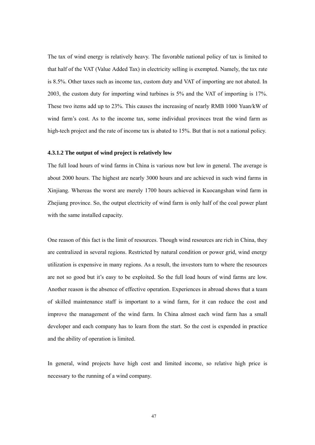The tax of wind energy is relatively heavy. The favorable national policy of tax is limited to that half of the VAT (Value Added Tax) in electricity selling is exempted. Namely, the tax rate is 8.5%. Other taxes such as income tax, custom duty and VAT of importing are not abated. In 2003, the custom duty for importing wind turbines is 5% and the VAT of importing is 17%. These two items add up to 23%. This causes the increasing of nearly RMB 1000 Yuan/kW of wind farm's cost. As to the income tax, some individual provinces treat the wind farm as high-tech project and the rate of income tax is abated to 15%. But that is not a national policy.

# **4.3.1.2 The output of wind project is relatively low**

The full load hours of wind farms in China is various now but low in general. The average is about 2000 hours. The highest are nearly 3000 hours and are achieved in such wind farms in Xinjiang. Whereas the worst are merely 1700 hours achieved in Kuocangshan wind farm in Zhejiang province. So, the output electricity of wind farm is only half of the coal power plant with the same installed capacity.

One reason of this fact is the limit of resources. Though wind resources are rich in China, they are centralized in several regions. Restricted by natural condition or power grid, wind energy utilization is expensive in many regions. As a result, the investors turn to where the resources are not so good but it's easy to be exploited. So the full load hours of wind farms are low. Another reason is the absence of effective operation. Experiences in abroad shows that a team of skilled maintenance staff is important to a wind farm, for it can reduce the cost and improve the management of the wind farm. In China almost each wind farm has a small developer and each company has to learn from the start. So the cost is expended in practice and the ability of operation is limited.

In general, wind projects have high cost and limited income, so relative high price is necessary to the running of a wind company.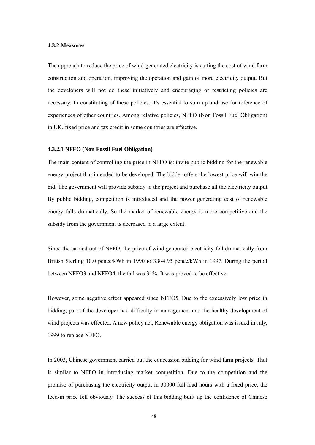## **4.3.2 Measures**

The approach to reduce the price of wind-generated electricity is cutting the cost of wind farm construction and operation, improving the operation and gain of more electricity output. But the developers will not do these initiatively and encouraging or restricting policies are necessary. In constituting of these policies, it's essential to sum up and use for reference of experiences of other countries. Among relative policies, NFFO (Non Fossil Fuel Obligation) in UK, fixed price and tax credit in some countries are effective.

#### **4.3.2.1 NFFO (Non Fossil Fuel Obligation)**

The main content of controlling the price in NFFO is: invite public bidding for the renewable energy project that intended to be developed. The bidder offers the lowest price will win the bid. The government will provide subsidy to the project and purchase all the electricity output. By public bidding, competition is introduced and the power generating cost of renewable energy falls dramatically. So the market of renewable energy is more competitive and the subsidy from the government is decreased to a large extent.

Since the carried out of NFFO, the price of wind-generated electricity fell dramatically from British Sterling 10.0 pence/kWh in 1990 to 3.8-4.95 pence/kWh in 1997. During the period between NFFO3 and NFFO4, the fall was 31%. It was proved to be effective.

However, some negative effect appeared since NFFO5. Due to the excessively low price in bidding, part of the developer had difficulty in management and the healthy development of wind projects was effected. A new policy act, Renewable energy obligation was issued in July, 1999 to replace NFFO.

In 2003, Chinese government carried out the concession bidding for wind farm projects. That is similar to NFFO in introducing market competition. Due to the competition and the promise of purchasing the electricity output in 30000 full load hours with a fixed price, the feed-in price fell obviously. The success of this bidding built up the confidence of Chinese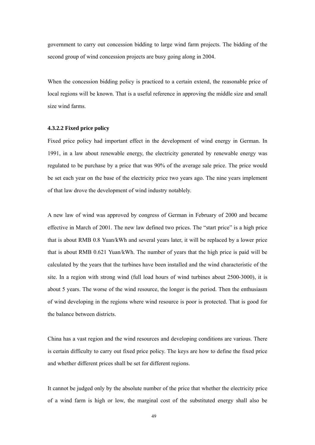government to carry out concession bidding to large wind farm projects. The bidding of the second group of wind concession projects are busy going along in 2004.

When the concession bidding policy is practiced to a certain extend, the reasonable price of local regions will be known. That is a useful reference in approving the middle size and small size wind farms.

#### **4.3.2.2 Fixed price policy**

Fixed price policy had important effect in the development of wind energy in German. In 1991, in a law about renewable energy, the electricity generated by renewable energy was regulated to be purchase by a price that was 90% of the average sale price. The price would be set each year on the base of the electricity price two years ago. The nine years implement of that law drove the development of wind industry notablely.

A new law of wind was approved by congress of German in February of 2000 and became effective in March of 2001. The new law defined two prices. The "start price" is a high price that is about RMB 0.8 Yuan/kWh and several years later, it will be replaced by a lower price that is about RMB 0.621 Yuan/kWh. The number of years that the high price is paid will be calculated by the years that the turbines have been installed and the wind characteristic of the site. In a region with strong wind (full load hours of wind turbines about 2500-3000), it is about 5 years. The worse of the wind resource, the longer is the period. Then the enthusiasm of wind developing in the regions where wind resource is poor is protected. That is good for the balance between districts.

China has a vast region and the wind resources and developing conditions are various. There is certain difficulty to carry out fixed price policy. The keys are how to define the fixed price and whether different prices shall be set for different regions.

It cannot be judged only by the absolute number of the price that whether the electricity price of a wind farm is high or low, the marginal cost of the substituted energy shall also be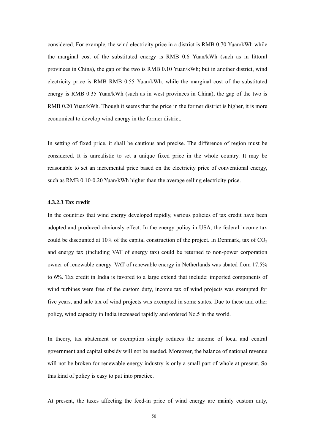considered. For example, the wind electricity price in a district is RMB 0.70 Yuan/kWh while the marginal cost of the substituted energy is RMB 0.6 Yuan/kWh (such as in littoral provinces in China), the gap of the two is RMB 0.10 Yuan/kWh; but in another district, wind electricity price is RMB RMB 0.55 Yuan/kWh, while the marginal cost of the substituted energy is RMB 0.35 Yuan/kWh (such as in west provinces in China), the gap of the two is RMB 0.20 Yuan/kWh. Though it seems that the price in the former district is higher, it is more economical to develop wind energy in the former district.

In setting of fixed price, it shall be cautious and precise. The difference of region must be considered. It is unrealistic to set a unique fixed price in the whole country. It may be reasonable to set an incremental price based on the electricity price of conventional energy, such as RMB 0.10-0.20 Yuan/kWh higher than the average selling electricity price.

### **4.3.2.3 Tax credit**

In the countries that wind energy developed rapidly, various policies of tax credit have been adopted and produced obviously effect. In the energy policy in USA, the federal income tax could be discounted at 10% of the capital construction of the project. In Denmark, tax of  $CO<sub>2</sub>$ and energy tax (including VAT of energy tax) could be returned to non-power corporation owner of renewable energy. VAT of renewable energy in Netherlands was abated from 17.5% to 6%. Tax credit in India is favored to a large extend that include: imported components of wind turbines were free of the custom duty, income tax of wind projects was exempted for five years, and sale tax of wind projects was exempted in some states. Due to these and other policy, wind capacity in India increased rapidly and ordered No.5 in the world.

In theory, tax abatement or exemption simply reduces the income of local and central government and capital subsidy will not be needed. Moreover, the balance of national revenue will not be broken for renewable energy industry is only a small part of whole at present. So this kind of policy is easy to put into practice.

At present, the taxes affecting the feed-in price of wind energy are mainly custom duty,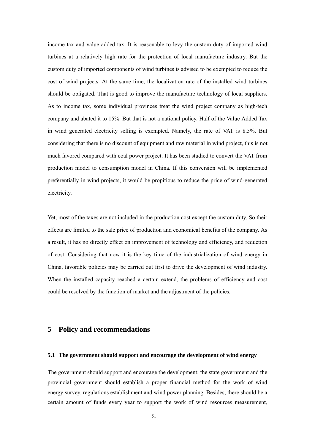income tax and value added tax. It is reasonable to levy the custom duty of imported wind turbines at a relatively high rate for the protection of local manufacture industry. But the custom duty of imported components of wind turbines is advised to be exempted to reduce the cost of wind projects. At the same time, the localization rate of the installed wind turbines should be obligated. That is good to improve the manufacture technology of local suppliers. As to income tax, some individual provinces treat the wind project company as high-tech company and abated it to 15%. But that is not a national policy. Half of the Value Added Tax in wind generated electricity selling is exempted. Namely, the rate of VAT is 8.5%. But considering that there is no discount of equipment and raw material in wind project, this is not much favored compared with coal power project. It has been studied to convert the VAT from production model to consumption model in China. If this conversion will be implemented preferentially in wind projects, it would be propitious to reduce the price of wind-generated electricity.

Yet, most of the taxes are not included in the production cost except the custom duty. So their effects are limited to the sale price of production and economical benefits of the company. As a result, it has no directly effect on improvement of technology and efficiency, and reduction of cost. Considering that now it is the key time of the industrialization of wind energy in China, favorable policies may be carried out first to drive the development of wind industry. When the installed capacity reached a certain extend, the problems of efficiency and cost could be resolved by the function of market and the adjustment of the policies.

# **5 Policy and recommendations**

#### **5.1 The government should support and encourage the development of wind energy**

The government should support and encourage the development; the state government and the provincial government should establish a proper financial method for the work of wind energy survey, regulations establishment and wind power planning. Besides, there should be a certain amount of funds every year to support the work of wind resources measurement,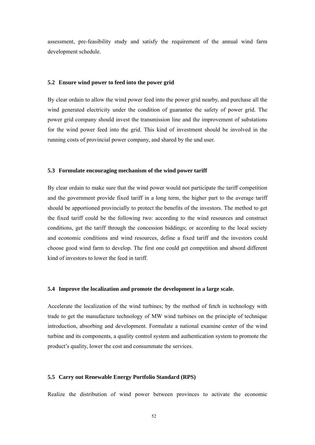assessment, pre-feasibility study and satisfy the requirement of the annual wind farm development schedule.

#### **5.2 Ensure wind power to feed into the power grid**

By clear ordain to allow the wind power feed into the power grid nearby, and purchase all the wind generated electricity under the condition of guarantee the safety of power grid. The power grid company should invest the transmission line and the improvement of substations for the wind power feed into the grid. This kind of investment should be involved in the running costs of provincial power company, and shared by the und user.

#### **5.3 Formulate encouraging mechanism of the wind power tariff**

By clear ordain to make sure that the wind power would not participate the tariff competition and the government provide fixed tariff in a long term, the higher part to the average tariff should be apportioned provincially to protect the benefits of the investors. The method to get the fixed tariff could be the following two: according to the wind resources and construct conditions, get the tariff through the concession biddings; or according to the local society and economic conditions and wind resources, define a fixed tariff and the investors could choose good wind farm to develop. The first one could get competition and absord different kind of investors to lower the feed in tariff.

#### **5.4 Improve the localization and promote the development in a large scale.**

Accelerate the localization of the wind turbines; by the method of fetch in technology with trade to get the manufacture technology of MW wind turbines on the principle of technique introduction, absorbing and development. Formulate a national examine center of the wind turbine and its components, a quality control system and authentication system to promote the product's quality, lower the cost and consummate the services.

### **5.5 Carry out Renewable Energy Portfolio Standard (RPS)**

Realize the distribution of wind power between provinces to activate the economic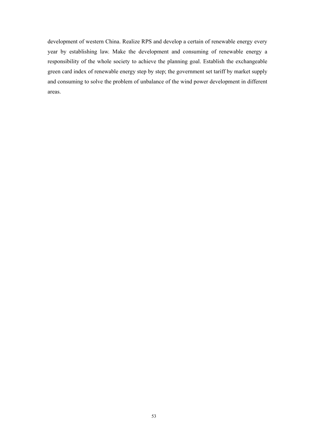development of western China. Realize RPS and develop a certain of renewable energy every year by establishing law. Make the development and consuming of renewable energy a responsibility of the whole society to achieve the planning goal. Establish the exchangeable green card index of renewable energy step by step; the government set tariff by market supply and consuming to solve the problem of unbalance of the wind power development in different areas.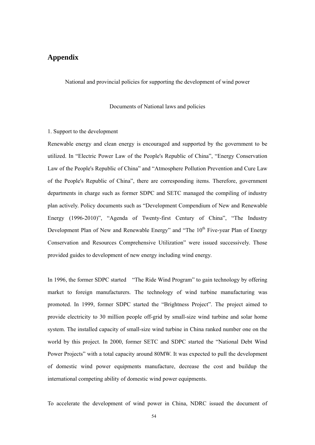# **Appendix**

National and provincial policies for supporting the development of wind power

## Documents of National laws and policies

# 1. Support to the development

Renewable energy and clean energy is encouraged and supported by the government to be utilized. In "Electric Power Law of the People's Republic of China", "Energy Conservation Law of the People's Republic of China" and "Atmosphere Pollution Prevention and Cure Law of the People's Republic of China", there are corresponding items. Therefore, government departments in charge such as former SDPC and SETC managed the compiling of industry plan actively. Policy documents such as "Development Compendium of New and Renewable Energy (1996-2010)", "Agenda of Twenty-first Century of China", "The Industry Development Plan of New and Renewable Energy" and "The  $10<sup>th</sup>$  Five-year Plan of Energy Conservation and Resources Comprehensive Utilization" were issued successively. Those provided guides to development of new energy including wind energy.

In 1996, the former SDPC started "The Ride Wind Program" to gain technology by offering market to foreign manufacturers. The technology of wind turbine manufacturing was promoted. In 1999, former SDPC started the "Brightness Project". The project aimed to provide electricity to 30 million people off-grid by small-size wind turbine and solar home system. The installed capacity of small-size wind turbine in China ranked number one on the world by this project. In 2000, former SETC and SDPC started the "National Debt Wind Power Projects" with a total capacity around 80MW. It was expected to pull the development of domestic wind power equipments manufacture, decrease the cost and buildup the international competing ability of domestic wind power equipments.

To accelerate the development of wind power in China, NDRC issued the document of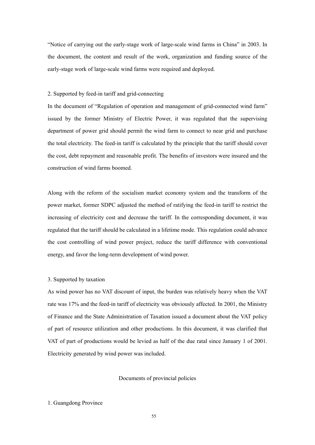"Notice of carrying out the early-stage work of large-scale wind farms in China" in 2003. In the document, the content and result of the work, organization and funding source of the early-stage work of large-scale wind farms were required and deployed.

### 2. Supported by feed-in tariff and grid-connecting

In the document of "Regulation of operation and management of grid-connected wind farm" issued by the former Ministry of Electric Power, it was regulated that the supervising department of power grid should permit the wind farm to connect to near grid and purchase the total electricity. The feed-in tariff is calculated by the principle that the tariff should cover the cost, debt repayment and reasonable profit. The benefits of investors were insured and the construction of wind farms boomed.

Along with the reform of the socialism market economy system and the transform of the power market, former SDPC adjusted the method of ratifying the feed-in tariff to restrict the increasing of electricity cost and decrease the tariff. In the corresponding document, it was regulated that the tariff should be calculated in a lifetime mode. This regulation could advance the cost controlling of wind power project, reduce the tariff difference with conventional energy, and favor the long-term development of wind power.

## 3. Supported by taxation

As wind power has no VAT discount of input, the burden was relatively heavy when the VAT rate was 17% and the feed-in tariff of electricity was obviously affected. In 2001, the Ministry of Finance and the State Administration of Taxation issued a document about the VAT policy of part of resource utilization and other productions. In this document, it was clarified that VAT of part of productions would be levied as half of the due ratal since January 1 of 2001. Electricity generated by wind power was included.

#### Documents of provincial policies

#### 1. Guangdong Province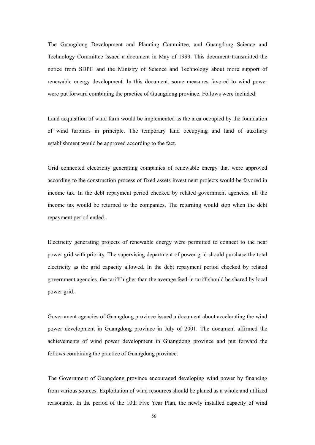The Guangdong Development and Planning Committee, and Guangdong Science and Technology Committee issued a document in May of 1999. This document transmitted the notice from SDPC and the Ministry of Science and Technology about more support of renewable energy development. In this document, some measures favored to wind power were put forward combining the practice of Guangdong province. Follows were included:

Land acquisition of wind farm would be implemented as the area occupied by the foundation of wind turbines in principle. The temporary land occupying and land of auxiliary establishment would be approved according to the fact.

Grid connected electricity generating companies of renewable energy that were approved according to the construction process of fixed assets investment projects would be favored in income tax. In the debt repayment period checked by related government agencies, all the income tax would be returned to the companies. The returning would stop when the debt repayment period ended.

Electricity generating projects of renewable energy were permitted to connect to the near power grid with priority. The supervising department of power grid should purchase the total electricity as the grid capacity allowed. In the debt repayment period checked by related government agencies, the tariff higher than the average feed-in tariff should be shared by local power grid.

Government agencies of Guangdong province issued a document about accelerating the wind power development in Guangdong province in July of 2001. The document affirmed the achievements of wind power development in Guangdong province and put forward the follows combining the practice of Guangdong province:

The Government of Guangdong province encouraged developing wind power by financing from various sources. Exploitation of wind resources should be planed as a whole and utilized reasonable. In the period of the 10th Five Year Plan, the newly installed capacity of wind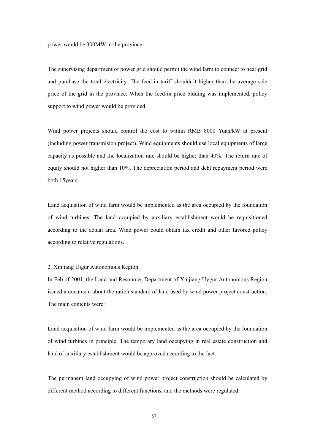power would be 300MW in the province.

The supervising department of power grid should permit the wind farm to connect to near grid and purchase the total electricity. The feed-in tariff shouldn't higher than the average sale price of the grid in the province. When the feed-in price bidding was implemented, policy support to wind power would be provided.

Wind power projects should control the cost to within RMB 8000 Yuan/kW at present (including power transmision project). Wind equipments should use local equipments of large capacity as possible and the localization rate should be higher than 40%. The return rate of equity should not higher than 10%. The depreciation period and debt repayment period were both 15years.

Land acquisition of wind farm would be implemented as the area occupied by the foundation of wind turbines. The land occupied by auxiliary establishment would be requisitioned according to the actual area. Wind power could obtain tax credit and other favored policy according to relative regulations.

#### 2. Xinjiang Uigur Autonomous Region

In Feb of 2001, the Land and Resources Department of Xinjiang Uygur Autonomous Region issued a document about the ration standard of land used by wind power project construction. The main contents were:

Land acquisition of wind farm would be implemented as the area occupied by the foundation of wind turbines in principle. The temporary land occupying in real estate construction and land of auxiliary establishment would be approved according to the fact.

The permanent land occupying of wind power project construction should be calculated by different method according to different functions, and the methods were regulated.

57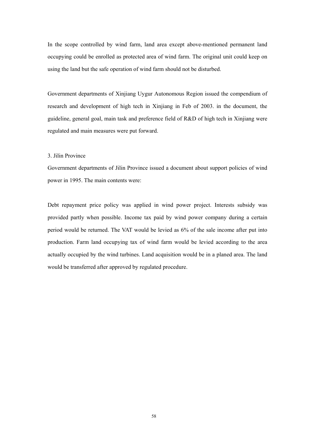In the scope controlled by wind farm, land area except above-mentioned permanent land occupying could be enrolled as protected area of wind farm. The original unit could keep on using the land but the safe operation of wind farm should not be disturbed.

Government departments of Xinjiang Uygur Autonomous Region issued the compendium of research and development of high tech in Xinjiang in Feb of 2003. in the document, the guideline, general goal, main task and preference field of R&D of high tech in Xinjiang were regulated and main measures were put forward.

#### 3. Jilin Province

Government departments of Jilin Province issued a document about support policies of wind power in 1995. The main contents were:

Debt repayment price policy was applied in wind power project. Interests subsidy was provided partly when possible. Income tax paid by wind power company during a certain period would be returned. The VAT would be levied as 6% of the sale income after put into production. Farm land occupying tax of wind farm would be levied according to the area actually occupied by the wind turbines. Land acquisition would be in a planed area. The land would be transferred after approved by regulated procedure.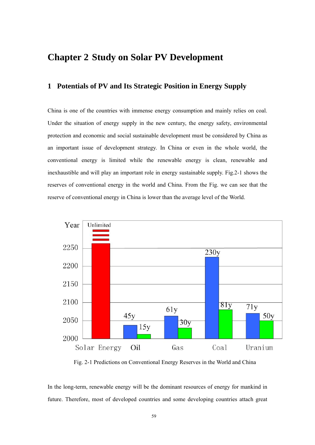# **Chapter 2 Study on Solar PV Development**

# **1 Potentials of PV and Its Strategic Position in Energy Supply**

China is one of the countries with immense energy consumption and mainly relies on coal. Under the situation of energy supply in the new century, the energy safety, environmental protection and economic and social sustainable development must be considered by China as an important issue of development strategy. In China or even in the whole world, the conventional energy is limited while the renewable energy is clean, renewable and inexhaustible and will play an important role in energy sustainable supply. Fig.2-1 shows the reserves of conventional energy in the world and China. From the Fig. we can see that the reserve of conventional energy in China is lower than the average level of the World.



Fig. 2-1 Predictions on Conventional Energy Reserves in the World and China

In the long-term, renewable energy will be the dominant resources of energy for mankind in future. Therefore, most of developed countries and some developing countries attach great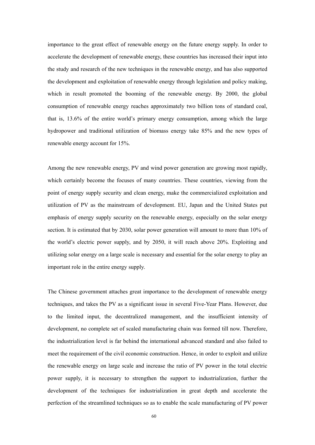importance to the great effect of renewable energy on the future energy supply. In order to accelerate the development of renewable energy, these countries has increased their input into the study and research of the new techniques in the renewable energy, and has also supported the development and exploitation of renewable energy through legislation and policy making, which in result promoted the booming of the renewable energy. By 2000, the global consumption of renewable energy reaches approximately two billion tons of standard coal, that is, 13.6% of the entire world's primary energy consumption, among which the large hydropower and traditional utilization of biomass energy take 85% and the new types of renewable energy account for 15%.

Among the new renewable energy, PV and wind power generation are growing most rapidly, which certainly become the focuses of many countries. These countries, viewing from the point of energy supply security and clean energy, make the commercialized exploitation and utilization of PV as the mainstream of development. EU, Japan and the United States put emphasis of energy supply security on the renewable energy, especially on the solar energy section. It is estimated that by 2030, solar power generation will amount to more than 10% of the world's electric power supply, and by 2050, it will reach above 20%. Exploiting and utilizing solar energy on a large scale is necessary and essential for the solar energy to play an important role in the entire energy supply.

The Chinese government attaches great importance to the development of renewable energy techniques, and takes the PV as a significant issue in several Five-Year Plans. However, due to the limited input, the decentralized management, and the insufficient intensity of development, no complete set of scaled manufacturing chain was formed till now. Therefore, the industrialization level is far behind the international advanced standard and also failed to meet the requirement of the civil economic construction. Hence, in order to exploit and utilize the renewable energy on large scale and increase the ratio of PV power in the total electric power supply, it is necessary to strengthen the support to industrialization, further the development of the techniques for industrialization in great depth and accelerate the perfection of the streamlined techniques so as to enable the scale manufacturing of PV power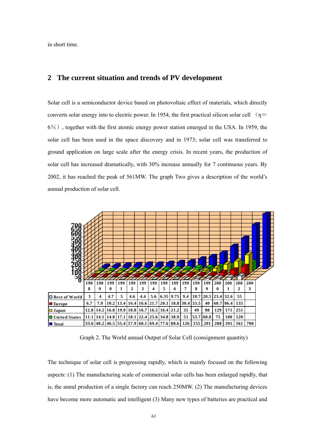in short time.

# **The current situation and trends of PV development**

Solar cell is a semiconductor device based on photovoltaic effect of materials, which directly converts solar energy into to electric power. In 1954, the first practical silicon solar cell  $(\eta=$ %), together with the first atomic energy power station emerged in the USA. In 1959, the solar cell has been used in the space discovery and in 1973; solar cell was transferred to ground application on large scale after the energy crisis. In recent years, the production of solar cell has increased dramatically, with 30% increase annually for 7 continuous years. By 2002, it has reached the peak of 561MW. The graph Two gives a description of the world's annual production of solar cell.



Graph 2. The World annual Output of Solar Cell (consignment quantity)

The technique of solar cell is progressing rapidly, which is mainly focused on the following aspects: (1) The manufacturing scale of commercial solar cells has been enlarged rapidly, that is, the annul production of a single factory can reach 250MW. (2) The manufacturing devices have become more automatic and intelligent (3) Many new types of batteries are practical and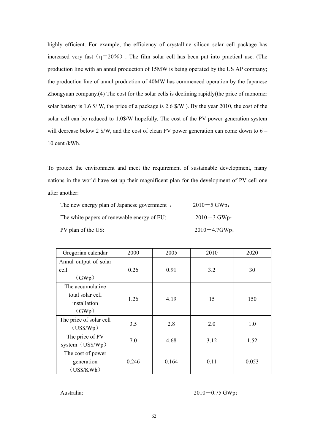highly efficient. For example, the efficiency of crystalline silicon solar cell package has increased very fast  $(\eta=20\%)$ . The film solar cell has been put into practical use. (The production line with an annul production of 15MW is being operated by the US AP company; the production line of annul production of 40MW has commenced operation by the Japanese Zhongyuan company.(4) The cost for the solar cells is declining rapidly(the price of monomer solar battery is 1.6 \$/ W, the price of a package is 2.6 \$/W ). By the year 2010, the cost of the solar cell can be reduced to 1.0\$/W hopefully. The cost of the PV power generation system will decrease below 2  $\frac{1}{2}$  W, and the cost of clean PV power generation can come down to 6 – 10 cent /kWh.

To protect the environment and meet the requirement of sustainable development, many nations in the world have set up their magnificent plan for the development of PV cell one after another:

| The new energy plan of Japanese government : | $2010 - 5$ GWp;   |
|----------------------------------------------|-------------------|
| The white papers of renewable energy of EU:  | $2010 - 3$ GWp;   |
| PV plan of the US:                           | $2010 - 4.7$ GWp; |

| Gregorian calendar                                            | 2000  | 2005  | 2010 | 2020  |
|---------------------------------------------------------------|-------|-------|------|-------|
| Annul output of solar<br>cell<br>(GWp)                        | 0.26  | 0.91  | 3.2  | 30    |
| The accumulative<br>total solar cell<br>installation<br>(GWp) | 1.26  | 4.19  | 15   | 150   |
| The price of solar cell<br>$(US\$/Wp)$                        | 3.5   | 2.8   | 2.0  | 1.0   |
| The price of PV<br>system (US\$/Wp)                           | 7.0   | 4.68  | 3.12 | 1.52  |
| The cost of power<br>generation<br>(US\$/KWh)                 | 0.246 | 0.164 | 0.11 | 0.053 |

Australia: 2010-0.75 GWp;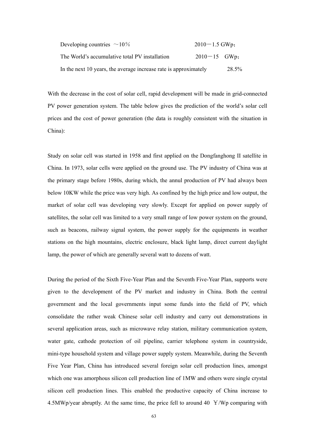| Developing countries $\sim$ 10%                                  | $2010 - 1.5$ GWp; |  |
|------------------------------------------------------------------|-------------------|--|
| The World's accumulative total PV installation                   | $2010 - 15$ GWp;  |  |
| In the next 10 years, the average increase rate is approximately |                   |  |

With the decrease in the cost of solar cell, rapid development will be made in grid-connected PV power generation system. The table below gives the prediction of the world's solar cell prices and the cost of power generation (the data is roughly consistent with the situation in China):

Study on solar cell was started in 1958 and first applied on the Dongfanghong II satellite in China. In 1973, solar cells were applied on the ground use. The PV industry of China was at the primary stage before 1980s, during which, the annul production of PV had always been below 10KW while the price was very high. As confined by the high price and low output, the market of solar cell was developing very slowly. Except for applied on power supply of satellites, the solar cell was limited to a very small range of low power system on the ground, such as beacons, railway signal system, the power supply for the equipments in weather stations on the high mountains, electric enclosure, black light lamp, direct current daylight lamp, the power of which are generally several watt to dozens of watt.

During the period of the Sixth Five-Year Plan and the Seventh Five-Year Plan, supports were given to the development of the PV market and industry in China. Both the central government and the local governments input some funds into the field of PV, which consolidate the rather weak Chinese solar cell industry and carry out demonstrations in several application areas, such as microwave relay station, military communication system, water gate, cathode protection of oil pipeline, carrier telephone system in countryside, mini-type household system and village power supply system. Meanwhile, during the Seventh Five Year Plan, China has introduced several foreign solar cell production lines, amongst which one was amorphous silicon cell production line of 1MW and others were single crystal silicon cell production lines. This enabled the productive capacity of China increase to 4.5MWp/year abruptly. At the same time, the price fell to around 40  $\angle Y/Wp$  comparing with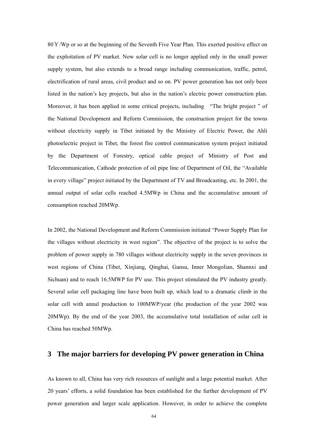80¥/Wp or so at the beginning of the Seventh Five Year Plan. This exerted positive effect on the exploitation of PV market. Now solar cell is no longer applied only in the small power supply system, but also extends to a broad range including communication, traffic, petrol, electrification of rural areas, civil product and so on. PV power generation has not only been listed in the nation's key projects, but also in the nation's electric power construction plan. Moreover, it has been applied in some critical projects, including "The bright project" of the National Development and Reform Commission, the construction project for the towns without electricity supply in Tibet initiated by the Ministry of Electric Power, the Ahli photoelectric project in Tibet, the forest fire control communication system project initiated by the Department of Forestry, optical cable project of Ministry of Post and Telecommunication, Cathode protection of oil pipe line of Department of Oil, the "Available in every village" project initiated by the Department of TV and Broadcasting, etc. In 2001, the annual output of solar cells reached 4.5MWp in China and the accumulative amount of consumption reached 20MWp.

In 2002, the National Development and Reform Commission initiated "Power Supply Plan for the villages without electricity in west region". The objective of the project is to solve the problem of power supply in 780 villages without electricity supply in the seven provinces in west regions of China (Tibet, Xinjiang, Qinghai, Gansu, Inner Mongolian, Shannxi and Sichuan) and to reach 16.5MWP for PV use. This project stimulated the PV industry greatly. Several solar cell packaging line have been built up, which lead to a dramatic climb in the solar cell with annul production to 100MWP/year (the production of the year 2002 was 20MWp). By the end of the year 2003, the accumulative total installation of solar cell in China has reached 50MWp.

# **3 The major barriers for developing PV power generation in China**

As known to all, China has very rich resources of sunlight and a large potential market. After 20 years' efforts, a solid foundation has been established for the further development of PV power generation and larger scale application. However, in order to achieve the complete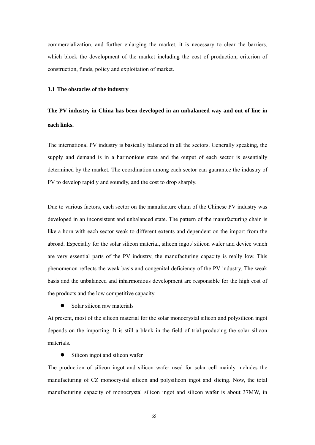commercialization, and further enlarging the market, it is necessary to clear the barriers, which block the development of the market including the cost of production, criterion of construction, funds, policy and exploitation of market.

# **3.1 The obstacles of the industry**

# **The PV industry in China has been developed in an unbalanced way and out of line in each links.**

The international PV industry is basically balanced in all the sectors. Generally speaking, the supply and demand is in a harmonious state and the output of each sector is essentially determined by the market. The coordination among each sector can guarantee the industry of PV to develop rapidly and soundly, and the cost to drop sharply.

Due to various factors, each sector on the manufacture chain of the Chinese PV industry was developed in an inconsistent and unbalanced state. The pattern of the manufacturing chain is like a horn with each sector weak to different extents and dependent on the import from the abroad. Especially for the solar silicon material, silicon ingot/ silicon wafer and device which are very essential parts of the PV industry, the manufacturing capacity is really low. This phenomenon reflects the weak basis and congenital deficiency of the PV industry. The weak basis and the unbalanced and inharmonious development are responsible for the high cost of the products and the low competitive capacity.

Solar silicon raw materials

At present, most of the silicon material for the solar monocrystal silicon and polysilicon ingot depends on the importing. It is still a blank in the field of trial-producing the solar silicon materials.

 $\bullet$  Silicon ingot and silicon wafer

The production of silicon ingot and silicon wafer used for solar cell mainly includes the manufacturing of CZ monocrystal silicon and polysilicon ingot and slicing. Now, the total manufacturing capacity of monocrystal silicon ingot and silicon wafer is about 37MW, in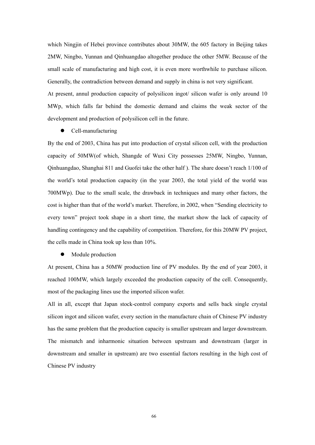which Ningjin of Hebei province contributes about 30 MW, the 605 factory in Beijing takes 2MW, Ningbo, Yunnan and Qinhuangdao altogether produce the other 5MW. Because of the small scale of manufacturing and high cost, it is even more worthwhile to purchase silicon. Generally, the contradiction between demand and supply in china is not very significant.

At present, annul production capacity of polysilicon ingot/ silicon wafer is only around 10 MWp, which falls far behind the domestic demand and claims the weak sector of the development and production of polysilicon cell in the future.

# $\bullet$  Cell-manufacturing

By the end of 2003, China has put into production of crystal silicon cell, with the production capacity of 50MW(of which, Shangde of Wuxi City possesses 25MW, Ningbo, Yunnan, Qinhuangdao, Shanghai 811 and Guofei take the other half ). The share doesn't reach 1/100 of the world's total production capacity (in the year 2003, the total yield of the world was 700MWp). Due to the small scale, the drawback in techniques and many other factors, the cost is higher than that of the world's market. Therefore, in 2002, when "Sending electricity to every town" project took shape in a short time, the market show the lack of capacity of handling contingency and the capability of competition. Therefore, for this 20MW PV project, the cells made in China took up less than 10%.

• Module production

At present, China has a 50MW production line of PV modules. By the end of year 2003, it reached 100MW, which largely exceeded the production capacity of the cell. Consequently, most of the packaging lines use the imported silicon wafer.

All in all, except that Japan stock-control company exports and sells back single crystal silicon ingot and silicon wafer, every section in the manufacture chain of Chinese PV industry has the same problem that the production capacity is smaller upstream and larger downstream. The mismatch and inharmonic situation between upstream and downstream (larger in downstream and smaller in upstream) are two essential factors resulting in the high cost of Chinese PV industry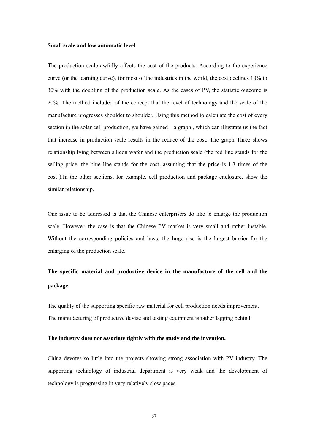#### **Small scale and low automatic level**

The production scale awfully affects the cost of the products. According to the experience curve (or the learning curve), for most of the industries in the world, the cost declines 10% to 30% with the doubling of the production scale. As the cases of PV, the statistic outcome is 20%. The method included of the concept that the level of technology and the scale of the manufacture progresses shoulder to shoulder. Using this method to calculate the cost of every section in the solar cell production, we have gained a graph , which can illustrate us the fact that increase in production scale results in the reduce of the cost. The graph Three shows relationship lying between silicon wafer and the production scale (the red line stands for the selling price, the blue line stands for the cost, assuming that the price is 1.3 times of the cost ).In the other sections, for example, cell production and package enclosure, show the similar relationship.

One issue to be addressed is that the Chinese enterprisers do like to enlarge the production scale. However, the case is that the Chinese PV market is very small and rather instable. Without the corresponding policies and laws, the huge rise is the largest barrier for the enlarging of the production scale.

# **The specific material and productive device in the manufacture of the cell and the package**

The quality of the supporting specific raw material for cell production needs improvement. The manufacturing of productive devise and testing equipment is rather lagging behind.

#### **The industry does not associate tightly with the study and the invention.**

China devotes so little into the projects showing strong association with PV industry. The supporting technology of industrial department is very weak and the development of technology is progressing in very relatively slow paces.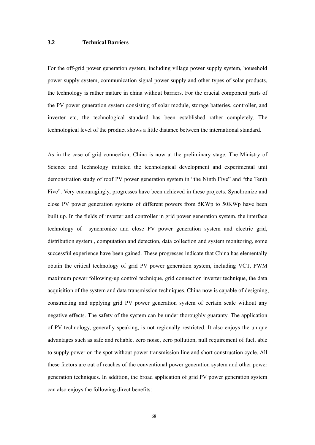#### **3.2 Technical Barriers**

For the off-grid power generation system, including village power supply system, household power supply system, communication signal power supply and other types of solar products, the technology is rather mature in china without barriers. For the crucial component parts of the PV power generation system consisting of solar module, storage batteries, controller, and inverter etc, the technological standard has been established rather completely. The technological level of the product shows a little distance between the international standard.

As in the case of grid connection, China is now at the preliminary stage. The Ministry of Science and Technology initiated the technological development and experimental unit demonstration study of roof PV power generation system in "the Ninth Five" and "the Tenth Five". Very encouragingly, progresses have been achieved in these projects. Synchronize and close PV power generation systems of different powers from 5KWp to 50KWp have been built up. In the fields of inverter and controller in grid power generation system, the interface technology of synchronize and close PV power generation system and electric grid, distribution system , computation and detection, data collection and system monitoring, some successful experience have been gained. These progresses indicate that China has elementally obtain the critical technology of grid PV power generation system, including VCT, PWM maximum power following-up control technique, grid connection inverter technique, the data acquisition of the system and data transmission techniques. China now is capable of designing, constructing and applying grid PV power generation system of certain scale without any negative effects. The safety of the system can be under thoroughly guaranty. The application of PV technology, generally speaking, is not regionally restricted. It also enjoys the unique advantages such as safe and reliable, zero noise, zero pollution, null requirement of fuel, able to supply power on the spot without power transmission line and short construction cycle. All these factors are out of reaches of the conventional power generation system and other power generation techniques. In addition, the broad application of grid PV power generation system can also enjoys the following direct benefits: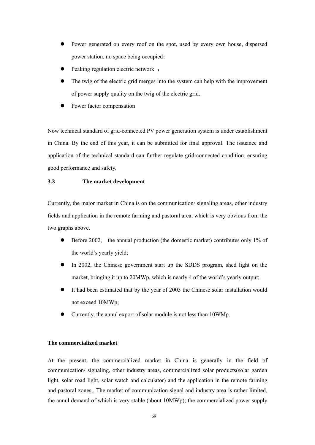- Power generated on every roof on the spot, used by every own house, dispersed power station, no space being occupied;
- Peaking regulation electric network ;
- The twig of the electric grid merges into the system can help with the improvement of power supply quality on the twig of the electric grid.
- Power factor compensation

Now technical standard of grid-connected PV power generation system is under establishment in China. By the end of this year, it can be submitted for final approval. The issuance and application of the technical standard can further regulate grid-connected condition, ensuring good performance and safety.

#### **3.3 The market development**

Currently, the major market in China is on the communication/ signaling areas, other industry fields and application in the remote farming and pastoral area, which is very obvious from the two graphs above.

- $\bullet$  Before 2002, the annual production (the domestic market) contributes only 1% of the world's yearly yield;
- In 2002, the Chinese government start up the SDDS program, shed light on the market, bringing it up to 20MWp, which is nearly 4 of the world's yearly output;
- It had been estimated that by the year of 2003 the Chinese solar installation would not exceed 10MWp;
- Currently, the annul export of solar module is not less than 10WMp.

#### **The commercialized market**

At the present, the commercialized market in China is generally in the field of communication/ signaling, other industry areas, commercialized solar products(solar garden light, solar road light, solar watch and calculator) and the application in the remote farming and pastoral zones,. The market of communication signal and industry area is rather limited, the annul demand of which is very stable (about 10MWp); the commercialized power supply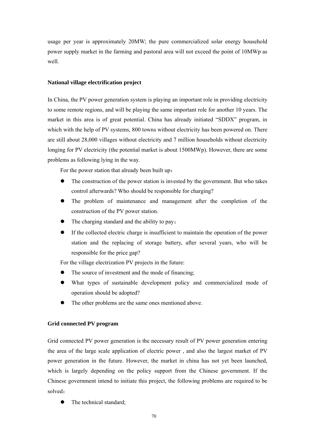usage per year is approximately 20MW; the pure commercialized solar energy household power supply market in the farming and pastoral area will not exceed the point of 10MWp as well.

#### **National village electrification project**

In China, the PV power generation system is playing an important role in providing electricity to some remote regions, and will be playing the same important role for another 10 years. The market in this area is of great potential. China has already initiated "SDDX" program, in which with the help of PV systems, 800 towns without electricity has been powered on. There are still about 28,000 villages without electricity and 7 million households without electricity longing for PV electricity (the potential market is about 1500MWp). However, there are some problems as following lying in the way.

For the power station that already been built up:

- The construction of the power station is invested by the government. But who takes control afterwards? Who should be responsible for charging?
- The problem of maintenance and management after the completion of the construction of the PV power station.
- The charging standard and the ability to pay;
- If the collected electric charge is insufficient to maintain the operation of the power station and the replacing of storage battery, after several years, who will be responsible for the price gap?

For the village electrization PV projects in the future:

- The source of investment and the mode of financing;
- What types of sustainable development policy and commercialized mode of operation should be adopted?
- The other problems are the same ones mentioned above.

# **Grid connected PV program**

Grid connected PV power generation is the necessary result of PV power generation entering the area of the large scale application of electric power , and also the largest market of PV power generation in the future. However, the market in china has not yet been launched, which is largely depending on the policy support from the Chinese government. If the Chinese government intend to initiate this project, the following problems are required to be solved:

The technical standard: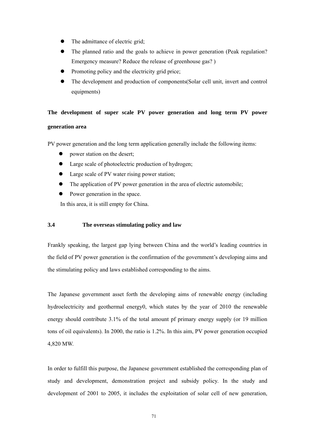- The admittance of electric grid;
- The planned ratio and the goals to achieve in power generation (Peak regulation? Emergency measure? Reduce the release of greenhouse gas? )
- Promoting policy and the electricity grid price;
- The development and production of components(Solar cell unit, invert and control equipments)

# **The development of super scale PV power generation and long term PV power generation area**

PV power generation and the long term application generally include the following items:

- power station on the desert;
- Large scale of photoelectric production of hydrogen;
- Large scale of PV water rising power station;
- The application of PV power generation in the area of electric automobile;
- Power generation in the space.

In this area, it is still empty for China.

#### **3.4 The overseas stimulating policy and law**

Frankly speaking, the largest gap lying between China and the world's leading countries in the field of PV power generation is the confirmation of the government's developing aims and the stimulating policy and laws established corresponding to the aims.

The Japanese government asset forth the developing aims of renewable energy (including hydroelectricity and geothermal energy0, which states by the year of 2010 the renewable energy should contribute 3.1% of the total amount pf primary energy supply (or 19 million tons of oil equivalents). In 2000, the ratio is 1.2%. In this aim, PV power generation occupied 4,820 MW.

In order to fulfill this purpose, the Japanese government established the corresponding plan of study and development, demonstration project and subsidy policy. In the study and development of 2001 to 2005, it includes the exploitation of solar cell of new generation,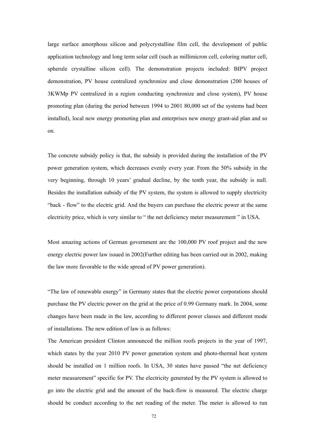large surface amorphous silicon and polycrystalline film cell, the development of public application technology and long term solar cell (such as millimicron cell, coloring matter cell, spherule crystalline silicon cell). The demonstration projects included: BIPV project demonstration, PV house centralized synchronize and close demonstration (200 houses of 3KWMp PV centralized in a region conducting synchronize and close system), PV house promoting plan (during the period between 1994 to 2001 80,000 set of the systems had been installed), local new energy promoting plan and enterprises new energy grant-aid plan and so on.

The concrete subsidy policy is that, the subsidy is provided during the installation of the PV power generation system, which decreases evenly every year. From the 50% subsidy in the very beginning, through 10 years' gradual decline, by the tenth year, the subsidy is null. Besides the installation subsidy of the PV system, the system is allowed to supply electricity "back - flow" to the electric grid. And the buyers can purchase the electric power at the same electricity price, which is very similar to " the net deficiency meter measurement " in USA.

Most amazing actions of German government are the 100,000 PV roof project and the new energy electric power law issued in 2002(Further editing has been carried out in 2002, making the law more favorable to the wide spread of PV power generation).

"The law of renewable energy" in Germany states that the electric power corporations should purchase the PV electric power on the grid at the price of 0.99 Germany mark. In 2004, some changes have been made in the law, according to different power classes and different mode of installations. The new edition of law is as follows:

The American president Clinton announced the million roofs projects in the year of 1997, which states by the year 2010 PV power generation system and photo-thermal heat system should be installed on 1 million roofs. In USA, 30 states have passed "the net deficiency meter measurement" specific for PV. The electricity generated by the PV system is allowed to go into the electric grid and the amount of the back-flow is measured. The electric charge should be conduct according to the net reading of the meter. The meter is allowed to run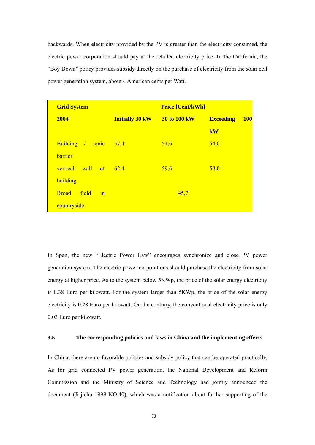backwards. When electricity provided by the PV is greater than the electricity consumed, the electric power corporation should pay at the retailed electricity price. In the California, the "Boy Down" policy provides subsidy directly on the purchase of electricity from the solar cell power generation system, about 4 American cents per Watt.

| <b>Grid System</b>                       |                                     | <b>Price [Cent/kWh]</b> |                                |
|------------------------------------------|-------------------------------------|-------------------------|--------------------------------|
| 2004                                     | <b>Initially 30 kW</b> 30 to 100 kW |                         | <b>100</b><br><b>Exceeding</b> |
|                                          |                                     |                         | kW                             |
| <b>Building</b><br>/ sonic               | 57,4                                | 54,6                    | 54,0                           |
| barrier                                  |                                     |                         |                                |
| vertical wall of 62,4                    |                                     | 59,6                    | 59,0                           |
| building                                 |                                     |                         |                                |
| $\frac{1}{\pi}$<br>field<br><b>Broad</b> |                                     | 45,7                    |                                |
| countryside                              |                                     |                         |                                |

In Span, the new "Electric Power Law" encourages synchronize and close PV power generation system. The electric power corporations should purchase the electricity from solar energy at higher price. As to the system below 5KWp, the price of the solar energy electricity is 0.38 Euro per kilowatt. For the system larger than 5KWp, the price of the solar energy electricity is 0.28 Euro per kilowatt. On the contrary, the conventional electricity price is only 0.03 Euro per kilowatt.

#### **3.5 The corresponding policies and laws in China and the implementing effects**

In China, there are no favorable policies and subsidy policy that can be operated practically. As for grid connected PV power generation, the National Development and Reform Commission and the Ministry of Science and Technology had jointly announced the document (Ji-jichu 1999 NO.40), which was a notification about further supporting of the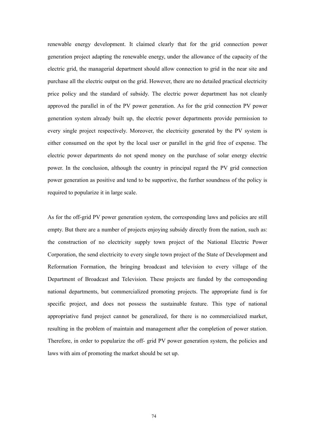renewable energy development. It claimed clearly that for the grid connection power generation project adapting the renewable energy, under the allowance of the capacity of the electric grid, the managerial department should allow connection to grid in the near site and purchase all the electric output on the grid. However, there are no detailed practical electricity price policy and the standard of subsidy. The electric power department has not cleanly approved the parallel in of the PV power generation. As for the grid connection PV power generation system already built up, the electric power departments provide permission to every single project respectively. Moreover, the electricity generated by the PV system is either consumed on the spot by the local user or parallel in the grid free of expense. The electric power departments do not spend money on the purchase of solar energy electric power. In the conclusion, although the country in principal regard the PV grid connection power generation as positive and tend to be supportive, the further soundness of the policy is required to popularize it in large scale.

As for the off-grid PV power generation system, the corresponding laws and policies are still empty. But there are a number of projects enjoying subsidy directly from the nation, such as: the construction of no electricity supply town project of the National Electric Power Corporation, the send electricity to every single town project of the State of Development and Reformation Formation, the bringing broadcast and television to every village of the Department of Broadcast and Television. These projects are funded by the corresponding national departments, but commercialized promoting projects. The appropriate fund is for specific project, and does not possess the sustainable feature. This type of national appropriative fund project cannot be generalized, for there is no commercialized market, resulting in the problem of maintain and management after the completion of power station. Therefore, in order to popularize the off- grid PV power generation system, the policies and laws with aim of promoting the market should be set up.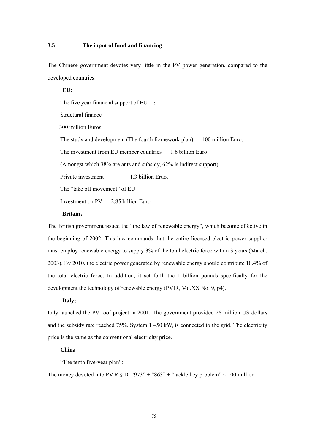#### **3.5 The input of fund and financing**

The Chinese government devotes very little in the PV power generation, compared to the developed countries.

**EU:**  The five year financial support of EU : Structural finance 300 million Euros The study and development (The fourth framework plan) 400 million Euro. The investment from EU member countries 1.6 billion Euro (Amongst which 38% are ants and subsidy, 62% is indirect support) Private investment 1.3 billion Eruo: The "take off movement" of EU Investment on PV 2.85 billion Euro.

#### **Britain**:

The British government issued the "the law of renewable energy", which become effective in the beginning of 2002. This law commands that the entire licensed electric power supplier must employ renewable energy to supply 3% of the total electric force within 3 years (March, 2003). By 2010, the electric power generated by renewable energy should contribute 10.4% of the total electric force. In addition, it set forth the 1 billion pounds specifically for the development the technology of renewable energy (PVIR, Vol.XX No. 9, p4).

#### **Italy**:

Italy launched the PV roof project in 2001. The government provided 28 million US dollars and the subsidy rate reached 75%. System  $1 - 50$  kW, is connected to the grid. The electricity price is the same as the conventional electricity price.

#### **China**

"The tenth five-year plan":

The money devoted into PV R § D: "973" + "863" + "tackle key problem"  $\sim$  100 million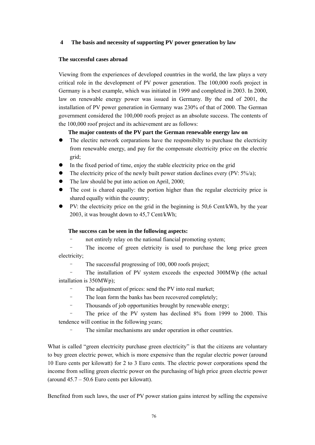#### **4 The basis and necessity of supporting PV power generation by law**

#### **The successful cases abroad**

Viewing from the experiences of developed countries in the world, the law plays a very critical role in the development of PV power generation. The 100,000 roofs project in Germany is a best example, which was initiated in 1999 and completed in 2003. In 2000, law on renewable energy power was issued in Germany. By the end of 2001, the installation of PV power generation in Germany was 230% of that of 2000. The German government considered the 100,000 roofs project as an absolute success. The contents of the 100,000 roof project and its achievement are as follows:

#### **The major contents of the PV part the German renewable energy law on**

- The electirc network corparations have the responsibilty to purchase the electricity from renewable energy, and pay for the compensate electricity price on the electric grid;
- In the fixed period of time, enjoy the stable electricity price on the grid
- The electricity price of the newly built power station declines every (PV: 5%/a);
- $\bullet$  The law should be put into action on April, 2000;
- The cost is chared equally: the portion higher than the regular electricity price is shared equally within the country;
- PV: the electricity price on the grid in the beginning is 50,6 Cent/kWh, by the year 2003, it was brought down to 45,7 Cent/kWh;

#### **The success can be seen in the following aspects:**

– not entirely relay on the national fiancial promoting system;

- The income of green eletricity is used to purchase the long price green electricity;
	- The successful progressing of 100, 000 roofs project;

– The installation of PV system exceeds the expected 300MWp (the actual intallation is 350MWp);

- The adjustment of prices: send the PV into real market;
- The loan form the banks has been recovered completely;
- Thousands of job opportunities brought by renewable energy;

– The price of the PV system has declined 8% from 1999 to 2000. This tendence will contiue in the following years;

The similar mechanisms are under operation in other countries.

What is called "green electricity purchase green electricity" is that the citizens are voluntary to buy green electric power, which is more expensive than the regular electric power (around 10 Euro cents per kilowatt) for 2 to 3 Euro cents. The electric power corporations spend the income from selling green electric power on the purchasing of high price green electric power (around 45.7 – 50.6 Euro cents per kilowatt).

Benefited from such laws, the user of PV power station gains interest by selling the expensive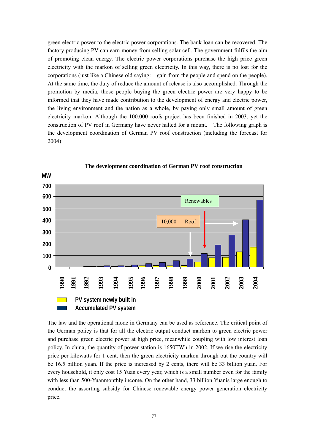green electric power to the electric power corporations. The bank loan can be recovered. The factory producing PV can earn money from selling solar cell. The government fulfils the aim of promoting clean energy. The electric power corporations purchase the high price green electricity with the markon of selling green electricity. In this way, there is no lost for the corporations (just like a Chinese old saying: gain from the people and spend on the people). At the same time, the duty of reduce the amount of release is also accomplished. Through the promotion by media, those people buying the green electric power are very happy to be informed that they have made contribution to the development of energy and electric power, the living environment and the nation as a whole, by paying only small amount of green electricity markon. Although the 100,000 roofs project has been finished in 2003, yet the construction of PV roof in Germany have never halted for a mount. The following graph is the development coordination of German PV roof construction (including the forecast for 2004):



**The development coordination of German PV roof construction** 

The law and the operational mode in Germany can be used as reference. The critical point of the German policy is that for all the electric output conduct markon to green electric power and purchase green electric power at high price, meanwhile coupling with low interest loan policy. In china, the quantity of power station is 1650TWh in 2002. If we rise the electricity price per kilowatts for 1 cent, then the green electricity markon through out the country will be 16.5 billion yuan. If the price is increased by 2 cents, there will be 33 billion yuan. For every household, it only cost 15 Yuan every year, which is a small number even for the family with less than 500-Yuanmonthly income. On the other hand, 33 billion Yuanis large enough to conduct the assorting subsidy for Chinese renewable energy power generation electricity price. **1990 1991**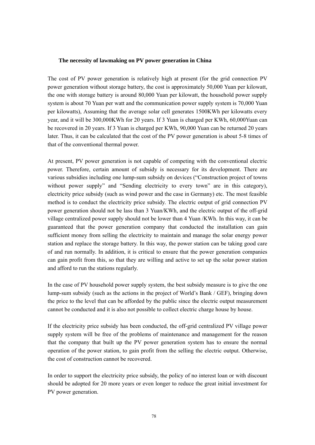#### **The necessity of lawmaking on PV power generation in China**

The cost of PV power generation is relatively high at present (for the grid connection PV power generation without storage battery, the cost is approximately 50,000 Yuan per kilowatt, the one with storage battery is around 80,000 Yuan per kilowatt, the household power supply system is about 70 Yuan per watt and the communication power supply system is 70,000 Yuan per kilowatts), Assuming that the average solar cell generates 1500KWh per kilowatts every year, and it will be 300,000KWh for 20 years. If 3 Yuan is charged per KWh, 60,000Yuan can be recovered in 20 years. If 3 Yuan is charged per KWh, 90,000 Yuan can be returned 20 years later. Thus, it can be calculated that the cost of the PV power generation is about 5-8 times of that of the conventional thermal power.

At present, PV power generation is not capable of competing with the conventional electric power. Therefore, certain amount of subsidy is necessary for its development. There are various subsidies including one lump-sum subsidy on devices ("Construction project of towns without power supply" and "Sending electricity to every town" are in this category), electricity price subsidy (such as wind power and the case in Germany) etc. The most feasible method is to conduct the electricity price subsidy. The electric output of grid connection PV power generation should not be lass than 3 Yuan/KWh, and the electric output of the off-grid village centralized power supply should not be lower than 4 Yuan /KWh. In this way, it can be guaranteed that the power generation company that conducted the installation can gain sufficient money from selling the electricity to maintain and manage the solar energy power station and replace the storage battery. In this way, the power station can be taking good care of and run normally. In addition, it is critical to ensure that the power generation companies can gain profit from this, so that they are willing and active to set up the solar power station and afford to run the stations regularly.

In the case of PV household power supply system, the best subsidy measure is to give the one lump-sum subsidy (such as the actions in the project of World's Bank / GEF), bringing down the price to the level that can be afforded by the public since the electric output measurement cannot be conducted and it is also not possible to collect electric charge house by house.

If the electricity price subsidy has been conducted, the off-grid centralized PV village power supply system will be free of the problems of maintenance and management for the reason that the company that built up the PV power generation system has to ensure the normal operation of the power station, to gain profit from the selling the electric output. Otherwise, the cost of construction cannot be recovered.

In order to support the electricity price subsidy, the policy of no interest loan or with discount should be adopted for 20 more years or even longer to reduce the great initial investment for PV power generation.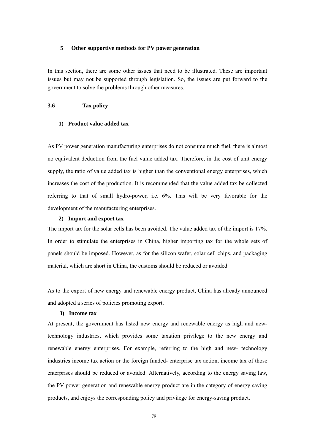#### **5 Other supportive methods for PV power generation**

In this section, there are some other issues that need to be illustrated. These are important issues but may not be supported through legislation. So, the issues are put forward to the government to solve the problems through other measures.

#### **3.6 Tax policy**

#### **1) Product value added tax**

As PV power generation manufacturing enterprises do not consume much fuel, there is almost no equivalent deduction from the fuel value added tax. Therefore, in the cost of unit energy supply, the ratio of value added tax is higher than the conventional energy enterprises, which increases the cost of the production. It is recommended that the value added tax be collected referring to that of small hydro-power, i.e. 6%. This will be very favorable for the development of the manufacturing enterprises.

#### **2) Import and export tax**

The import tax for the solar cells has been avoided. The value added tax of the import is 17%. In order to stimulate the enterprises in China, higher importing tax for the whole sets of panels should be imposed. However, as for the silicon wafer, solar cell chips, and packaging material, which are short in China, the customs should be reduced or avoided.

As to the export of new energy and renewable energy product, China has already announced and adopted a series of policies promoting export.

#### **3) Income tax**

At present, the government has listed new energy and renewable energy as high and newtechnology industries, which provides some taxation privilege to the new energy and renewable energy enterprises. For example, referring to the high and new- technology industries income tax action or the foreign funded- enterprise tax action, income tax of those enterprises should be reduced or avoided. Alternatively, according to the energy saving law, the PV power generation and renewable energy product are in the category of energy saving products, and enjoys the corresponding policy and privilege for energy-saving product.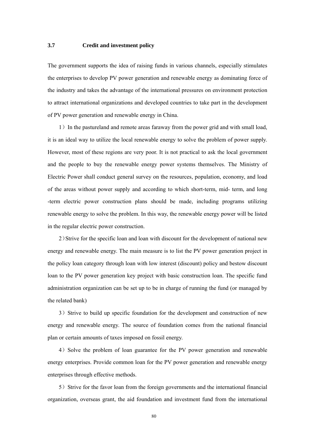#### **3.7 Credit and investment policy**

The government supports the idea of raising funds in various channels, especially stimulates the enterprises to develop PV power generation and renewable energy as dominating force of the industry and takes the advantage of the international pressures on environment protection to attract international organizations and developed countries to take part in the development of PV power generation and renewable energy in China.

1) In the pastureland and remote areas faraway from the power grid and with small load, it is an ideal way to utilize the local renewable energy to solve the problem of power supply. However, most of these regions are very poor. It is not practical to ask the local government and the people to buy the renewable energy power systems themselves. The Ministry of Electric Power shall conduct general survey on the resources, population, economy, and load of the areas without power supply and according to which short-term, mid- term, and long -term electric power construction plans should be made, including programs utilizing renewable energy to solve the problem. In this way, the renewable energy power will be listed in the regular electric power construction.

2)Strive for the specific loan and loan with discount for the development of national new energy and renewable energy. The main measure is to list the PV power generation project in the policy loan category through loan with low interest (discount) policy and bestow discount loan to the PV power generation key project with basic construction loan. The specific fund administration organization can be set up to be in charge of running the fund (or managed by the related bank)

3) Strive to build up specific foundation for the development and construction of new energy and renewable energy. The source of foundation comes from the national financial plan or certain amounts of taxes imposed on fossil energy.

4)Solve the problem of loan guarantee for the PV power generation and renewable energy enterprises. Provide common loan for the PV power generation and renewable energy enterprises through effective methods.

5) Strive for the favor loan from the foreign governments and the international financial organization, overseas grant, the aid foundation and investment fund from the international

80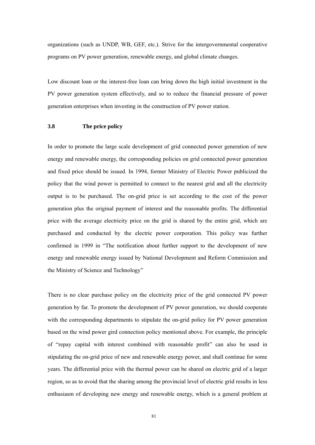organizations (such as UNDP, WB, GEF, etc.). Strive for the intergovernmental cooperative programs on PV power generation, renewable energy, and global climate changes.

Low discount loan or the interest-free loan can bring down the high initial investment in the PV power generation system effectively, and so to reduce the financial pressure of power generation enterprises when investing in the construction of PV power station.

#### **3.8 The price policy**

In order to promote the large scale development of grid connected power generation of new energy and renewable energy, the corresponding policies on grid connected power generation and fixed price should be issued. In 1994, former Ministry of Electric Power publicized the policy that the wind power is permitted to connect to the nearest grid and all the electricity output is to be purchased. The on-grid price is set according to the cost of the power generation plus the original payment of interest and the reasonable profits. The differential price with the average electricity price on the grid is shared by the entire grid, which are purchased and conducted by the electric power corporation. This policy was further confirmed in 1999 in "The notification about further support to the development of new energy and renewable energy issued by National Development and Reform Commission and the Ministry of Science and Technology"

There is no clear purchase policy on the electricity price of the grid connected PV power generation by far. To promote the development of PV power generation, we should cooperate with the corresponding departments to stipulate the on-grid policy for PV power generation based on the wind power gird connection policy mentioned above. For example, the principle of "repay capital with interest combined with reasonable profit" can also be used in stipulating the on-grid price of new and renewable energy power, and shall continue for some years. The differential price with the thermal power can be shared on electric grid of a larger region, so as to avoid that the sharing among the provincial level of electric grid results in less enthusiasm of developing new energy and renewable energy, which is a general problem at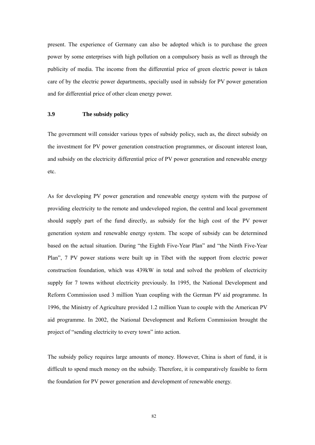present. The experience of Germany can also be adopted which is to purchase the green power by some enterprises with high pollution on a compulsory basis as well as through the publicity of media. The income from the differential price of green electric power is taken care of by the electric power departments, specially used in subsidy for PV power generation and for differential price of other clean energy power.

#### **3.9 The subsidy policy**

The government will consider various types of subsidy policy, such as, the direct subsidy on the investment for PV power generation construction programmes, or discount interest loan, and subsidy on the electricity differential price of PV power generation and renewable energy etc.

As for developing PV power generation and renewable energy system with the purpose of providing electricity to the remote and undeveloped region, the central and local government should supply part of the fund directly, as subsidy for the high cost of the PV power generation system and renewable energy system. The scope of subsidy can be determined based on the actual situation. During "the Eighth Five-Year Plan" and "the Ninth Five-Year Plan", 7 PV power stations were built up in Tibet with the support from electric power construction foundation, which was 439kW in total and solved the problem of electricity supply for 7 towns without electricity previously. In 1995, the National Development and Reform Commission used 3 million Yuan coupling with the German PV aid programme. In 1996, the Ministry of Agriculture provided 1.2 million Yuan to couple with the American PV aid programme. In 2002, the National Development and Reform Commission brought the project of "sending electricity to every town" into action.

The subsidy policy requires large amounts of money. However, China is short of fund, it is difficult to spend much money on the subsidy. Therefore, it is comparatively feasible to form the foundation for PV power generation and development of renewable energy.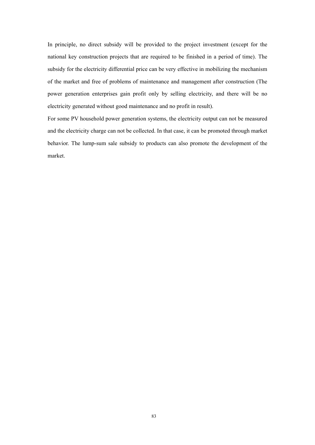In principle, no direct subsidy will be provided to the project investment (except for the national key construction projects that are required to be finished in a period of time). The subsidy for the electricity differential price can be very effective in mobilizing the mechanism of the market and free of problems of maintenance and management after construction (The power generation enterprises gain profit only by selling electricity, and there will be no electricity generated without good maintenance and no profit in result).

For some PV household power generation systems, the electricity output can not be measured and the electricity charge can not be collected. In that case, it can be promoted through market behavior. The lump-sum sale subsidy to products can also promote the development of the market.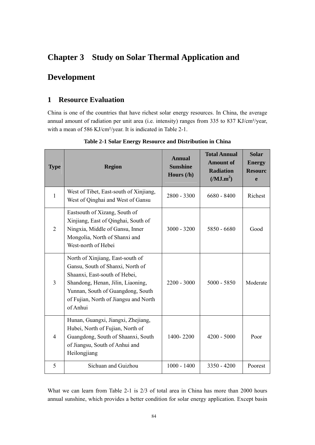# **Chapter 3 Study on Solar Thermal Application and**

# **Development**

# **1 Resource Evaluation**

China is one of the countries that have richest solar energy resources. In China, the average annual amount of radiation per unit area (i.e. intensity) ranges from 335 to 837 KJ/cm²/year, with a mean of 586 KJ/cm²/year. It is indicated in Table 2-1.

| <b>Type</b>    | <b>Region</b>                                                                                                                                                                                                                        | <b>Annual</b><br><b>Sunshine</b><br>Hours $(h)$ | <b>Total Annual</b><br><b>Amount of</b><br><b>Radiation</b><br>(MJ.m <sup>2</sup> ) | <b>Solar</b><br><b>Energy</b><br><b>Resourc</b><br>e |
|----------------|--------------------------------------------------------------------------------------------------------------------------------------------------------------------------------------------------------------------------------------|-------------------------------------------------|-------------------------------------------------------------------------------------|------------------------------------------------------|
| $\mathbf{1}$   | West of Tibet, East-south of Xinjiang,<br>West of Qinghai and West of Gansu                                                                                                                                                          | 2800 - 3300                                     | $6680 - 8400$                                                                       | Richest                                              |
| $\overline{2}$ | Eastsouth of Xizang, South of<br>Xinjiang, East of Qinghai, South of<br>Ningxia, Middle of Gansu, Inner<br>Mongolia, North of Shanxi and<br>West-north of Hebei                                                                      | $3000 - 3200$                                   | $5850 - 6680$                                                                       | Good                                                 |
| $\overline{3}$ | North of Xinjiang, East-south of<br>Gansu, South of Shanxi, North of<br>Shaanxi, East-south of Hebei,<br>Shandong, Henan, Jilin, Liaoning,<br>Yunnan, South of Guangdong, South<br>of Fujian, North of Jiangsu and North<br>of Anhui | $2200 - 3000$                                   | $5000 - 5850$                                                                       | Moderate                                             |
| $\overline{4}$ | Hunan, Guangxi, Jiangxi, Zhejiang,<br>Hubei, North of Fujian, North of<br>Guangdong, South of Shaanxi, South<br>of Jiangsu, South of Anhui and<br>Heilongjiang                                                                       | 1400-2200                                       | $4200 - 5000$                                                                       | Poor                                                 |
| 5              | Sichuan and Guizhou                                                                                                                                                                                                                  | $1000 - 1400$                                   | $3350 - 4200$                                                                       | Poorest                                              |

**Table 2-1 Solar Energy Resource and Distribution in China** 

What we can learn from Table 2-1 is 2/3 of total area in China has more than 2000 hours annual sunshine, which provides a better condition for solar energy application. Except basin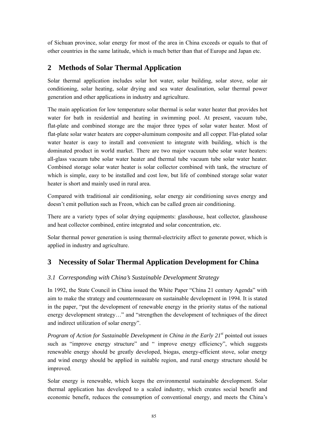of Sichuan province, solar energy for most of the area in China exceeds or equals to that of other countries in the same latitude, which is much better than that of Europe and Japan etc.

# **2 Methods of Solar Thermal Application**

Solar thermal application includes solar hot water, solar building, solar stove, solar air conditioning, solar heating, solar drying and sea water desalination, solar thermal power generation and other applications in industry and agriculture.

The main application for low temperature solar thermal is solar water heater that provides hot water for bath in residential and heating in swimming pool. At present, vacuum tube, flat-plate and combined storage are the major three types of solar water heater. Most of flat-plate solar water heaters are copper-aluminum composite and all copper. Flat-plated solar water heater is easy to install and convenient to integrate with building, which is the dominated product in world market. There are two major vacuum tube solar water heaters: all-glass vacuum tube solar water heater and thermal tube vacuum tube solar water heater. Combined storage solar water heater is solar collector combined with tank, the structure of which is simple, easy to be installed and cost low, but life of combined storage solar water heater is short and mainly used in rural area.

Compared with traditional air conditioning, solar energy air conditioning saves energy and doesn't emit pollution such as Freon, which can be called green air conditioning.

There are a variety types of solar drying equipments: glasshouse, heat collector, glasshouse and heat collector combined, entire integrated and solar concentration, etc.

Solar thermal power generation is using thermal-electricity affect to generate power, which is applied in industry and agriculture.

# **3 Necessity of Solar Thermal Application Development for China**

# *3.1 Corresponding with China's Sustainable Development Strategy*

In 1992, the State Council in China issued the White Paper "China 21 century Agenda" with aim to make the strategy and countermeasure on sustainable development in 1994. It is stated in the paper, "put the development of renewable energy in the priority status of the national energy development strategy…" and "strengthen the development of techniques of the direct and indirect utilization of solar energy".

*Program of Action for Sustainable Development in China in the Early 21st* pointed out issues such as "improve energy structure" and " improve energy efficiency", which suggests renewable energy should be greatly developed, biogas, energy-efficient stove, solar energy and wind energy should be applied in suitable region, and rural energy structure should be improved.

Solar energy is renewable, which keeps the environmental sustainable development. Solar thermal application has developed to a scaled industry, which creates social benefit and economic benefit, reduces the consumption of conventional energy, and meets the China's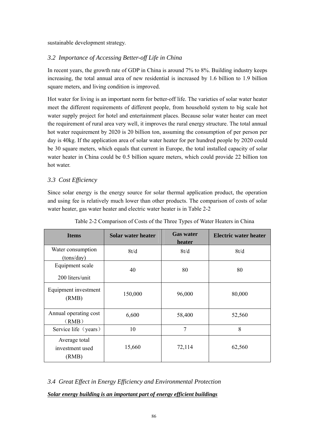sustainable development strategy.

# *3.2 Importance of Accessing Better-off Life in China*

In recent years, the growth rate of GDP in China is around 7% to 8%. Building industry keeps increasing, the total annual area of new residential is increased by 1.6 billion to 1.9 billion square meters, and living condition is improved.

Hot water for living is an important norm for better-off life. The varieties of solar water heater meet the different requirements of different people, from household system to big scale hot water supply project for hotel and entertainment places. Because solar water heater can meet the requirement of rural area very well, it improves the rural energy structure. The total annual hot water requirement by 2020 is 20 billion ton, assuming the consumption of per person per day is 40kg. If the application area of solar water heater for per hundred people by 2020 could be 30 square meters, which equals that current in Europe, the total installed capacity of solar water heater in China could be 0.5 billion square meters, which could provide 22 billion ton hot water.

# *3.3 Cost Efficiency*

Since solar energy is the energy source for solar thermal application product, the operation and using fee is relatively much lower than other products. The comparison of costs of solar water heater, gas water heater and electric water heater is in Table 2-2

| <b>Items</b>                              | <b>Solar water heater</b> | <b>Gas water</b><br>heater | <b>Electric water heater</b> |
|-------------------------------------------|---------------------------|----------------------------|------------------------------|
| Water consumption<br>(tons/day)           | 8t/d                      | 8t/d                       | 8t/d                         |
| Equipment scale<br>200 liters/unit        | 40                        | 80                         | 80                           |
| Equipment investment<br>(RMB)             | 150,000                   | 96,000                     | 80,000                       |
| Annual operating cost<br>(RMB)            | 6,600                     | 58,400                     | 52,560                       |
| Service life (years)                      | 10                        | $\overline{7}$             | 8                            |
| Average total<br>investment used<br>(RMB) | 15,660                    | 72,114                     | 62,560                       |

Table 2-2 Comparison of Costs of the Three Types of Water Heaters in China

# *3.4 Great Effect in Energy Efficiency and Environmental Protection Solar energy building is an important part of energy efficient buildings*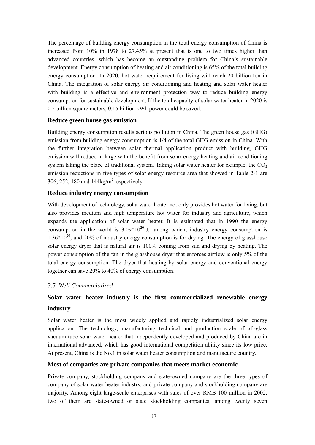The percentage of building energy consumption in the total energy consumption of China is increased from 10% in 1978 to 27.45% at present that is one to two times higher than advanced countries, which has become an outstanding problem for China's sustainable development. Energy consumption of heating and air conditioning is 65% of the total building energy consumption. In 2020, hot water requirement for living will reach 20 billion ton in China. The integration of solar energy air conditioning and heating and solar water heater with building is a effective and environment protection way to reduce building energy consumption for sustainable development. If the total capacity of solar water heater in 2020 is 0.5 billion square meters, 0.15 billion kWh power could be saved.

#### **Reduce green house gas emission**

Building energy consumption results serious pollution in China. The green house gas (GHG) emission from building energy consumption is 1/4 of the total GHG emission in China. With the further integration between solar thermal application product with building, GHG emission will reduce in large with the benefit from solar energy heating and air conditioning system taking the place of traditional system. Taking solar water heater for example, the  $CO<sub>2</sub>$ emission reductions in five types of solar energy resource area that showed in Table 2-1 are 306, 252, 180 and 144kg/m<sup>2</sup> respectively.

# **Reduce industry energy consumption**

With development of technology, solar water heater not only provides hot water for living, but also provides medium and high temperature hot water for industry and agriculture, which expands the application of solar water heater. It is estimated that in 1990 the energy consumption in the world is  $3.09*10^{20}$  J, among which, industry energy consumption is  $1.36*10^{20}$ , and 20% of industry energy consumption is for drying. The energy of glasshouse solar energy dryer that is natural air is 100% coming from sun and drying by heating. The power consumption of the fan in the glasshouse dryer that enforces airflow is only 5% of the total energy consumption. The dryer that heating by solar energy and conventional energy together can save 20% to 40% of energy consumption.

# *3.5 Well Commercialized*

# **Solar water heater industry is the first commercialized renewable energy industry**

Solar water heater is the most widely applied and rapidly industrialized solar energy application. The technology, manufacturing technical and production scale of all-glass vacuum tube solar water heater that independently developed and produced by China are in international advanced, which has good international competition ability since its low price. At present, China is the No.1 in solar water heater consumption and manufacture country.

# **Most of companies are private companies that meets market economic**

Private company, stockholding company and state-owned company are the three types of company of solar water heater industry, and private company and stockholding company are majority. Among eight large-scale enterprises with sales of over RMB 100 million in 2002, two of them are state-owned or state stockholding companies; among twenty seven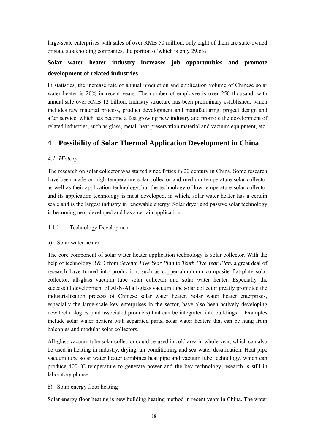large-scale enterprises with sales of over RMB 50 million, only eight of them are state-owned or state stockholding companies, the portion of which is only 29.6%.

# **Solar water heater industry increases job opportunities and promote development of related industries**

In statistics, the increase rate of annual production and application volume of Chinese solar water heater is 20% in recent years. The number of employee is over 250 thousand, with annual sale over RMB 12 billion. Industry structure has been preliminary established, which includes raw material process, product development and manufacturing, project design and after service, which has become a fast growing new industry and promote the development of related industries, such as glass, metal, heat preservation material and vacuum equipment, etc.

# **4 Possibility of Solar Thermal Application Development in China**

# *4.1 History*

The research on solar collector was started since fifties in 20 century in China. Some research have been made on high temperature solar collector and medium temperature solar collector as well as their application technology, but the technology of low temperature solar collector and its application technology is most developed, in which, solar water heater has a certain scale and is the largest industry in renewable energy. Solar dryer and passive solar technology is becoming near developed and has a certain application.

# 4.1.1 Technology Development

# a) Solar water heater

The core component of solar water heater application technology is solar collector. With the help of technology R&D from *Seventh Five Year Plan* to *Tenth Five Year Plan*, a great deal of research have turned into production, such as copper-aluminum composite flat-plate solar collector, all-glass vacuum tube solar collector and solar water heater. Especially the successful development of Al-N/Al all-glass vacuum tube solar collector greatly promoted the industrialization process of Chinese solar water heater. Solar water heater enterprises, especially the large-scale key enterprises in the sector, have also been actively developing new technologies (and associated products) that can be integrated into buildings. Examples include solar water heaters with separated parts, solar water heaters that can be hung from balconies and modular solar collectors.

All-glass vacuum tube solar collector could be used in cold area in whole year, which can also be used in heating in industry, drying, air conditioning and sea water desalination. Heat pipe vacuum tube solar water heater combines heat pipe and vacuum tube technology, which can produce 400 °C temperature to generate power and the key technology research is still in laboratory phrase.

#### b) Solar energy floor heating

Solar energy floor heating is new building heating method in recent years in China. The water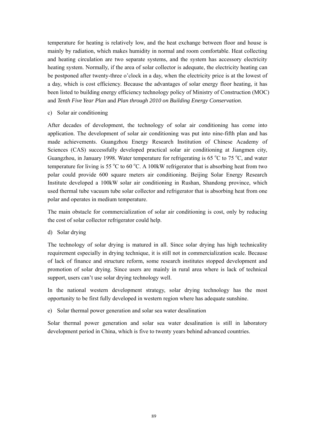temperature for heating is relatively low, and the heat exchange between floor and house is mainly by radiation, which makes humidity in normal and room comfortable. Heat collecting and heating circulation are two separate systems, and the system has accessory electricity heating system. Normally, if the area of solar collector is adequate, the electricity heating can be postponed after twenty-three o'clock in a day, when the electricity price is at the lowest of a day, which is cost efficiency. Because the advantages of solar energy floor heating, it has been listed to building energy efficiency technology policy of Ministry of Construction (MOC) and *Tenth Five Year Plan* and *Plan through 2010 on Building Energy Conservation*.

c) Solar air conditioning

After decades of development, the technology of solar air conditioning has come into application. The development of solar air conditioning was put into nine-fifth plan and has made achievements. Guangzhou Energy Research Institution of Chinese Academy of Sciences (CAS) successfully developed practical solar air conditioning at Jiangmen city, Guangzhou, in January 1998. Water temperature for refrigerating is 65 °C to 75 °C, and water temperature for living is 55  $\mathrm{^{\circ}C}$  to 60  $\mathrm{^{\circ}C}$ . A 100kW refrigerator that is absorbing heat from two polar could provide 600 square meters air conditioning. Beijing Solar Energy Research Institute developed a 100kW solar air conditioning in Rushan, Shandong province, which used thermal tube vacuum tube solar collector and refrigerator that is absorbing heat from one polar and operates in medium temperature.

The main obstacle for commercialization of solar air conditioning is cost, only by reducing the cost of solar collector refrigerator could help.

d) Solar drying

The technology of solar drying is matured in all. Since solar drying has high technicality requirement especially in drying technique, it is still not in commercialization scale. Because of lack of finance and structure reform, some research institutes stopped development and promotion of solar drying. Since users are mainly in rural area where is lack of technical support, users can't use solar drying technology well.

In the national western development strategy, solar drying technology has the most opportunity to be first fully developed in western region where has adequate sunshine.

e) Solar thermal power generation and solar sea water desalination

Solar thermal power generation and solar sea water desalination is still in laboratory development period in China, which is five to twenty years behind advanced countries.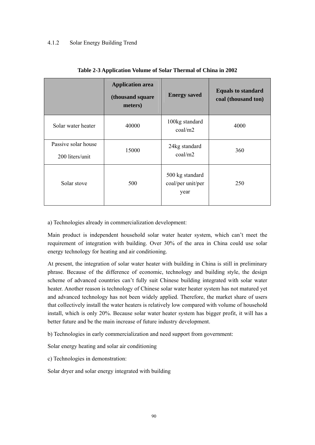# 4.1.2 Solar Energy Building Trend

|                                        | <b>Application area</b><br>(thousand square<br>meters) | <b>Energy saved</b>                          | <b>Equals to standard</b><br>coal (thousand ton) |
|----------------------------------------|--------------------------------------------------------|----------------------------------------------|--------------------------------------------------|
| Solar water heater                     | 40000                                                  | 100kg standard<br>$\text{coal/m2}$           | 4000                                             |
| Passive solar house<br>200 liters/unit | 15000                                                  | 24kg standard<br>coal/m2                     | 360                                              |
| Solar stove                            | 500                                                    | 500 kg standard<br>coal/per unit/per<br>year | 250                                              |

#### **Table 2-3 Application Volume of Solar Thermal of China in 2002**

a) Technologies already in commercialization development:

Main product is independent household solar water heater system, which can't meet the requirement of integration with building. Over 30% of the area in China could use solar energy technology for heating and air conditioning.

At present, the integration of solar water heater with building in China is still in preliminary phrase. Because of the difference of economic, technology and building style, the design scheme of advanced countries can't fully suit Chinese building integrated with solar water heater. Another reason is technology of Chinese solar water heater system has not matured yet and advanced technology has not been widely applied. Therefore, the market share of users that collectively install the water heaters is relatively low compared with volume of household install, which is only 20%. Because solar water heater system has bigger profit, it will has a better future and be the main increase of future industry development.

b) Technologies in early commercialization and need support from government:

Solar energy heating and solar air conditioning

c) Technologies in demonstration:

Solar dryer and solar energy integrated with building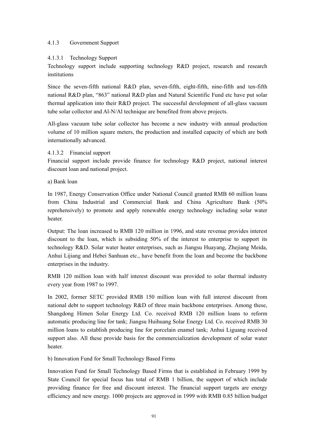# 4.1.3 Government Support

#### 4.1.3.1 Technology Support

Technology support include supporting technology R&D project, research and research institutions

Since the seven-fifth national R&D plan, seven-fifth, eight-fifth, nine-fifth and ten-fifth national R&D plan, "863" national R&D plan and Natural Scientific Fund etc have put solar thermal application into their R&D project. The successful development of all-glass vacuum tube solar collector and Al-N/Al technique are benefited from above projects.

All-glass vacuum tube solar collector has become a new industry with annual production volume of 10 million square meters, the production and installed capacity of which are both internationally advanced.

#### 4.1.3.2 Financial support

Financial support include provide finance for technology R&D project, national interest discount loan and national project.

a) Bank loan

In 1987, Energy Conservation Office under National Council granted RMB 60 million loans from China Industrial and Commercial Bank and China Agriculture Bank (50% reprehensively) to promote and apply renewable energy technology including solar water heater.

Output: The loan increased to RMB 120 million in 1996, and state revenue provides interest discount to the loan, which is subsiding 50% of the interest to enterprise to support its technology R&D. Solar water heater enterprises, such as Jiangsu Huayang, Zhejiang Meida, Anhui Lijiang and Hebei Sanhuan etc., have benefit from the loan and become the backbone enterprises in the industry.

RMB 120 million loan with half interest discount was provided to solar thermal industry every year from 1987 to 1997.

In 2002, former SETC provided RMB 150 million loan with full interest discount from national debt to support technology R&D of three main backbone enterprises. Among these, Shangdong Himen Solar Energy Ltd. Co. received RMB 120 million loans to reform automatic producing line for tank; Jiangsu Huihuang Solar Energy Ltd. Co. received RMB 30 million loans to establish producing line for porcelain enamel tank; Anhui Liguang received support also. All these provide basis for the commercialization development of solar water heater.

b) Innovation Fund for Small Technology Based Firms

Innovation Fund for Small Technology Based Firms that is established in February 1999 by State Council for special focus has total of RMB 1 billion, the support of which include providing finance for free and discount interest. The financial support targets are energy efficiency and new energy. 1000 projects are approved in 1999 with RMB 0.85 billion budget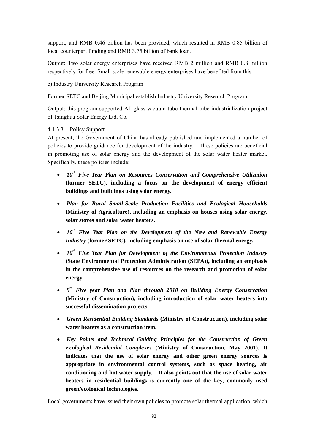support, and RMB 0.46 billion has been provided, which resulted in RMB 0.85 billion of local counterpart funding and RMB 3.75 billion of bank loan.

Output: Two solar energy enterprises have received RMB 2 million and RMB 0.8 million respectively for free. Small scale renewable energy enterprises have benefited from this.

c) Industry University Research Program

Former SETC and Beijing Municipal establish Industry University Research Program.

Output: this program supported All-glass vacuum tube thermal tube industrialization project of Tsinghua Solar Energy Ltd. Co.

# 4.1.3.3 Policy Support

At present, the Government of China has already published and implemented a number of policies to provide guidance for development of the industry. These policies are beneficial in promoting use of solar energy and the development of the solar water heater market. Specifically, these policies include:

- *10th Five Year Plan on Resources Conservation and Comprehensive Utilization*  **(former SETC), including a focus on the development of energy efficient buildings and buildings using solar energy.**
- *Plan for Rural Small-Scale Production Facilities and Ecological Households* **(Ministry of Agriculture), including an emphasis on houses using solar energy, solar stoves and solar water heaters.**
- *10th Five Year Plan on the Development of the New and Renewable Energy Industry* **(former SETC), including emphasis on use of solar thermal energy.**
- *10th Five Year Plan for Development of the Environmental Protection Industry* **(State Environmental Protection Administration (SEPA)), including an emphasis in the comprehensive use of resources on the research and promotion of solar energy.**
- *9th Five year Plan and Plan through 2010 on Building Energy Conservation* **(Ministry of Construction), including introduction of solar water heaters into successful dissemination projects.**
- *Green Residential Building Standards* **(Ministry of Construction), including solar water heaters as a construction item.**
- *Key Points and Technical Guiding Principles for the Construction of Green Ecological Residential Complexes* **(Ministry of Construction, May 2001). It indicates that the use of solar energy and other green energy sources is appropriate in environmental control systems, such as space heating, air conditioning and hot water supply. It also points out that the use of solar water heaters in residential buildings is currently one of the key, commonly used green/ecological technologies.**

Local governments have issued their own policies to promote solar thermal application, which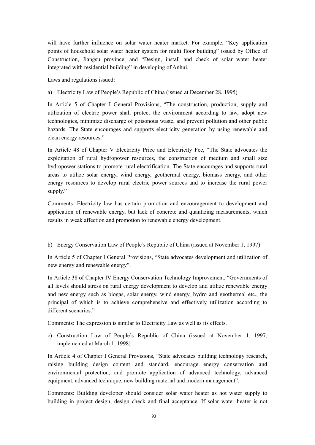will have further influence on solar water heater market. For example, "Key application points of household solar water heater system for multi floor building" issued by Office of Construction, Jiangsu province, and "Design, install and check of solar water heater integrated with residential building" in developing of Anhui.

Laws and regulations issued:

a) Electricity Law of People's Republic of China (issued at December 28, 1995)

In Article 5 of Chapter I General Provisions, "The construction, production, supply and utilization of electric power shall protect the environment according to law, adopt new technologies, minimize discharge of poisonous waste, and prevent pollution and other public hazards. The State encourages and supports electricity generation by using renewable and clean energy resources."

In Article 48 of Chapter V Electricity Price and Electricity Fee, "The State advocates the exploitation of rural hydropower resources, the construction of medium and small size hydropower stations to promote rural electrification. The State encourages and supports rural areas to utilize solar energy, wind energy, geothermal energy, biomass energy, and other energy resources to develop rural electric power sources and to increase the rural power supply."

Comments: Electricity law has certain promotion and encouragement to development and application of renewable energy, but lack of concrete and quantizing measurements, which results in weak affection and promotion to renewable energy development.

b) Energy Conservation Law of People's Republic of China (issued at November 1, 1997)

In Article 5 of Chapter I General Provisions, "State advocates development and utilization of new energy and renewable energy".

In Article 38 of Chapter IV Energy Conservation Technology Improvement, "Governments of all levels should stress on rural energy development to develop and utilize renewable energy and new energy such as biogas, solar energy, wind energy, hydro and geothermal etc., the principal of which is to achieve comprehensive and effectively utilization according to different scenarios"

Comments: The expression is similar to Electricity Law as well as its effects.

c) Construction Law of People's Republic of China (issued at November 1, 1997, implemented at March 1, 1998)

In Article 4 of Chapter I General Provisions, "State advocates building technology research, raising building design content and standard, encourage energy conservation and environmental protection, and promote application of advanced technology, advanced equipment, advanced technique, new building material and modern management".

Comments: Building developer should consider solar water heater as hot water supply to building in project design, design check and final acceptance. If solar water heater is not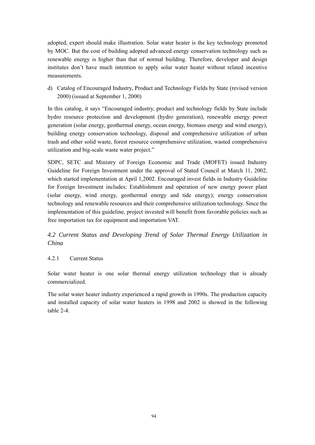adopted, expert should make illustration. Solar water heater is the key technology promoted by MOC. But the cost of building adopted advanced energy conservation technology such as renewable energy is higher than that of normal building. Therefore, developer and design institutes don't have much intention to apply solar water heater without related incentive measurements.

d) Catalog of Encouraged Industry, Product and Technology Fields by State (revised version 2000) (issued at September 1, 2000)

In this catalog, it says "Encouraged industry, product and technology fields by State include hydro resource protection and development (hydro generation), renewable energy power generation (solar energy, geothermal energy, ocean energy, biomass energy and wind energy), building energy conservation technology, disposal and comprehensive utilization of urban trash and other solid waste, forest resource comprehensive utilization, wasted comprehensive utilization and big-scale waste water project."

SDPC, SETC and Ministry of Foreign Economic and Trade (MOFET) issued Industry Guideline for Foreign Investment under the approval of Stated Council at March 11, 2002, which started implementation at April 1,2002. Encouraged invest fields in Industry Guideline for Foreign Investment includes: Establishment and operation of new energy power plant (solar energy, wind energy, geothermal energy and tide energy); energy conservation technology and renewable resources and their comprehensive utilization technology. Since the implementation of this guideline, project invested will benefit from favorable policies such as free importation tax for equipment and importation VAT.

*4.2 Current Status and Developing Trend of Solar Thermal Energy Utilization in China*

# 4.2.1 Current Status

Solar water heater is one solar thermal energy utilization technology that is already commercialized.

The solar water heater industry experienced a rapid growth in 1990s. The production capacity and installed capacity of solar water heaters in 1998 and 2002 is showed in the following table 2-4.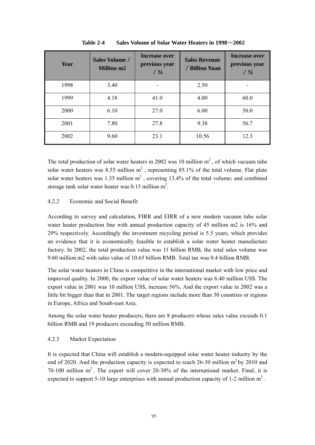| <b>Year</b> | Sales Volume /<br><b>Million m2</b> | <b>Increase over</b><br>previous year<br>$/$ % | <b>Sales Revenue</b><br>/ Billion Yuan | <b>Increase over</b><br>previous year<br>$/$ % |
|-------------|-------------------------------------|------------------------------------------------|----------------------------------------|------------------------------------------------|
| 1998        | 3.40                                |                                                | 2.50                                   |                                                |
| 1999        | 4.18                                | 41.0                                           | 4.00                                   | 60.0                                           |
| 2000        | 6.10                                | 27.0                                           | 6.00                                   | 50.0                                           |
| 2001        | 7.80                                | 27.8                                           | 9.38                                   | 56.7                                           |
| 2002        | 9.60                                | 23.1                                           | 10.56                                  | 12.3                                           |

**Table 2-4 Sales Volume of Solar Water Heaters in 1998**~**2002** 

The total production of solar water heaters in 2002 was 10 million  $m<sup>2</sup>$ , of which vacuum tube solar water heaters was 8.55 million  $m^2$ , representing 85.1% of the total volume. Flat plate solar water heaters was 1.35 million  $m<sup>2</sup>$ , covering 13.4% of the total volume; and combined storage tank solar water heater was  $0.15$  million m<sup>2</sup>.

#### 4.2.2 Economic and Social Benefit

According to survey and calculation, FIRR and EIRR of a new modern vacuum tube solar water heater production line with annual production capacity of 45 million m2 is 16% and 29% respectively. Accordingly the investment recycling period is 5.5 years, which provides an evidence that it is economically feasible to establish a solar water heater manufacture factory. In 2002, the total production value was 11 billion RMB, the total sales volume was 9.60 million m2 with sales value of 10.65 billion RMB. Total tax was 0.4 billion RMB.

The solar water heaters in China is competitive in the international market with low price and improved quality. In 2000, the export value of solar water heaters was 6.40 million US\$. The export value in 2001 was 10 million US\$, increase 56%. And the export value in 2002 was a little bit bigger than that in 2001. The target regions include more than 30 countries or regions in Europe, Africa and South-east Asia.

Among the solar water heater producers, there are 8 producers whose sales value exceeds 0.1 billion RMB and 19 producers exceeding 50 million RMB.

#### 4.2.3 Market Expectation

It is expected that China will establish a modern-equipped solar water heater industry by the end of 2020. And the production capacity is expected to reach 26-30 million  $m^2$  by 2010 and 70-100 million  $m^2$ . The export will cover 20-30% of the international market. Final, it is expected to support 5-10 large enterprises with annual production capacity of 1-2 million  $m<sup>2</sup>$ .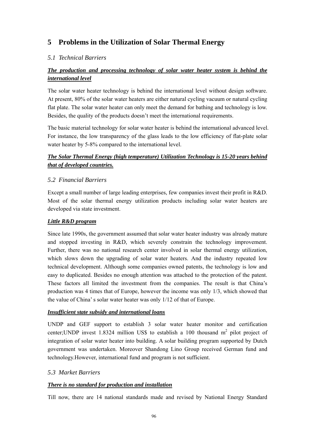# **5 Problems in the Utilization of Solar Thermal Energy**

# *5.1 Technical Barriers*

# *The production and processing technology of solar water heater system is behind the international level*

The solar water heater technology is behind the international level without design software. At present, 80% of the solar water heaters are either natural cycling vacuum or natural cycling flat plate. The solar water heater can only meet the demand for bathing and technology is low. Besides, the quality of the products doesn't meet the international requirements.

The basic material technology for solar water heater is behind the international advanced level. For instance, the low transparency of the glass leads to the low efficiency of flat-plate solar water heater by 5-8% compared to the international level.

# *The Solar Thermal Energy (high temperature) Utilization Technology is 15-20 years behind that of developed countries.*

# *5.2 Financial Barriers*

Except a small number of large leading enterprises, few companies invest their profit in R&D. Most of the solar thermal energy utilization products including solar water heaters are developed via state investment.

# *Little R&D program*

Since late 1990s, the government assumed that solar water heater industry was already mature and stopped investing in R&D, which severely constrain the technology improvement. Further, there was no national research center involved in solar thermal energy utilization, which slows down the upgrading of solar water heaters. And the industry repeated low technical development. Although some companies owned patents, the technology is low and easy to duplicated. Besides no enough attention was attached to the protection of the patent. These factors all limited the investment from the companies. The result is that China's production was 4 times that of Europe, however the income was only 1/3, which showed that the value of China' s solar water heater was only 1/12 of that of Europe.

# *Insufficient state subsidy and international loans*

UNDP and GEF support to establish 3 solar water heater monitor and certification center; UNDP invest 1.8324 million US\$ to establish a 100 thousand  $m<sup>2</sup>$  pilot project of integration of solar water heater into building. A solar building program supported by Dutch government was undertaken. Moreover Shandong Lino Group received German fund and technology.However, international fund and program is not sufficient.

# *5.3 Market Barriers*

# *There is no standard for production and installation*

Till now, there are 14 national standards made and revised by National Energy Standard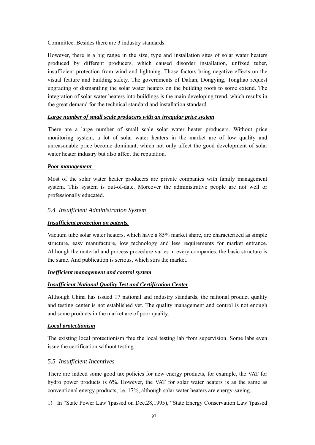Committee. Besides there are 3 industry standards.

However, there is a big range in the size, type and installation sites of solar water heaters produced by different producers, which caused disorder installation, unfixed tuber, insufficient protection from wind and lightning. Those factors bring negative effects on the visual feature and building safety. The governments of Dalian, Dongying, Tongliao request upgrading or dismantling the solar water heaters on the building roofs to some extend. The integration of solar water heaters into buildings is the main developing trend, which results in the great demand for the technical standard and installation standard.

#### *Large number of small scale producers with an irregular price system*

There are a large number of small scale solar water heater producers. Without price monitoring system, a lot of solar water heaters in the market are of low quality and unreasonable price become dominant, which not only affect the good development of solar water heater industry but also affect the reputation.

#### *Poor management*

Most of the solar water heater producers are private companies with family management system. This system is out-of-date. Moreover the administrative people are not well or professionally educated.

# *5.4 Insufficient Administration System*

#### *Insufficient protection on patents.*

Vacuum tube solar water heaters, which have a 85% market share, are characterized as simple structure, easy manufacture, low technology and less requirements for market entrance. Although the material and process procedure varies in every companies, the basic structure is the same. And publication is serious, which stirs the market.

#### *Inefficient management and control system*

# *Insufficient National Quality Test and Certification Center*

Although China has issued 17 national and industry standards, the national product quality and testing center is not established yet. The quality management and control is not enough and some products in the market are of poor quality.

#### *Local protectionism*

The existing local protectionism free the local testing lab from supervision. Some labs even issue the certification without testing.

# *5.5 Insufficient Incentives*

There are indeed some good tax policies for new energy products, for example, the VAT for hydro power products is 6%. However, the VAT for solar water heaters is as the same as conventional energy products, i.e. 17%, although solar water heaters are energy-saving.

1) In "State Power Law"(passed on Dec.28,1995), "State Energy Conservation Law"(passed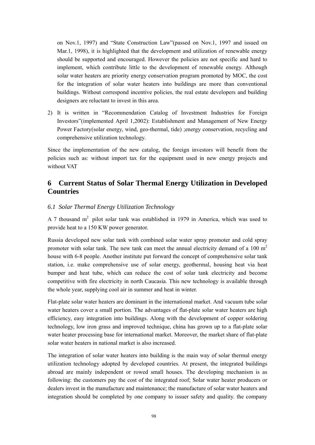on Nov.1, 1997) and "State Construction Law"(passed on Nov.1, 1997 and issued on Mar.1, 1998), it is highlighted that the development and utilization of renewable energy should be supported and encouraged. However the policies are not specific and hard to implement, which contribute little to the development of renewable energy. Although solar water heaters are priority energy conservation program promoted by MOC, the cost for the integration of solar water heaters into buildings are more than conventional buildings. Without correspond incentive policies, the real estate developers and building designers are reluctant to invest in this area.

2) It is written in "Recommendation Catalog of Investment Industries for Foreign Investors"(implemented April 1,2002): Establishment and Management of New Energy Power Factory(solar energy, wind, geo-thermal, tide) ;energy conservation, recycling and comprehensive utilization technology.

Since the implementation of the new catalog, the foreign investors will benefit from the policies such as: without import tax for the equipment used in new energy projects and without VAT

# **6 Current Status of Solar Thermal Energy Utilization in Developed Countries**

# *6.1 Solar Thermal Energy Utilization Technology*

A 7 thousand  $m<sup>2</sup>$  pilot solar tank was established in 1979 in America, which was used to provide heat to a 150 KW power generator.

Russia developed new solar tank with combined solar water spray promoter and cold spray promoter with solar tank. The new tank can meet the annual electricity demand of a 100  $m<sup>2</sup>$ house with 6-8 people. Another institute put forward the concept of comprehensive solar tank station, i.e. make comprehensive use of solar energy, geothermal, housing heat via heat bumper and heat tube, which can reduce the cost of solar tank electricity and become competitive with fire electricity in north Caucasia. This new technology is available through the whole year, supplying cool air in summer and heat in winter.

Flat-plate solar water heaters are dominant in the international market. And vacuum tube solar water heaters cover a small portion. The advantages of flat-plate solar water heaters are high efficiency, easy integration into buildings. Along with the development of copper soldering technology, low iron grass and improved technique, china has grown up to a flat-plate solar water heater processing base for international market. Moreover, the market share of flat-plate solar water heaters in national market is also increased.

The integration of solar water heaters into building is the main way of solar thermal energy utilization technology adopted by developed countries. At present, the integrated buildings abroad are mainly independent or rowed small houses. The developing mechanism is as following: the customers pay the cost of the integrated roof; Solar water heater producers or dealers invest in the manufacture and maintenance; the manufacture of solar water heaters and integration should be completed by one company to issuer safety and quality. the company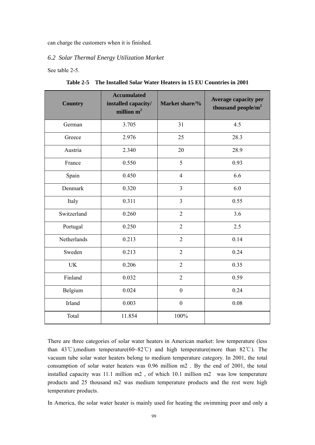can charge the customers when it is finished.

#### *6.2 Solar Thermal Energy Utilization Market*

See table 2-5.

| <b>Country</b> | <b>Accumulated</b><br>installed capacity/<br>million m <sup>2</sup> | Market share/% | <b>Average capacity per</b><br>thousand people/m <sup>2</sup> |
|----------------|---------------------------------------------------------------------|----------------|---------------------------------------------------------------|
| German         | 3.705                                                               | 31             | 4.5                                                           |
| Greece         | 2.976                                                               | 25             | 28.3                                                          |
| Austria        | 2.340                                                               | 20             | 28.9                                                          |
| France         | 0.550                                                               | 5              | 0.93                                                          |
| Spain          | 0.450                                                               | $\overline{4}$ | 6.6                                                           |
| Denmark        | 0.320                                                               | $\overline{3}$ | 6.0                                                           |
| Italy          | 0.311                                                               | $\overline{3}$ | 0.55                                                          |
| Switzerland    | 0.260                                                               | $\overline{2}$ | 3.6                                                           |
| Portugal       | 0.250                                                               | $\overline{2}$ | 2.5                                                           |
| Netherlands    | 0.213                                                               | $\overline{2}$ | 0.14                                                          |
| Sweden         | 0.213                                                               | $\overline{2}$ | 0.24                                                          |
| <b>UK</b>      | 0.206                                                               | $\overline{2}$ | 0.35                                                          |
| Finland        | 0.032                                                               | $\overline{2}$ | 0.59                                                          |
| Belgium        | 0.024                                                               | $\mathbf{0}$   | 0.24                                                          |
| Irland         | 0.003                                                               | $\mathbf{0}$   | 0.08                                                          |
| Total          | 11.854                                                              | 100%           |                                                               |

**Table 2-5 The Installed Solar Water Heaters in 15 EU Countries in 2001** 

There are three categories of solar water heaters in American market: low temperature (less than 43℃),medium temperature(60~82℃) and high temperature(more than 82℃). The vacuum tube solar water heaters belong to medium temperature category. In 2001, the total consumption of solar water heaters was 0.96 million m2 . By the end of 2001, the total installed capacity was 11.1 million m2 , of which 10.1 million m2 was low temperature products and 25 thousand m2 was medium temperature products and the rest were high temperature products.

In America, the solar water heater is mainly used for heating the swimming poor and only a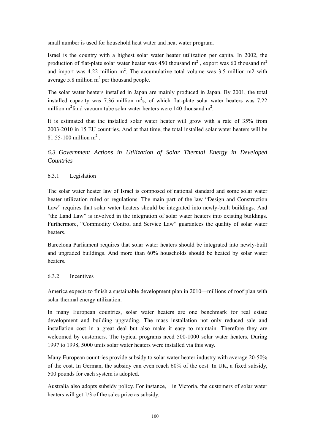small number is used for household heat water and heat water program.

Israel is the country with a highest solar water heater utilization per capita. In 2002, the production of flat-plate solar water heater was 450 thousand  $m<sup>2</sup>$ , export was 60 thousand  $m<sup>2</sup>$ and import was  $4.22$  million m<sup>2</sup>. The accumulative total volume was  $3.5$  million m2 with average 5.8 million  $m<sup>2</sup>$  per thousand people.

The solar water heaters installed in Japan are mainly produced in Japan. By 2001, the total installed capacity was 7.36 million  $m^2s$ , of which flat-plate solar water heaters was 7.22 million m<sup>2</sup> fand vacuum tube solar water heaters were 140 thousand m<sup>2</sup>.

It is estimated that the installed solar water heater will grow with a rate of 35% from 2003-2010 in 15 EU countries. And at that time, the total installed solar water heaters will be 81.55-100 million  $m^2$ .

*6.3 Government Actions in Utilization of Solar Thermal Energy in Developed Countries*

# 6.3.1 Legislation

The solar water heater law of Israel is composed of national standard and some solar water heater utilization ruled or regulations. The main part of the law "Design and Construction Law" requires that solar water heaters should be integrated into newly-built buildings. And "the Land Law" is involved in the integration of solar water heaters into existing buildings. Furthermore, "Commodity Control and Service Law" guarantees the quality of solar water heaters.

Barcelona Parliament requires that solar water heaters should be integrated into newly-built and upgraded buildings. And more than 60% households should be heated by solar water heaters.

# 6.3.2 Incentives

America expects to finish a sustainable development plan in 2010—millions of roof plan with solar thermal energy utilization.

In many European countries, solar water heaters are one benchmark for real estate development and building upgrading. The mass installation not only reduced sale and installation cost in a great deal but also make it easy to maintain. Therefore they are welcomed by customers. The typical programs need 500-1000 solar water heaters. During 1997 to 1998, 5000 units solar water heaters were installed via this way.

Many European countries provide subsidy to solar water heater industry with average 20-50% of the cost. In German, the subsidy can even reach 60% of the cost. In UK, a fixed subsidy, 500 pounds for each system is adopted.

Australia also adopts subsidy policy. For instance, in Victoria, the customers of solar water heaters will get 1/3 of the sales price as subsidy.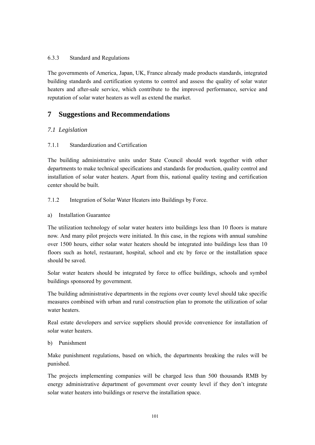#### 6.3.3 Standard and Regulations

The governments of America, Japan, UK, France already made products standards, integrated building standards and certification systems to control and assess the quality of solar water heaters and after-sale service, which contribute to the improved performance, service and reputation of solar water heaters as well as extend the market.

# **7 Suggestions and Recommendations**

# *7.1 Legislation*

# 7.1.1 Standardization and Certification

The building administrative units under State Council should work together with other departments to make technical specifications and standards for production, quality control and installation of solar water heaters. Apart from this, national quality testing and certification center should be built.

# 7.1.2 Integration of Solar Water Heaters into Buildings by Force.

a) Installation Guarantee

The utilization technology of solar water heaters into buildings less than 10 floors is mature now. And many pilot projects were initiated. In this case, in the regions with annual sunshine over 1500 hours, either solar water heaters should be integrated into buildings less than 10 floors such as hotel, restaurant, hospital, school and etc by force or the installation space should be saved.

Solar water heaters should be integrated by force to office buildings, schools and symbol buildings sponsored by government.

The building administrative departments in the regions over county level should take specific measures combined with urban and rural construction plan to promote the utilization of solar water heaters.

Real estate developers and service suppliers should provide convenience for installation of solar water heaters.

#### b) Punishment

Make punishment regulations, based on which, the departments breaking the rules will be punished.

The projects implementing companies will be charged less than 500 thousands RMB by energy administrative department of government over county level if they don't integrate solar water heaters into buildings or reserve the installation space.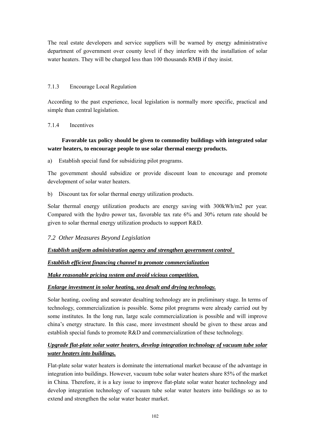The real estate developers and service suppliers will be warned by energy administrative department of government over county level if they interfere with the installation of solar water heaters. They will be charged less than 100 thousands RMB if they insist.

# 7.1.3 Encourage Local Regulation

According to the past experience, local legislation is normally more specific, practical and simple than central legislation.

#### 7.1.4 Incentives

# **Favorable tax policy should be given to commodity buildings with integrated solar water heaters, to encourage people to use solar thermal energy products.**

a) Establish special fund for subsidizing pilot programs.

The government should subsidize or provide discount loan to encourage and promote development of solar water heaters.

b) Discount tax for solar thermal energy utilization products.

Solar thermal energy utilization products are energy saving with 300kWh/m2 per year. Compared with the hydro power tax, favorable tax rate 6% and 30% return rate should be given to solar thermal energy utilization products to support R&D.

# *7.2 Other Measures Beyond Legislation*

# *Establish uniform administration agency and strengthen government control*

# *Establish efficient financing channel to promote commercialization*

# *Make reasonable pricing system and avoid vicious competition.*

# *Enlarge investment in solar heating, sea desalt and drying technology.*

Solar heating, cooling and seawater desalting technology are in preliminary stage. In terms of technology, commercialization is possible. Some pilot programs were already carried out by some institutes. In the long run, large scale commercialization is possible and will improve china's energy structure. In this case, more investment should be given to these areas and establish special funds to promote R&D and commercialization of these technology.

# *Upgrade flat-plate solar water heaters, develop integration technology of vacuum tube solar water heaters into buildings.*

Flat-plate solar water heaters is dominate the international market because of the advantage in integration into buildings. However, vacuum tube solar water heaters share 85% of the market in China. Therefore, it is a key issue to improve flat-plate solar water heater technology and develop integration technology of vacuum tube solar water heaters into buildings so as to extend and strengthen the solar water heater market.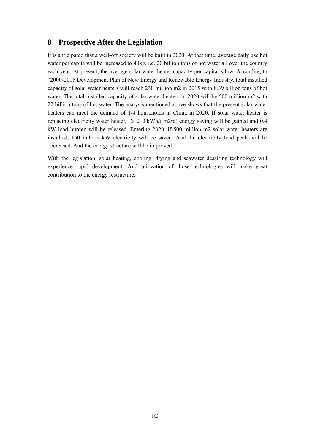## **8 Prospective After the Legislation**

It is anticipated that a well-off society will be built in 2020. At that time, average daily use hot water per capita will be increased to 40kg, i.e. 20 billion tons of hot water all over the country each year. At present, the average solar water heater capacity per capita is low. According to "2000-2015 Development Plan of New Energy and Renewable Energy Industry, total installed capacity of solar water heaters will reach 230 million m2 in 2015 with 8.39 billion tons of hot water. The total installed capacity of solar water heaters in 2020 will be 500 million m2 with 22 billion tons of hot water. The analysis mentioned above shows that the present solar water heaters can meet the demand of 1/4 households in China in 2020. If solar water heater is replacing electricity water heater,  $3\ 0\ 0\ kWh/(m2•a)$  energy saving will be gained and 0.4 kW load burden will be released. Entering 2020, if 500 million m2 solar water heaters are installed, 150 million kW electricity will be saved. And the electricity load peak will be decreased. And the energy structure will be improved.

With the legislation, solar heating, cooling, drying and seawater desalting technology will experience rapid development. And utilization of those technologies will make great contribution to the energy restructure.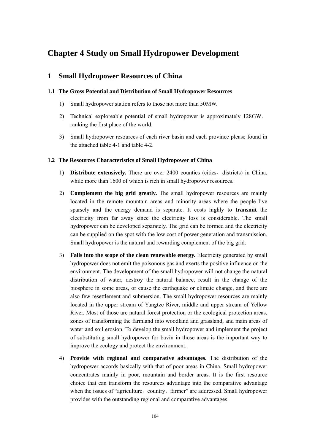# **Chapter 4 Study on Small Hydropower Development**

# **1 Small Hydropower Resources of China**

### **1.1 The Gross Potential and Distribution of Small Hydropower Resources**

- 1) Small hydropower station refers to those not more than 50MW.
- 2) Technical exploreable potential of small hydropower is approximately 128GW, ranking the first place of the world.
- 3) Small hydropower resources of each river basin and each province please found in the attached table 4-1 and table 4-2.

### **1.2 The Resources Characteristics of Small Hydropower of China**

- 1) **Distribute extensively.** There are over 2400 counties (cities、districts) in China, while more than 1600 of which is rich in small hydropower resources.
- 2) **Complement the big grid greatly.** The small hydropower resources are mainly located in the remote mountain areas and minority areas where the people live sparsely and the energy demand is separate. It costs highly to **transmit** the electricity from far away since the electricity loss is considerable. The small hydropower can be developed separately. The grid can be formed and the electricity can be supplied on the spot with the low cost of power generation and transmission. Small hydropower is the natural and rewarding complement of the big grid.
- 3) **Falls into the scope of the clean renewable energy.** Electricity generated by small hydropower does not emit the poisonous gas and exerts the positive influence on the environment. The development of the **s**mall hydropower will not change the natural distribution of water, destroy the natural balance, result in the change of the biosphere in some areas, or cause the earthquake or climate change, and there are also few resettlement and submersion. The small hydropower resources are mainly located in the upper stream of Yangtze River, middle and upper stream of Yellow River. Most of those are natural forest protection or the ecological protection areas, zones of transforming the farmland into woodland and grassland, and main areas of water and soil erosion. To develop the small hydropower and implement the project of substituting small hydropower for bavin in those areas is the important way to improve the ecology and protect the environment.
- 4) **Provide with regional and comparative advantages.** The distribution of the hydropower accords basically with that of poor areas in China. Small hydropower concentrates mainly in poor, mountain and border areas. It is the first resource choice that can transform the resources advantage into the comparative advantage when the issues of "agriculture, country, farmer" are addressed. Small hydropower provides with the outstanding regional and comparative advantages.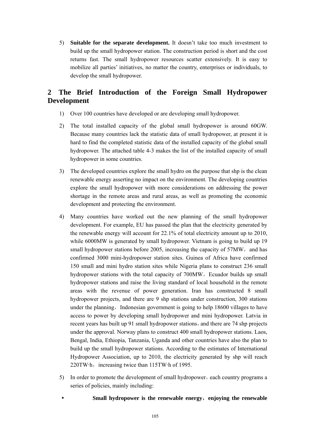5) **Suitable for the separate development.** It doesn't take too much investment to build up the small hydropower station. The construction period is short and the cost returns fast. The small hydropower resources scatter extensively. It is easy to mobilize all parties' initiatives, no matter the country, enterprises or individuals, to develop the small hydropower.

# **2 The Brief Introduction of the Foreign Small Hydropower Development**

- 1) Over 100 countries have developed or are developing small hydropower.
- 2) The total installed capacity of the global small hydropower is around 60GW. Because many countries lack the statistic data of small hydropower, at present it is hard to find the completed statistic data of the installed capacity of the global small hydropower. The attached table 4-3 makes the list of the installed capacity of small hydropower in some countries.
- 3) The developed countries explore the small hydro on the purpose that shp is the clean renewable energy asserting no impact on the environment. The developing countries explore the small hydropower with more considerations on addressing the power shortage in the remote areas and rural areas, as well as promoting the economic development and protecting the environment.
- 4) Many countries have worked out the new planning of the small hydropower development. For example, EU has passed the plan that the electricity generated by the renewable energy will account for 22.1% of total electricity amount up to 2010, while 6000MW is generated by small hydropower. Vietnam is going to build up 19 small hydropower stations before 2005, increasing the capacity of  $57MW$ , and has confirmed 3000 mini-hydropower station sites. Guinea of Africa have confirmed 150 small and mini hydro station sites while Nigeria plans to construct 236 small hydropower stations with the total capacity of 700MW, Ecuador builds up small hydropower stations and raise the living standard of local household in the remote areas with the revenue of power generation. Iran has constructed 8 small hydropower projects, and there are 9 shp stations under construction, 300 stations under the planning, Indonesian government is going to help 18600 villages to have access to power by developing small hydropower and mini hydropower. Latvia in recent years has built up 91 small hydropower stations, and there are 74 shp projects under the approval. Norway plans to construct 400 small hydropower stations. Laos, Bengal, India, Ethiopia, Tanzania, Uganda and other countries have also the plan to build up the small hydropower stations. According to the estimates of International Hydropower Association, up to 2010, the electricity generated by shp will reach  $220$ TW·h, increasing twice than 115TW·h of 1995.
- 5) In order to promote the development of small hydropower, each country programs a series of policies, mainly including:
	- **Small hydropower is the renewable energy, enjoying the renewable**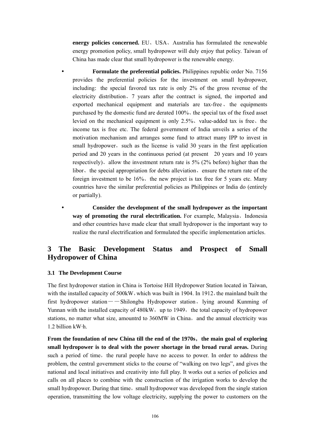**energy policies concerned.** EU、USA、Australia has formulated the renewable energy promotion policy, small hydropower will duly enjoy that policy. Taiwan of China has made clear that small hydropower is the renewable energy.

- **Formulate the preferential policies.** Philippines republic order No. 7156 provides the preferential policies for the investment on small hydropower, including: the special favored tax rate is only  $2\%$  of the gross revenue of the electricity distribution、7 years after the contract is signed, the imported and exported mechanical equipment and materials are tax-free, the equipments purchased by the domestic fund are derated 100%、the special tax of the fixed asset levied on the mechanical equipment is only 2.5%、value-added tax is free、the income tax is free etc. The federal government of India unveils a series of the motivation mechanism and arranges some fund to attract many IPP to invest in small hydropower, such as the license is valid 30 years in the first application period and 20 years in the continuous period (at present 20 years and 10 years respectively)、allow the investment return rate is 5% (2% before) higher than the libor、the special appropriation for debts alleviation、ensure the return rate of the foreign investment to be 16%、the new project is tax free for 5 years etc. Many countries have the similar preferential policies as Philippines or India do (entirely or partially).
- Consider the development of the small hydropower as the important **way of promoting the rural electrification.** For example, Malaysia、Indonesia and other countries have made clear that small hydropower is the important way to realize the rural electrification and formulated the specific implementation articles.

# **3 The Basic Development Status and Prospect of Small Hydropower of China**

### **3.1 The Development Course**

The first hydropower station in China is Tortoise Hill Hydropower Station located in Taiwan, with the installed capacity of 500kW, which was built in 1904. In 1912, the mainland built the first hydropower station——Shilongba Hydropower station, lying around Kunming of Yunnan with the installed capacity of 480kW, up to 1949, the total capacity of hydropower stations, no matter what size, amountrd to 360MW in China, and the annual electricity was 1.2 billion kW·h.

**From the foundation of new China till the end of the 1970s**,**the main goal of exploring small hydropower is to deal with the power shortage in the broad rural areas.** During such a period of time, the rural people have no access to power. In order to address the problem, the central government sticks to the course of "walking on two legs", and gives the national and local initiatives and creativity into full play. It works out a series of policies and calls on all places to combine with the construction of the irrigation works to develop the small hydropower. During that time, small hydropower was developed from the single station operation, transmitting the low voltage electricity, supplying the power to customers on the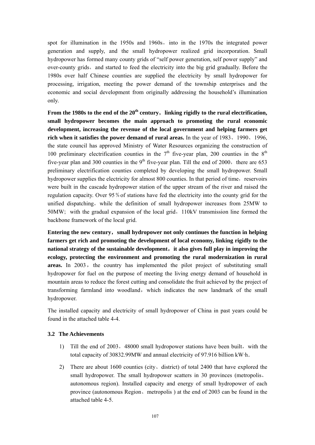spot for illumination in the 1950s and 1960s, into in the 1970s the integrated power generation and supply, and the small hydropower realized grid incorporation. Small hydropower has formed many county grids of "self power generation, self power supply" and over-county grids, and started to feed the electricity into the big grid gradually. Before the 1980s over half Chinese counties are supplied the electricity by small hydropower for processing, irrigation, meeting the power demand of the township enterprises and the economic and social development from originally addressing the household's illumination only.

From the 1980s to the end of the 20<sup>th</sup> century, linking rigidly to the rural electrification, **small hydropower becomes the main approach to promoting the rural economic development, increasing the revenue of the local government and helping farmers get rich when it satisfies the power demand of rural areas.** In the year of 1983、1990、1996, the state council has approved Ministry of Water Resources organizing the construction of 100 preliminary electrification counties in the  $7<sup>th</sup>$  five-year plan, 200 counties in the  $8<sup>th</sup>$ five-year plan and 300 counties in the  $9<sup>th</sup>$  five-year plan. Till the end of 2000, there are 653 preliminary electrification counties completed by developing the small hydropower. Small hydropower supplies the electricity for almost 800 counties. In that period of time, reservoirs were built in the cascade hydropower station of the upper stream of the river and raised the regulation capacity. Over 95%of stations have fed the electricity into the county grid for the unified dispatching, while the definition of small hydropower increases from 25MW to  $50MW$ ; with the gradual expansion of the local grid,  $110kV$  transmission line formed the backbone framework of the local grid.

**Entering the new century**,**small hydropower not only continues the function in helping farmers get rich and promoting the development of local economy, linking rigidly to the national strategy of the sustainable development**,**it also gives full play in improving the ecology, protecting the environment and promoting the rural modernization in rural areas.** In 2003, the country has implemented the pilot project of substituting small hydropower for fuel on the purpose of meeting the living energy demand of household in mountain areas to reduce the forest cutting and consolidate the fruit achieved by the project of transforming farmland into woodland, which indicates the new landmark of the small hydropower.

The installed capacity and electricity of small hydropower of China in past years could be found in the attached table 4-4.

#### **3.2 The Achievements**

- 1) Till the end of 2003, 48000 small hydropower stations have been built, with the total capacity of 30832.99MW and annual electricity of 97.916 billion kW·h。
- 2) There are about 1600 counties (city、district) of total 2400 that have explored the small hydropower. The small hydropower scatters in 30 provinces (metropolis、 autonomous region). Installed capacity and energy of small hydropower of each province (autonomous Region、metropolis ) at the end of 2003 can be found in the attached table 4-5.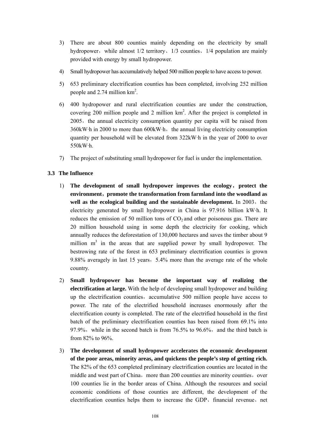- 3) There are about 800 counties mainly depending on the electricity by small hydropower, while almost  $1/2$  territory,  $1/3$  counties,  $1/4$  population are mainly provided with energy by small hydropower.
- 4) Small hydropower has accumulatively helped 500 million people to have access to power.
- 5) 653 preliminary electrification counties has been completed, involving 252 million people and  $2.74$  million  $\text{km}^2$ .
- 6) 400 hydropower and rural electrification counties are under the construction, covering 200 million people and 2 million  $km<sup>2</sup>$ . After the project is completed in 2005, the annual electricity consumption quantity per capita will be raised from  $360$ kW·h in 2000 to more than  $600$ kW·h, the annual living electricity consumption quantity per household will be elevated from 322kW·h in the year of 2000 to over 550kW·h.
- 7) The project of substituting small hydropower for fuel is under the implementation.

### **3.3 The Influence**

- 1) **The development of small hydropower improves the ecology**,**protect the environment**,**promote the transformation from farmland into the woodland as**  well as the ecological building and the sustainable development. In 2003, the electricity generated by small hydropower in China is 97.916 billion kW·h. It reduces the emission of 50 million tons of  $CO<sub>2</sub>$  and other poisonous gas. There are 20 million household using in some depth the electricity for cooking, which annually reduces the deforestation of 130,000 hectares and saves the timber about 9 million  $m<sup>3</sup>$  in the areas that are supplied power by small hydropower. The bestrowing rate of the forest in 653 preliminary electrification counties is grown 9.88% averagely in last 15 years, 5.4% more than the average rate of the whole country.
- 2) **Small hydropower has become the important way of realizing the electrification at large.** With the help of developing small hydropower and building up the electrification counties,accumulative 500 million people have access to power. The rate of the electrified household increases enormously after the electrification county is completed. The rate of the electrified household in the first batch of the preliminary electrification counties has been raised from 69.1% into 97.9%, while in the second batch is from  $76.5\%$  to 96.6%, and the third batch is from 82% to 96%.
- 3) **The development of small hydropower accelerates the economic development of the poor areas, minority areas, and quickens the people's step of getting rich.**  The 82% of the 653 completed preliminary electrification counties are located in the middle and west part of China, more than 200 counties are minority counties, over 100 counties lie in the border areas of China. Although the resources and social economic conditions of those counties are different, the development of the electrification counties helps them to increase the GDP、financial revenue、net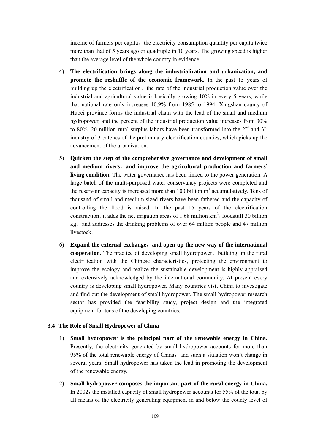income of farmers per capita, the electricity consumption quantity per capita twice more than that of 5 years ago or quadruple in 10 years. The growing speed is higher than the average level of the whole country in evidence.

- 4) **The electrification brings along the industrialization and urbanization, and promote the reshuffle of the economic framework.** In the past 15 years of building up the electrification, the rate of the industrial production value over the industrial and agricultural value is basically growing 10% in every 5 years, while that national rate only increases 10.9% from 1985 to 1994. Xingshan county of Hubei province forms the industrial chain with the lead of the small and medium hydropower, and the percent of the industrial production value increases from 30% to 80%. 20 million rural surplus labors have been transformed into the  $2<sup>nd</sup>$  and  $3<sup>rd</sup>$ industry of 3 batches of the preliminary electrification counties, which picks up the advancement of the urbanization.
- 5) **Quicken the step of the comprehensive governance and development of small and medium rivers**,**and improve the agricultural production and farmers' living condition.** The water governance has been linked to the power generation. A large batch of the multi-purposed water conservancy projects were completed and the reservoir capacity is increased more than 100 billion  $m<sup>3</sup>$  accumulatively. Tens of thousand of small and medium sized rivers have been fathered and the capacity of controlling the flood is raised. In the past 15 years of the electrification construction, it adds the net irrigation areas of 1.68 million  $km^2$ , foodstuff 30 billion kg,and addresses the drinking problems of over 64 million people and 47 million livestock.
- 6) **Expand the external exchange**,**and open up the new way of the international cooperation.** The practice of developing small hydropower, building up the rural electrification with the Chinese characteristics, protecting the environment to improve the ecology and realize the sustainable development is highly appraised and extensively acknowledged by the international community. At present every country is developing small hydropower. Many countries visit China to investigate and find out the development of small hydropower. The small hydropower research sector has provided the feasibility study, project design and the integrated equipment for tens of the developing countries.

#### **3.4 The Role of Small Hydropower of China**

- 1) **Small hydropower is the principal part of the renewable energy in China.**  Presently, the electricity generated by small hydropower accounts for more than 95% of the total renewable energy of China, and such a situation won't change in several years. Small hydropower has taken the lead in promoting the development of the renewable energy.
- 2) **Small hydropower composes the important part of the rural energy in China.** In 2002, the installed capacity of small hydropower accounts for  $55\%$  of the total by all means of the electricity generating equipment in and below the county level of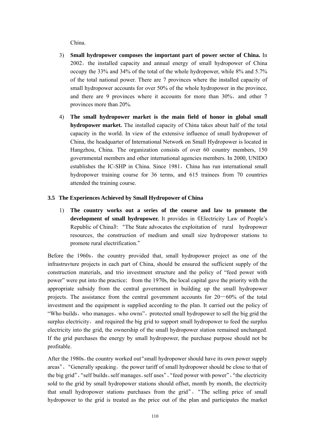China.

- 3) **Small hydropower composes the important part of power sector of China.** In 2002, the installed capacity and annual energy of small hydropower of China occupy the 33% and 34% of the total of the whole hydropower, while 8% and 5.7% of the total national power. There are 7 provinces where the installed capacity of small hydropower accounts for over 50% of the whole hydropower in the province, and there are 9 provinces where it accounts for more than  $30\%$ , and other 7 provinces more than 20%.
- 4) **The small hydropower market is the main field of honor in global small hydropower market.** The installed capacity of China takes about half of the total capacity in the world. In view of the extensive influence of small hydropower of China, the headquarter of International Network on Small Hydropower is located in Hangzhou, China. The organization consists of over 60 country members, 150 governmental members and other international agencies members. In 2000, UNIDO establishes the IC-SHP in China. Since 1981, China has run international small hydropower training course for 36 terms, and 615 trainees from 70 countries attended the training course.

### **3.5 The Experiences Achieved by Small Hydropower of China**

1) **The country works out a series of the course and law to promote the development of small hydropower.** It provides in《Electricity Law of People's Republic of China»: "The State advocates the exploitation of rural hydropower resources, the construction of medium and small size hydropower stations to promote rural electrification."

Before the 1960s, the country provided that, small hydropower project as one of the infrastruvture projects in each part of China, should be ensured the sufficient supply of the construction materials, and trio investment structure and the policy of "feed power with power" were put into the practice; from the 1970s, the local capital gave the priority with the appropriate subsidy from the central government in building up the small hydropower projects. The assistance from the central government accounts for  $20-60\%$  of the total investment and the equipment is supplied according to the plan. It carried out the policy of "Who builds, who manages, who owns", protected small hydropower to sell the big grid the surplus electricity, and required the big grid to support small hydropower to feed the surplus electricity into the grid, the ownership of the small hydropower station remained unchanged. If the grid purchases the energy by small hydropower, the purchase purpose should not be profitable.

After the 1980s, the country worked out "small hydropower should have its own power supply areas". "Generally speaking, the power tariff of small hydropower should be close to that of the big grid"、"self builds、self manages、self uses"、"feed power with power"、"the electricity sold to the grid by small hydropower stations should offset, month by month, the electricity that small hydropower stations purchases from the grid"、"The selling price of small hydropower to the grid is treated as the price out of the plan and participates the market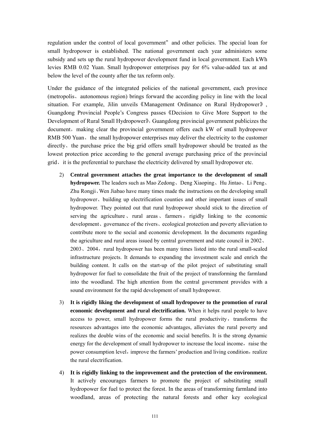regulation under the control of local government"and other policies. The special loan for small hydropower is established. The national government each year administers some subsidy and sets up the rural hydropower development fund in local government. Each kWh levies RMB 0.02 Yuan. Small hydropower enterprises pay for 6% value-added tax at and below the level of the county after the tax reform only.

Under the guidance of the integrated policies of the national government, each province (metropolis、autonomous region) brings forward the according policy in line with the local situation. For example, Jilin unveils《Management Ordinance on Rural Hydropower》, Guangdong Provincial People's Congress passes《Decision to Give More Support to the Development of Rural Small Hydropower》, Guangdong provincial government publicizes the document, making clear the provincial government offers each kW of small hydropower RMB 500 Yuan、the small hydropower enterprises may deliver the electricity to the customer directly、the purchase price the big grid offers small hydropower should be treated as the lowest protection price according to the general average purchasing price of the provincial grid、it is the preferential to purchase the electricity delivered by small hydropower etc.

- 2) **Central government attaches the great importance to the development of small hydropower.** The leaders such as Mao Zedong、Deng Xiaoping、Hu Jintao、Li Peng、 Zhu Rongji、Wen Jiabao have many times made the instructions on the developing small hydropower、building up electrification counties and other important issues of small hydropower. They pointed out that rural hydropower should stick to the direction of serving the agriculture, rural areas, farmers, rigidly linking to the economic development、governance of the rivers、ecological protection and poverty alleviation to contribute more to the social and economic development. In the documents regarding the agriculture and rural areas issued by central government and state council in 2002、  $2003$ ,  $2004$ , rural hydropower has been many times listed into the rural small-scaled infrastructure projects. It demands to expanding the investment scale and enrich the building content. It calls on the start-up of the pilot project of substituting small hydropower for fuel to consolidate the fruit of the project of transforming the farmland into the woodland. The high attention from the central government provides with a sound environment for the rapid development of small hydropower.
- 3) **It is rigidly liking the development of small hydropower to the promotion of rural economic development and rural electrification.** When it helps rural people to have access to power, small hydropower forms the rural productivity, transforms the resources advantages into the economic advantages, alleviates the rural poverty and realizes the double wins of the economic and social benefits. It is the strong dynamic energy for the development of small hydropower to increase the local income, raise the power consumption level, improve the farmers' production and living condition, realize the rural electrification.
- 4) **It is rigidly linking to the improvement and the protection of the environment.**  It actively encourages farmers to promote the project of substituting small hydropower for fuel to protect the forest. In the areas of transforming farmland into woodland, areas of protecting the natural forests and other key ecological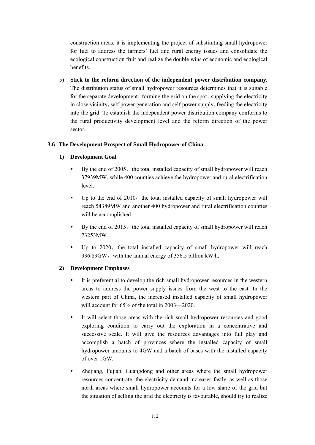construction areas, it is implementing the project of substituting small hydropower for fuel to address the farmers' fuel and rural energy issues and consolidate the ecological construction fruit and realize the double wins of economic and ecological benefits.

5) **Stick to the reform direction of the independent power distribution company.** The distribution status of small hydropower resources determines that it is suitable for the separate development, forming the grid on the spot, supplying the electricity in close vicinity, self power generation and self power supply, feeding the electricity into the grid. To establish the independent power distribution company conforms to the rural productivity development level and the reform direction of the power sector.

### **3.6 The Development Prospect of Small Hydropower of China**

### **1) Development Goal**

- By the end of 2005, the total installed capacity of small hydropower will reach 37939MW, while 400 counties achieve the hydropower and rural electrification level.
- Up to the end of  $2010$ , the total installed capacity of small hydropower will reach 54389MW and another 400 hydropower and rural electrification counties will be accomplished.
- By the end of  $2015$ , the total installed capacity of small hydropower will reach 73253MW.
- $\bullet$  Up to 2020, the total installed capacity of small hydropower will reach 936.89GW, with the annual energy of  $356.5$  billion kW·h.

### **2) Development Emphases**

- It is preferential to develop the rich small hydropower resources in the western areas to address the power supply issues from the west to the east. In the western part of China, the increased installed capacity of small hydropower will account for 65% of the total in 2003—2020.
- It will select those areas with the rich small hydropower resources and good exploring condition to carry out the exploration in a concentrative and successive scale. It will give the resources advantages into full play and accomplish a batch of provinces where the installed capacity of small hydropower amounts to 4GW and a batch of bases with the installed capacity of over 1GW.
- Zhejiang, Fujian, Guangdong and other areas where the small hydropower resources concentrate, the electricity demand increases fastly, as well as those north areas where small hydropower accounts for a low share of the grid but the situation of selling the grid the electricity is favourable, should try to realize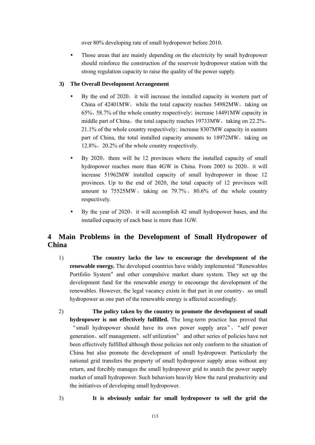over 80% developing rate of small hydropower before 2010.

• Those areas that are mainly depending on the electricity by small hydropower should reinforce the construction of the reservoir hydropower station with the strong regulation capacity to raise the quality of the power supply.

### **3) The Overall Development Arrangement**

- By the end of 2020, it will increase the installed capacity in western part of China of 42401MW, while the total capacity reaches 54982MW, taking on 65%、58.7% of the whole country respectively;increase 14491MW capacity in middle part of China, the total capacity reaches  $19733MW$ , taking on  $22.2\%$ .  $21.1\%$  of the whole country respectively; increase 8307MW capacity in eastern part of China, the total installed capacity amounts to 18972MW, taking on 12.8%、20.2% of the whole country respectively.
- By 2020, there will be 12 provinces where the installed capacity of small hydropower reaches more than 4GW in China. From 2003 to 2020, it will increase 51962MW installed capacity of small hydropower in those 12 provinces. Up to the end of 2020, the total capacity of 12 provinces will amount to  $75525MW$ , taking on  $79.7\%$ .  $80.6\%$  of the whole country respectively.
- By the year of 2020, it will accomplish 42 small hydropower bases, and the installed capacity of each base is more than 1GW.

# **4 Main Problems in the Development of Small Hydropower of China**

- 1) **The country lacks the law to encourage the development of the renewable energy.** The developed countries have widely implemented "Renewables" Portfolio System" and other compulsive market share system. They set up the development fund for the renewable energy to encourage the development of the renewables. However, the legal vacancy exists in that part in our country, so small hydropower as one part of the renewable energy is affected accordingly.
- 2) **The policy taken by the country to promote the development of small hydropower is not effectively fulfilled.** The long-term practice has proved that "small hydropower should have its own power supply area"、"self power generation、self management、self utilization" and other series of policies have not been effectively fulfilled although those policies not only conform to the situation of China but also promote the development of small hydropower. Particularly the national grid transfers the property of small hydropower supply areas without any return, and forcibly manages the small hydropower grid to snatch the power supply market of small hydropower. Such behaviors heavily blow the rural productivity and the initiatives of developing small hydropower.
- 3) **It is obviously unfair for small hydropower to sell the grid the**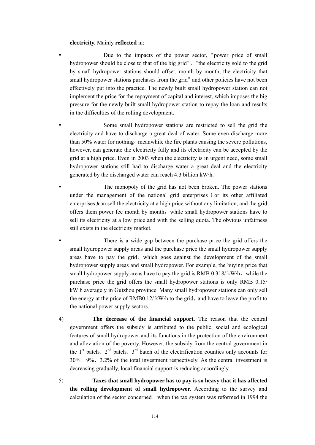#### **electricity.** Mainly **reflected** in:

- Due to the impacts of the power sector, "power price of small hydropower should be close to that of the big grid"、"the electricity sold to the grid by small hydropower stations should offset, month by month, the electricity that small hydropower stations purchases from the grid" and other policies have not been effectively put into the practice. The newly built small hydropower station can not implement the price for the repayment of capital and interest, which imposes the big pressure for the newly built small hydropower station to repay the loan and results in the difficulties of the rolling development.
- Some small hydropower stations are restricted to sell the grid the electricity and have to discharge a great deal of water. Some even discharge more than 50% water for nothing, meanwhile the fire plants causing the severe pollutions, however, can generate the electricity fully and its electricity can be accepted by the grid at a high price. Even in 2003 when the electricity is in urgent need, some small hydropower stations still had to discharge water a great deal and the electricity generated by the discharged water can reach 4.3 billion kW·h.
- The monopoly of the grid has not been broken. The power stations under the management of the national grid enterprises (or its other affiliated enterprises)can sell the electricity at a high price without any limitation, and the grid offers them power fee month by month,while small hydropower stations have to sell its electricity at a low price and with the selling quota. The obvious unfairness still exists in the electricity market.
- There is a wide gap between the purchase price the grid offers the small hydropower supply areas and the purchase price the small hydropower supply areas have to pay the grid, which goes against the development of the small hydropower supply areas and small hydropower. For example, the buying price that small hydropower supply areas have to pay the grid is RMB  $0.318$ / kW·h, while the purchase price the grid offers the small hydropower stations is only RMB 0.15/ kW·h averagely in Guizhou province. Many small hydropower stations can only sell the energy at the price of RMB0.12/ $kW$  h to the grid, and have to leave the profit to the national power supply sectors.
- 4) **The decrease of the financial support.** The reason that the central government offers the subsidy is attributed to the public, social and ecological features of small hydropower and its functions in the protection of the environment and alleviation of the poverty. However, the subsidy from the central government in the  $1<sup>st</sup>$  batch,  $2<sup>nd</sup>$  batch,  $3<sup>rd</sup>$  batch of the electrification counties only accounts for 30%、9%、3.2% of the total investment respectively. As the central investment is decreasing gradually, local financial support is reducing accordingly.
- 5) **Taxes that small hydropower has to pay is so heavy that it has affected the rolling development of small hydropower.** According to the survey and calculation of the sector concerned, when the tax system was reformed in 1994 the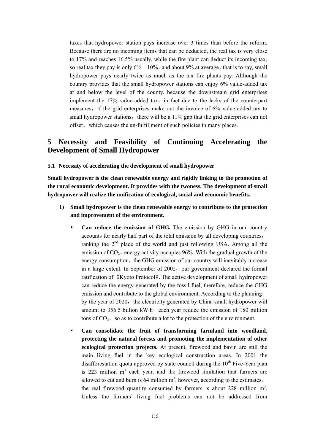taxes that hydropower station pays increase over 3 times than before the reform. Because there are no incoming items that can be deducted, the real tax is very close to 17% and reaches 16.5% usually, while the fire plant can deduct its incoming tax, so real tax they pay is only  $6\% - 10\%$ , and about 9% at average, that is to say, small hydropower pays nearly twice as much as the tax fire plants pay. Although the country provides that the small hydropower stations can enjoy 6% value-added tax at and below the level of the county, because the downstream grid enterprises implement the 17% value-added tax, in fact due to the lacks of the counterpart measures, if the grid enterprises make out the invoice of 6% value-added tax to small hydropower stations, there will be a 11% gap that the grid enterprises can not offset, which causes the un-fulfillment of such policies in many places.

# **5 Necessity and Feasibility of Continuing Accelerating the Development of Small Hydropower**

**5.1 Necessity of accelerating the development of small hydropower**

**Small hydropower is the clean renewable energy and rigidly linking to the promotion of the rural economic development. It provides with the twoness. The development of small hydropower will realize the unification of ecological, social and economic benefits.**

- **1) Small hydropower is the clean renewable energy to contribute to the protection and improvement of the environment.** 
	- Can reduce the emission of GHG. The emission by GHG in our country accounts for nearly half part of the total emission by all developing countries, ranking the  $2<sup>nd</sup>$  place of the world and just following USA. Among all the emission of  $CO<sub>2</sub>$ , energy activity occupies 96%. With the gradual growth of the energy consumption, the GHG emission of our country will inevitably increase in a large extent. In September of 2002, our government declared the formal ratification of 《Kyoto Protocol》. The active development of small hydropower can reduce the energy generated by the fossil fuel, therefore, reduce the GHG emission and contribute to the global environment. According to the planning, by the year of 2020, the electricity generated by China small hydropower will amount to 356.5 billion kW·h, each year reduce the emission of 180 million tons of  $CO<sub>2</sub>$ , so as to contribute a lot to the protection of the environment.
	- Can consolidate the fruit of transforming farmland into woodland, **protecting the natural forests and promoting the implementation of other ecological protection projects.** At present, firewood and bavin are still the main living fuel in the key ecological construction areas. In 2001 the disafforestation quota approved by state council during the  $10<sup>th</sup>$  Five-Year plan is 223 million  $m<sup>3</sup>$  each year, and the firewood limitation that farmers are allowed to cut and burn is  $64$  million  $m<sup>3</sup>$ . however, according to the estimates, the real firewood quantity consumed by farmers is about 228 million  $m<sup>3</sup>$ . Unless the farmers' living fuel problems can not be addressed from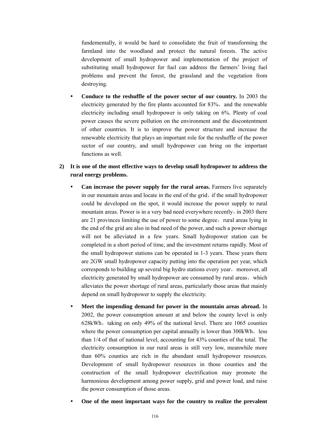fundementally, it would be hard to consolidate the fruit of transforming the farmland into the woodland and protect the natural forests. The active development of small hydropower and implementation of the project of substituting small hydropower for fuel can address the farmers' living fuel problems and prevent the forest, the grassland and the vegetation from destroying.

Conduce to the reshuffle of the power sector of our country. In 2003 the electricity generated by the fire plants accounted for  $83\%$ , and the renewable electricity including small hydropower is only taking on 6%. Plenty of coal power causes the severe pollution on the environment and the discontentment of other countries. It is to improve the power structure and increase the renewable electricity that plays an important role for the reshuffle of the power sector of our country, and small hydropower can bring on the important functions as well.

### **2) It is one of the most effective ways to develop small hydropower to address the rural energy problems.**

- **Can increase the power supply for the rural areas.** Farmers live separately in our mountain areas and locate in the end of the grid, if the small hydropower could be developed on the spot, it would increase the power supply to rural mountain areas. Power is in a very bad need everywhere recently, in 2003 there are 21 provinces limiting the use of power to some degree, rural areas lying in the end of the grid are also in bad need of the power, and such a power shortage will not be alleviated in a few years. Small hydropower station can be completed in a short period of time, and the investment returns rapidly. Most of the small hydropower stations can be operated in 1-3 years. These years there are 2GW small hydropower capacity putting into the operation per year, which corresponds to building up several big hydro stations every year, moreover, all electricity generated by small hydropower are consumed by rural areas, which alleviates the power shortage of rural areas, particularly those areas that mainly depend on small hydropower to supply the electricity.
- **Meet the impending demand for power in the mountain areas abroad.** In 2002, the power consumption amount at and below the county level is only 628kWh, taking on only  $49\%$  of the national level. There are 1065 counties where the power consumption per capital annually is lower than  $300kWh$ , less than 1/4 of that of national level, accounting for 43% counties of the total. The electricity consumption in our rural areas is still very low, meanwhile more than 60% counties are rich in the abundant small hydropower resources. Development of small hydropower resources in those counties and the construction of the small hydropower electrification may promote the harmonious development among power supply, grid and power load, and raise the power consumption of those areas.
- One of the most important ways for the country to realize the prevalent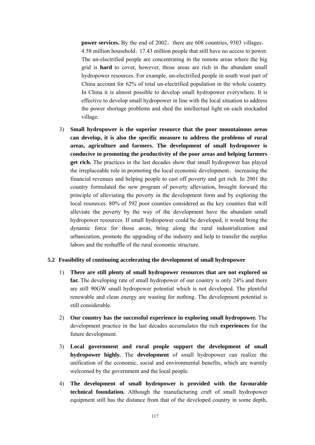**power services.** By the end of 2002, there are 608 countries, 9303 villages, 4.58 million household,17.43 million people that still have no access to power. The un-electrified people are concentrating in the remote areas where the big grid is **hard** to cover, however, those areas are rich in the abundant small hydropower resources. For example, un-electrified people in south west part of China account for 62% of total un-electrified population in the whole country. In China it is almost possible to develop small hydropower everywhere. It is effective to develop small hydropower in line with the local situation to address the power shortage problems and shed the intellectual light on each stockaded village.

3) **Small hydropower is the superior resource that the poor mountainous areas can develop, it is also the specific measure to address the problems of rural areas, agriculture and farmers. The development of small hydropower is conducive to promoting the productivity of the poor areas and helping farmers get rich.** The practices in the last decades show that small hydropower has played the irreplaceable role in promoting the local economic development, increasing the financial revenues and helping people to cast off poverty and get rich. In 2001 the country formulated the new program of poverty alleviation, brought forward the principle of alleviating the poverty in the development form and by exploring the local resources. 80% of 592 poor counties considered as the key counties that will alleviate the poverty by the way of the development have the abundant small hydropower resources. If small hydropower could be developed, it would bring the dynamic force for those areas, bring along the rural industrialization and urbanization, promote the upgrading of the industry and help to transfer the surplus labors and the reshuffle of the rural economic structure.

#### **5.2 Feasibility of continuing accelerating the development of small hydropower**

- 1) **There are still plenty of small hydropower resources that are not explored so far.** The developing rate of small hydropower of our country is only 24% and there are still 90GW small hydropower potential which is not developed. The plentiful renewable and clean energy are wasting for nothing. The development potential is still considerable.
- 2) **Our country has the successful experience in exploring small hydropower.** The development practice in the last decades accumulates the rich **experiences** for the future development.
- 3) **Local government and rural people support the development of small hydropower highly.** The **development** of small hydropower can realize the unification of the economic, social and environmental benefits, which are warmly welcomed by the government and the local people.
- 4) **The development of small hydropower is provided with the favourable technical foundation.** Although the manufacturing craft of small hydropower equipment still has the distance from that of the developed country in some depth,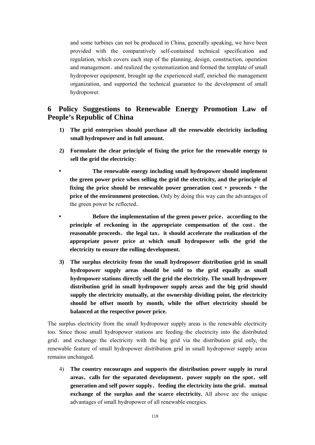and some turbines can not be produced in China, generally speaking, we have been provided with the comparatively self-contained technical specification and regulation, which covers each step of the planning, design, construction, operation and management, and realized the systematization and formed the template of small hydropower equipment, brought up the experienced staff, enriched the management organization, and supported the technical guarantee to the development of small hydropower.

# **6 Policy Suggestions to Renewable Energy Promotion Law of People's Republic of China**

- **1) The grid enterprises should purchase all the renewable electricity including small hydropower and in full amount.**
- **2) Formulate the clear principle of fixing the price for the renewable energy to sell the grid the electricity**:
- y **The renewable energy including small hydropower should implement the green power price when selling the grid the electricity, and the principle of fixing the price should be renewable power generation cost + proceeds + the price of the environment protection.** Only by doing this way can the advantages of the green power be reflected..
- y **Before the implementation of the green power price**,**according to the principle of reckoning in the appropriate compensation of the cost**、**the reasonable proceeds**、**the legal tax**,**it should accelerate the realization of the appropriate power price at which small hydropower sells the grid the electricity to ensure the rolling development.**
- **3) The surplus electricity from the small hydropower distribution grid in small hydropower supply areas should be sold to the grid equally as small hydropower stations directly sell the grid the electricity. The small hydropower distribution grid in small hydropower supply areas and the big grid should supply the electricity mutually, at the ownership dividing point, the electricity should be offset month by month, while the offset electricity should be balanced at the respective power price.**

The surplus electricity from the small hydropower supply areas is the renewable electricity too. Since those small hydropower stations are feeding the electricity into the distributed grid,and exchange the electricity with the big grid via the distribution grid only, the renewable feature of small hydropower distribution grid in small hydropower supply areas remains unchanged.

4) **The country encourages and supports the distribution power supply in rural areas**,**calls for the separated development**,**power supply on the spot**,**self generation and self power supply**,**feeding the electricity into the grid**,**mutual exchange of the surplus and the scarce electricity.** All above are the unique advantages of small hydropower of all renewable energies.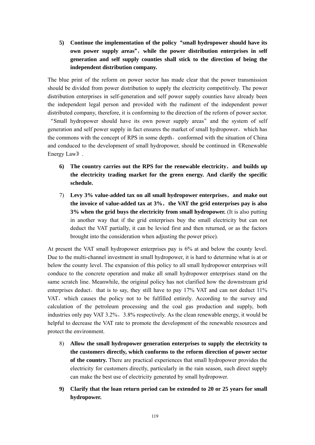**5) Continue the implementation of the policy**"**small hydropower should have its own power supply areas**",**while the power distribution enterprises in self generation and self supply counties shall stick to the direction of being the independent distribution company.** 

The blue print of the reform on power sector has made clear that the power transmission should be divided from power distribution to supply the electricity competitively. The power distribution enterprises in self-generation and self power supply counties have already been the independent legal person and provided with the rudiment of the independent power distributed company, therefore, it is conforming to the direction of the reform of power sector.

"Small hydropower should have its own power supply areas"and the system of self generation and self power supply in fact ensures the market of small hydropower, which has the commons with the concept of RPS in some depth, conformed with the situation of China and conduced to the development of small hydropower, should be continued in《Renewable Energy Law》.

- **6) The country carries out the RPS for the renewable electricity**,**and builds up the electricity trading market for the green energy. And clarify the specific schedule.**
- 7) **Levy 3% value-added tax on all small hydropower enterprises**,**and make out the invoice of value-added tax at 3%**,**the VAT the grid enterprises pay is also 3% when the grid buys the electricity from small hydropower.** (It is also putting in another way that if the grid enterprises buy the small electricity but can not deduct the VAT partially, it can be levied first and then returned, or as the factors brought into the consideration when adjusting the power price).

At present the VAT small hydropower enterprises pay is 6% at and below the county level. Due to the multi-channel investment in small hydropower, it is hard to determine what is at or below the county level. The expansion of this policy to all small hydropower enterprises will conduce to the concrete operation and make all small hydropower enterprises stand on the same scratch line. Meanwhile, the original policy has not clarified how the downstream grid enterprises deduct, that is to say, they still have to pay  $17\%$  VAT and can not deduct  $11\%$ VAT, which causes the policy not to be fulfilled entirely. According to the survey and calculation of the petroleum processing and the coal gas production and supply, both industries only pay VAT 3.2%、3.8% respectively. As the clean renewable energy, it would be helpful to decrease the VAT rate to promote the development of the renewable resources and protect the environment.

- 8) **Allow the small hydropower generation enterprises to supply the electricity to the customers directly, which conforms to the reform direction of power sector of the country.** There are practical experiences that small hydropower provides the electricity for customers directly, particularly in the rain season, such direct supply can make the best use of electricity generated by small hydropower.
- **9) Clarify that the loan return period can be extended to 20 or 25 years for small hydropower.**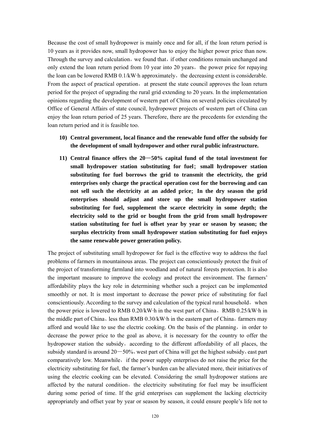Because the cost of small hydropower is mainly once and for all, if the loan return period is 10 years as it provides now, small hydropower has to enjoy the higher power price than now. Through the survey and calculation, we found that, if other conditions remain unchanged and only extend the loan return period from  $10$  year into  $20$  years, the power price for repaying the loan can be lowered RMB  $0.1/kW$  h approximately, the decreasing extent is considerable. From the aspect of practical operation, at present the state council approves the loan return period for the project of upgrading the rural grid extending to 20 years. In the implementation opinions regarding the development of western part of China on several policies circulated by Office of General Affairs of state council, hydropower projects of western part of China can enjoy the loan return period of 25 years. Therefore, there are the precedents for extending the loan return period and it is feasible too.

- **10) Central government, local finance and the renewable fund offer the subsidy for the development of small hydropower and other rural public infrastructure.**
- **11) Central finance offers the 20**—**50% capital fund of the total investment for small hydropower station substituting for fuel**;**small hydropower station substituting for fuel borrows the grid to transmit the electricity, the grid enterprises only charge the practical operation cost for the borrowing and can not sell such the electricity at an added price**;**In the dry season the grid enterprises should adjust and store up the small hydropower station substituting for fuel, supplement the scarce electricity in some depth; the electricity sold to the grid or bought from the grid from small hydropower station substituting for fuel is offset year by year or season by season; the surplus electricity from small hydropower station substituting for fuel enjoys the same renewable power generation policy.**

The project of substituting small hydropower for fuel is the effective way to address the fuel problems of farmers in mountainous areas. The project can conscientiously protect the fruit of the project of transforming farmland into woodland and of natural forests protection. It is also the important measure to improve the ecology and protect the environment. The farmers' affordability plays the key role in determining whether such a project can be implemented smoothly or not. It is most important to decrease the power price of substituting for fuel conscientiously. According to the survey and calculation of the typical rural household, when the power price is lowered to RMB 0.20/kW·h in the west part of China、RMB 0.25/kW·h in the middle part of China, less than RMB 0.30/kW·h in the eastern part of China, farmers may afford and would like to use the electric cooking. On the basis of the planning, in order to decrease the power price to the goal as above, it is necessary for the country to offer the hydropower station the subsidy, according to the different affordability of all places, the subsidy standard is around  $20 - 50\%$ , west part of China will get the highest subsidy, east part comparatively low. Meanwhile, if the power supply enterprises do not raise the price for the electricity substituting for fuel, the farmer's burden can be alleviated more, their initiatives of using the electric cooking can be elevated. Considering the small hydropower stations are affected by the natural condition, the electricity substituting for fuel may be insufficient during some period of time. If the grid enterprises can supplement the lacking electricity appropriately and offset year by year or season by season, it could ensure people's life not to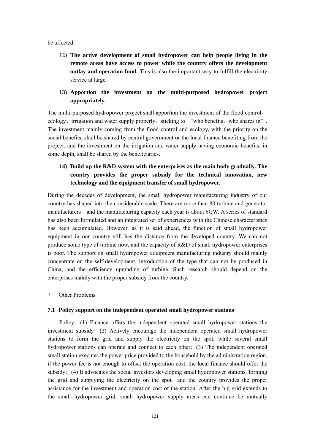be affected.

12) **The active development of small hydropower can help people living in the remote areas have access to power while the country offers the development outlay and operation fund.** This is also the important way to fulfill the electricity service at large.

### **13) Apportion the investment on the multi-purposed hydropower project appropriately.**

The multi-purposed hydropower project shall apportion the investment of the flood control、 ecology, irrigation and water supply properly, sticking to "who benefits, who shares in". The investment mainly coming from the flood control and ecology, with the priority on the social benefits, shall be shared by central government or the local finance benefiting from the project, and the investment on the irrigation and water supply having economic benefits, in some depth, shall be shared by the beneficiaries.

## **14) Build up the R&D system with the enterprises as the main body gradually. The country provides the proper subsidy for the technical innovation, new technology and the equipment transfer of small hydropower.**

During the decades of development, the small hydropower manufacturing industry of our country has shaped into the considerable scale. There are more than 80 turbine and generator manufacturers, and the manufacturing capacity each year is about 6GW. A series of standard has also been formulated and an integrated set of experiences with the Chinese characteristics has been accumulated. However, as it is said ahead, the function of small hydropower equipment in our country still has the distance from the developed country. We can not produce some type of turbine now, and the capacity of R&D of small hydropower enterprises is poor. The support on small hydropower equipment manufacturing industry should mainly concentrate on the self-development, introduction of the type that can not be produced in China, and the efficiency upgrading of turbine. Such research should depend on the enterprises mainly with the proper subsidy from the country.

7 Other Problems

#### **7.1 Policy support on the independent operated small hydropower stations**

Policy:(1) Finance offers the independent operated small hydropower stations the investment subsidy;(2) Actively encourage the independent operated small hydropower stations to form the grid and supply the electricity on the spot, while several small hydropower stations can operate and connect to each other;(3) The independent operated small station executes the power price provided to the household by the administration region, if the power fee is not enough to offset the operation cost, the local finance should offer the subsidy; (4) It advocates the social investors developing small hydropower stations, forming the grid and supplying the electricity on the spot, and the country provides the proper assistance for the investment and operation cost of the station. After the big grid extends to the small hydropower grid, small hydropower supply areas can continue be mutually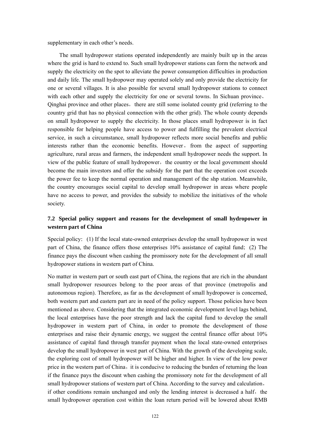supplementary in each other's needs.

The small hydropower stations operated independently are mainly built up in the areas where the grid is hard to extend to. Such small hydropower stations can form the network and supply the electricity on the spot to alleviate the power consumption difficulties in production and daily life. The small hydropower may operated solely and only provide the electricity for one or several villages. It is also possible for several small hydropower stations to connect with each other and supply the electricity for one or several towns. In Sichuan province, Qinghai province and other places, there are still some isolated county grid (referring to the country grid that has no physical connection with the other grid). The whole county depends on small hydropower to supply the electricity. In those places small hydropower is in fact responsible for helping people have access to power and fulfilling the prevalent electrical service, in such a circumstance, small hydropower reflects more social benefits and public interests rather than the economic benefits. However, from the aspect of supporting agriculture, rural areas and farmers, the independent small hydropower needs the support. In view of the public feature of small hydropower, the country or the local government should become the main investors and offer the subsidy for the part that the operation cost exceeds the power fee to keep the normal operation and management of the shp station. Meanwhile, the country encourages social capital to develop small hydropower in areas where people have no access to power, and provides the subsidy to mobilize the initiatives of the whole society.

### **7.2 Special policy support and reasons for the development of small hydropower in western part of China**

Special policy: (1) If the local state-owned enterprises develop the small hydropower in west part of China, the finance offers those enterprises 10% assistance of capital fund;(2) The finance pays the discount when cashing the promissory note for the development of all small hydropower stations in western part of China.

No matter in western part or south east part of China, the regions that are rich in the abundant small hydropower resources belong to the poor areas of that province (metropolis and autonomous region). Therefore, as far as the development of small hydropower is concerned, both western part and eastern part are in need of the policy support. Those policies have been mentioned as above. Considering that the integrated economic development level lags behind, the local enterprises have the poor strength and lack the capital fund to develop the small hydropower in western part of China, in order to promote the development of those enterprises and raise their dynamic energy, we suggest the central finance offer about 10% assistance of capital fund through transfer payment when the local state-owned enterprises develop the small hydropower in west part of China. With the growth of the developing scale, the exploring cost of small hydropower will be higher and higher. In view of the low power price in the western part of China, it is conducive to reducing the burden of returning the loan if the finance pays the discount when cashing the promissory note for the development of all small hydropower stations of western part of China. According to the survey and calculation, if other conditions remain unchanged and only the lending interest is decreased a half, the small hydropower operation cost within the loan return period will be lowered about RMB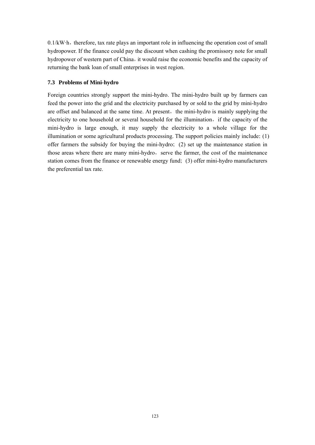$0.1/kW<sup>th</sup>$ , therefore, tax rate plays an important role in influencing the operation cost of small hydropower. If the finance could pay the discount when cashing the promissory note for small hydropower of western part of China, it would raise the economic benefits and the capacity of returning the bank loan of small enterprises in west region.

### **7.3 Problems of Mini-hydro**

Foreign countries strongly support the mini-hydro. The mini-hydro built up by farmers can feed the power into the grid and the electricity purchased by or sold to the grid by mini-hydro are offset and balanced at the same time. At present, the mini-hydro is mainly supplying the electricity to one household or several household for the illumination, if the capacity of the mini-hydro is large enough, it may supply the electricity to a whole village for the illumination or some agricultural products processing. The support policies mainly include:(1) offer farmers the subsidy for buying the mini-hydro;(2) set up the maintenance station in those areas where there are many mini-hydro, serve the farmer, the cost of the maintenance station comes from the finance or renewable energy fund;(3) offer mini-hydro manufacturers the preferential tax rate.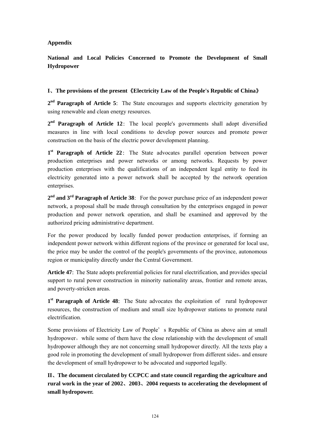### **Appendix**

**National and Local Policies Concerned to Promote the Development of Small Hydropower** 

### **I**、**The provisions of the present**《**Electricity Law of the People's Republic of China**》

2<sup>nd</sup> Paragraph of Article 5: The State encourages and supports electricity generation by using renewable and clean energy resources.

2<sup>nd</sup> Paragraph of Article 12: The local people's governments shall adopt diversified measures in line with local conditions to develop power sources and promote power construction on the basis of the electric power development planning.

1<sup>st</sup> Paragraph of Article 22: The State advocates parallel operation between power production enterprises and power networks or among networks. Requests by power production enterprises with the qualifications of an independent legal entity to feed its electricity generated into a power network shall be accepted by the network operation enterprises.

2<sup>nd</sup> and 3<sup>rd</sup> Paragraph of Article 38: For the power purchase price of an independent power network, a proposal shall be made through consultation by the enterprises engaged in power production and power network operation, and shall be examined and approved by the authorized pricing administrative department.

For the power produced by locally funded power production enterprises, if forming an independent power network within different regions of the province or generated for local use, the price may be under the control of the people's governments of the province, autonomous region or municipality directly under the Central Government.

Article 47: The State adopts preferential policies for rural electrification, and provides special support to rural power construction in minority nationality areas, frontier and remote areas, and poverty-stricken areas.

1<sup>st</sup> Paragraph of Article 48: The State advocates the exploitation of rural hydropower resources, the construction of medium and small size hydropower stations to promote rural electrification.

Some provisions of Electricity Law of People's Republic of China as above aim at small hydropower, while some of them have the close relationship with the development of small hydropower although they are not concerning small hydropower directly. All the texts play a good role in promoting the development of small hydropower from different sides, and ensure the development of small hydropower to be advocated and supported legally.

**II**、**The document circulated by CCPCC and state council regarding the agriculture and rural work in the year of 2002**、**2003**、**2004 requests to accelerating the development of small hydropower.**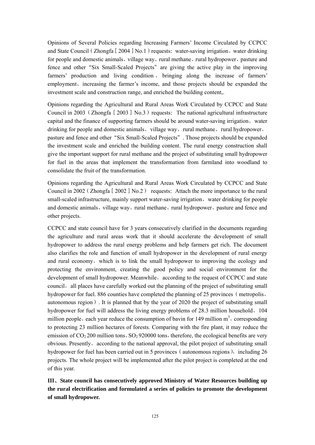Opinions of Several Policies regarding Increasing Farmers' Income Circulated by CCPCC and State Council (Zhongfa [2004]No.1) requests: water-saving irrigation, water drinking for people and domestic animals、village way、rural methane、rural hydropower、pasture and fence and other "Six Small-Scaled Projects" are giving the active play in the improving farmers' production and living condition 、 bringing along the increase of farmers' employment、increasing the farmer's income, and those projects should be expanded the investment scale and construction range, and enriched the building content,.

Opinions regarding the Agricultural and Rural Areas Work Circulated by CCPCC and State Council in 2003 (Zhongfa  $[2003]$  No.3) requests: The national agricultural infrastructure capital and the finance of supporting farmers should be around water-saving irrigation、water drinking for people and domestic animals、village way、rural methane、rural hydropower、 pasture and fence and other"Six Small-Scaled Projects". Those projects should be expanded the investment scale and enriched the building content. The rural energy construction shall give the important support for rural methane and the project of substituting small hydropower for fuel in the areas that implement the transformation from farmland into woodland to consolidate the fruit of the transformation.

Opinions regarding the Agricultural and Rural Areas Work Circulated by CCPCC and State Council in 2002 (Zhongfa  $[2002]$  No.2) requests: Attach the more importance to the rural small-scaled infrastructure, mainly support water-saving irrigation、water drinking for people and domestic animals、village way、rural methane、rural hydropower、pasture and fence and other projects.

CCPCC and state council have for 3 years consecutively clarified in the documents regarding the agriculture and rural areas work that it should accelerate the development of small hydropower to address the rural energy problems and help farmers get rich. The document also clarifies the role and function of small hydropower in the development of rural energy and rural economy, which is to link the small hydropower to improving the ecology and protecting the environment, creating the good policy and social environment for the development of small hydropower. Meanwhile, according to the request of CCPCC and state council, all places have carefully worked out the planning of the project of substituting small hydropower for fuel. 886 counties have completed the planning of 25 provinces (metropolis, autonomous region). It is planned that by the year of 2020 the project of substituting small hydropower for fuel will address the living energy problems of 28.3 million household、104 million people, each year reduce the consumption of bavin for 149 million  $m<sup>3</sup>$ , corresponding to protecting 23 million hectares of forests. Comparing with the fire plant, it may reduce the emission of  $CO<sub>2</sub> 200$  million tons,  $SO<sub>2</sub> 920000$  tons, therefore, the ecological benefits are very obvious. Presently, according to the national approval, the pilot project of substituting small hydropower for fuel has been carried out in 5 provinces (autonomous regions), including 26 projects. The whole project will be implemented after the pilot project is completed at the end of this year.

**III**、**State council has consecutively approved Ministry of Water Resources building up the rural electrification and formulated a series of policies to promote the development of small hydropower.**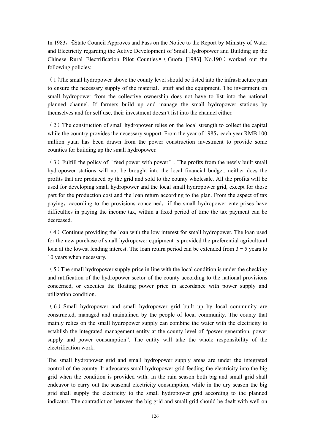In 1983,《State Council Approves and Pass on the Notice to the Report by Ministry of Water and Electricity regarding the Active Development of Small Hydropower and Building up the Chinese Rural Electrification Pilot Counties》(Guofa [1983] No.190)worked out the following policies:

(1)The small hydropower above the county level should be listed into the infrastructure plan to ensure the necessary supply of the material、stuff and the equipment. The investment on small hydropower from the collective ownership does not have to list into the national planned channel. If farmers build up and manage the small hydropower stations by themselves and for self use, their investment doesn't list into the channel either.

 $(2)$  The construction of small hydropower relies on the local strength to collect the capital while the country provides the necessary support. From the year of 1985, each year RMB 100 million yuan has been drawn from the power construction investment to provide some counties for building up the small hydropower.

(3)Fulfill the policy of"feed power with power". The profits from the newly built small hydropower stations will not be brought into the local financial budget, neither does the profits that are produced by the grid and sold to the county wholesale. All the profits will be used for developing small hydropower and the local small hydropower grid, except for those part for the production cost and the loan return according to the plan. From the aspect of tax paying, according to the provisions concerned, if the small hydropower enterprises have difficulties in paying the income tax, within a fixed period of time the tax payment can be decreased.

(4)Continue providing the loan with the low interest for small hydropower. The loan used for the new purchase of small hydropower equipment is provided the preferential agricultural loan at the lowest lending interest. The loan return period can be extended from  $3 \approx 5$  years to 10 years when necessary.

 $(5)$  The small hydropower supply price in line with the local condition is under the checking and ratification of the hydropower sector of the county according to the national provisions concerned, or executes the floating power price in accordance with power supply and utilization condition.

(6)Small hydropower and small hydropower grid built up by local community are constructed, managed and maintained by the people of local community. The county that mainly relies on the small hydropower supply can combine the water with the electricity to establish the integrated management entity at the county level of "power generation, power supply and power consumption". The entity will take the whole responsibility of the electrification work.

The small hydropower grid and small hydropower supply areas are under the integrated control of the county. It advocates small hydropower grid feeding the electricity into the big grid when the condition is provided with. In the rain season both big and small grid shall endeavor to carry out the seasonal electricity consumption, while in the dry season the big grid shall supply the electricity to the small hydropower grid according to the planned indicator. The contradiction between the big grid and small grid should be dealt with well on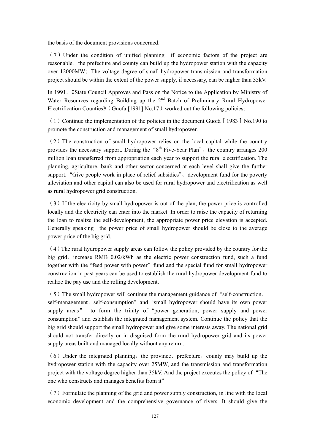the basis of the document provisions concerned.

 $(7)$  Under the condition of unified planning, if economic factors of the project are reasonable, the prefecture and county can build up the hydropower station with the capacity over 12000MW; The voltage degree of small hydropower transmission and transformation project should be within the extent of the power supply, if necessary, can be higher than 35kV.

In 1991, 《State Council Approves and Pass on the Notice to the Application by Ministry of Water Resources regarding Building up the  $2<sup>nd</sup>$  Batch of Preliminary Rural Hydropower Electrification Counties》( $Guofa$  [1991] No.17) worked out the following policies:

 $(1)$  Continue the implementation of the policies in the document Guofa [1983] No.190 to promote the construction and management of small hydropower.

(2)The construction of small hydropower relies on the local capital while the country provides the necessary support. During the " $8<sup>th</sup>$  Five-Year Plan", the country arranges 200 million loan transferred from appropriation each year to support the rural electrification. The planning, agriculture, bank and other sector concerned at each level shall give the further support."Give people work in place of relief subsidies"、development fund for the poverty alleviation and other capital can also be used for rural hydropower and electrification as well as rural hydropower grid construction。

(3)If the electricity by small hydropower is out of the plan, the power price is controlled locally and the electricity can enter into the market. In order to raise the capacity of returning the loan to realize the self-development, the appropriate power price elevation is accepted. Generally speaking, the power price of small hydropower should be close to the average power price of the big grid.

 $(4)$  The rural hydropower supply areas can follow the policy provided by the country for the big grid, increase RMB 0.02/kWh as the electric power construction fund, such a fund together with the "feed power with power"fund and the special fund for small hydropower construction in past years can be used to establish the rural hydropower development fund to realize the pay use and the rolling development.

 $(5)$  The small hydropower will continue the management guidance of "self-construction. self-management、self-consumption"and"small hydropower should have its own power supply areas" to form the trinity of "power generation, power supply and power consumption" and establish the integrated management system. Continue the policy that the big grid should support the small hydropower and give some interests away. The national grid should not transfer directly or in disguised form the rural hydropower grid and its power supply areas built and managed locally without any return.

 $(6)$  Under the integrated planning, the province, prefecture, county may build up the hydropower station with the capacity over 25MW, and the transmission and transformation project with the voltage degree higher than 35kV. And the project executes the policy of "The one who constructs and manages benefits from it".

 $(7)$  Formulate the planning of the grid and power supply construction, in line with the local economic development and the comprehensive governance of rivers. It should give the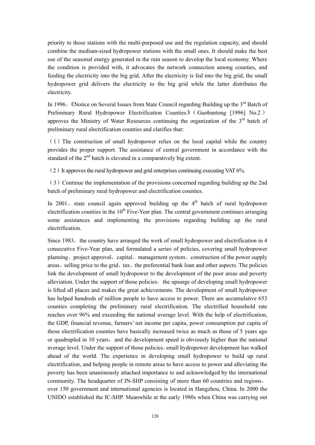priority to those stations with the multi-purposed use and the regulation capacity, and should combine the medium-sized hydropower stations with the small ones. It should make the best use of the seasonal energy generated in the rain season to develop the local economy. Where the condition is provided with, it advocates the network connection among counties, and feeding the electricity into the big grid. After the electricity is fed into the big grid, the small hydropower grid delivers the electricity to the big grid while the latter distributes the electricity.

In 1996, «Notice on Several Issues from State Council regarding Building up the  $3<sup>rd</sup>$  Batch of Preliminary Rural Hydropower Electrification Counties》(Guobantong [1996] No.2) approves the Ministry of Water Resources continuing the organization of the  $3<sup>rd</sup>$  batch of preliminary rural electrification counties and clarifies that:

(1)The construction of small hydropower relies on the local capital while the country provides the proper support. The assistance of central government in accordance with the standard of the  $2<sup>nd</sup>$  batch is elevated in a comparatively big extent.

(2)It approves the rural hydropower and grid enterprises continuing executing VAT 6%.

(3)Continue the implementation of the provisions concerned regarding building up the 2nd batch of preliminary rural hydropower and electrification counties.

In 2001, state council again approved building up the  $4<sup>th</sup>$  batch of rural hydropower electrification counties in the  $10<sup>th</sup>$  Five-Year plan. The central government continues arranging some assistances and implementing the provisions regarding building up the rural electrification.

Since 1983, the country have arranged the work of small hydropower and electrification in  $4$ consecutive Five-Year plan, and formulated a series of policies, covering small hydropower planning、project approval、capital、management system、construction of the power supply areas、selling price to the grid、tax、the preferential bank loan and other aspects. The policies link the development of small hydropower to the development of the poor areas and poverty alleviation. Under the support of those policies, the upsurge of developing small hydropower is lifted all places and makes the great achievements. The development of small hydropower has helped hundreds of million people to have access to power. There are accumulative 653 counties completing the preliminary rural electrification. The electrified household rate reaches over 96% and exceeding the national average level. With the help of electrification, the GDP, financial revenue, farmers' net income per capita, power consumption per capita of those electrification counties have basically increased twice as much as those of 5 years ago or quadrupled in 10 years, and the development speed is obviously higher than the national average level. Under the support of those policies, small hydropower development has walked ahead of the world. The experience in developing small hydropower to build up rural electrification, and helping people in remote areas to have access to power and alleviating the poverty has been unanimously attached importance to and acknowledged by the international community. The headquarter of IN-SHP consisting of more than 60 countries and regions、 over 150 government and international agencies is located in Hangzhou, China. In 2000 the UNIDO established the IC-SHP. Meanwhile at the early 1980s when China was carrying out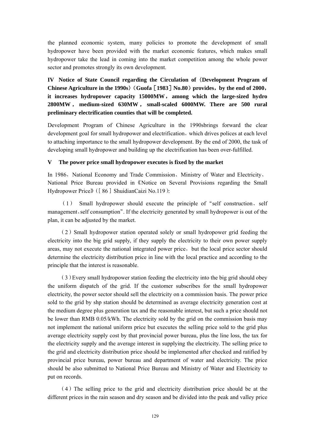the planned economic system, many policies to promote the development of small hydropower have been provided with the market economic features, which makes small hydropower take the lead in coming into the market competition among the whole power sector and promotes strongly its own development.

**IV Notice of State Council regarding the Circulation of**〈**Development Program of Chinese Agriculture in the 1990s**〉(**Guofa**[**1983**]**No.80**)**provides**,**by the end of 2000**, **it increases hydropower capacity 15000MW**,**among which the large-sized hydro 2800MW** , **medium-sized 630MW** , **small-scaled 6000MW. There are 500 rural preliminary electrification counties that will be completed.** 

Development Program of Chinese Agriculture in the 1990sbrings forward the clear development goal for small hydropower and electrification, which drives polices at each level to attaching importance to the small hydropower development. By the end of 2000, the task of developing small hydropower and building up the electrification has been over-fulfilled.

### **V The power price small hydropower executes is fixed by the market**

In 1986, National Economy and Trade Commission, Ministry of Water and Electricity. National Price Bureau provided in《Notice on Several Provisions regarding the Small Hydropower Price》([86] ShuidianCaizi No.119):

(1) Small hydropower should execute the principle of"self construction、self management、self consumption". If the electricity generated by small hydropower is out of the plan, it can be adjusted by the market.

(2)Small hydropower station operated solely or small hydropower grid feeding the electricity into the big grid supply, if they supply the electricity to their own power supply areas, may not execute the national integrated power price,but the local price sector should determine the electricity distribution price in line with the local practice and according to the principle that the interest is reasonable.

(3)Every small hydropower station feeding the electricity into the big grid should obey the uniform dispatch of the grid. If the customer subscribes for the small hydropower electricity, the power sector should sell the electricity on a commission basis. The power price sold to the grid by shp station should be determined as average electricity generation cost at the medium degree plus generation tax and the reasonable interest, but such a price should not be lower than RMB 0.05/kWh. The electricity sold by the grid on the commission basis may not implement the national uniform price but executes the selling price sold to the grid plus average electricity supply cost by that provincial power bureau, plus the line loss, the tax for the electricity supply and the average interest in supplying the electricity. The selling price to the grid and electricity distribution price should be implemented after checked and ratified by provincial price bureau, power bureau and department of water and electricity. The price should be also submitted to National Price Bureau and Ministry of Water and Electricity to put on records.

(4)The selling price to the grid and electricity distribution price should be at the different prices in the rain season and dry season and be divided into the peak and valley price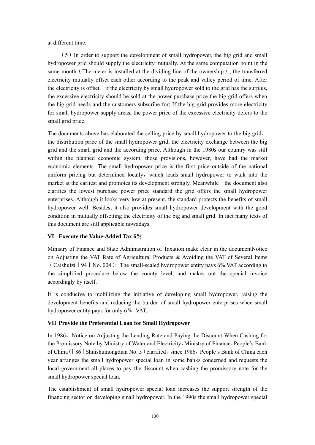at different time.

 $(5)$  In order to support the development of small hydropower, the big grid and small hydropower grid should supply the electricity mutually. At the same computation point in the same month (The meter is installed at the dividing line of the ownership), the transferred electricity mutually offset each other according to the peak and valley period of time. After the electricity is offset, if the electricity by small hydropower sold to the grid has the surplus, the excessive electricity should be sold at the power purchase price the big grid offers when the big grid needs and the customers subscribe for; If the big grid provides more electricity for small hydropower supply areas, the power price of the excessive electricity defers to the small grid price.

The documents above has elaborated the selling price by small hydropower to the big grid. the distribution price of the small hydropower grid, the electricity exchange between the big grid and the small grid and the according price. Although in the 1980s our country was still within the planned economic system, those provisions, however, have had the market economic elements. The small hydropower price is the first price outside of the national uniform pricing but determined locally, which leads small hydropower to walk into the market at the earliest and promotes its development strongly. Meanwhile, the document also clarifies the lowest purchase power price standard the grid offers the small hydropower enterprises. Although it looks very low at present, the standard protects the benefits of small hydropower well. Besides, it also provides small hydropower development with the good condition in mutually offsetting the electricity of the big and small grid. In fact many texts of this document are still applicable nowadays.

### **VI Execute the Value-Added Tax 6**%

Ministry of Finance and State Administration of Taxation make clear in the documentNotice on Adjusting the VAT Rate of Agricultural Products & Avoiding the VAT of Several Items (Caishuizi [94] No. 004): The small-scaled hydropower entity pays  $6\%$  VAT according to the simplified procedure below the county level, and makes out the special invoice accordingly by itself.

It is conducive to mobilizing the initiative of developing small hydropower, raising the development benefits and reducing the burden of small hydropower enterprises when small hydropower entity pays for only 6% VAT.

### **VII Provide the Preferential Loan for Small Hydropower**

In 1986, Notice on Adjusting the Lending Rate and Paying the Discount When Cashing for the Promissory Note by Ministry of Water and Electricity、Ministry of Finance、People's Bank of China ([86] Shuishuinongdian No. 5) clarified, since 1986, People's Bank of China each year arranges the small hydropower special loan in some banks concerned and requests the local government all places to pay the discount when cashing the promissory note for the small hydropower special loan.

The establishment of small hydropower special loan increases the support strength of the financing sector on developing small hydropower. In the 1990s the small hydropower special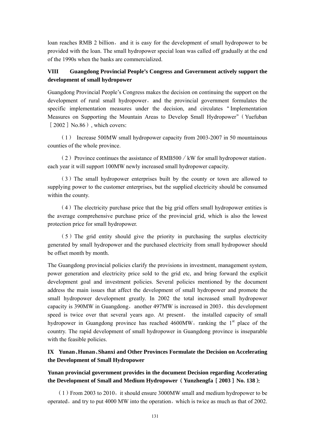loan reaches RMB 2 billion, and it is easy for the development of small hydropower to be provided with the loan. The small hydropower special loan was called off gradually at the end of the 1990s when the banks are commercialized.

### **VIII Guangdong Provincial People's Congress and Government actively support the development of small hydropower**

Guangdong Provincial People's Congress makes the decision on continuing the support on the development of rural small hydropower, and the provincial government formulates the specific implementation measures under the decision, and circulates "Implementation Measures on Supporting the Mountain Areas to Develop Small Hydropower"(Yuefuban [2002] No.86), which covers:

(1) Increase 500MW small hydropower capacity from 2003-2007 in 50 mountainous counties of the whole province.

(2) Province continues the assistance of RMB500  $\ell$  kW for small hydropower station, each year it will support 100MW newly increased small hydropower capacity.

(3)The small hydropower enterprises built by the county or town are allowed to supplying power to the customer enterprises, but the supplied electricity should be consumed within the county.

(4)The electricity purchase price that the big grid offers small hydropower entities is the average comprehensive purchase price of the provincial grid, which is also the lowest protection price for small hydropower.

(5)The grid entity should give the priority in purchasing the surplus electricity generated by small hydropower and the purchased electricity from small hydropower should be offset month by month.

The Guangdong provincial policies clarify the provisions in investment, management system, power generation and electricity price sold to the grid etc, and bring forward the explicit development goal and investment policies. Several policies mentioned by the document address the main issues that affect the development of small hydropower and promote the small hydropower development greatly. In 2002 the total increased small hydropower capacity is 390MW in Guangdong, another 497MW is increased in 2003, this development speed is twice over that several years ago. At present, the installed capacity of small hydropower in Guangdong province has reached 4600MW, ranking the  $1<sup>st</sup>$  place of the country. The rapid development of small hydropower in Guangdong province is inseparable with the feasible policies.

### **IX Yunan**、**Hunan**、**Shanxi and Other Provinces Formulate the Decision on Accelerating the Development of Small Hydropower**

### **Yunan provincial government provides in the document Decision regarding Accelerating the Development of Small and Medium Hydropower**(**Yunzhengfa**[**2003**]**No. 138**):

 $(1)$  From 2003 to 2010, it should ensure 3000MW small and medium hydropower to be operated, and try to put 4000 MW into the operation, which is twice as much as that of 2002.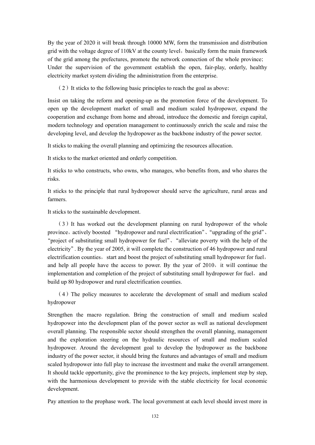By the year of 2020 it will break through 10000 MW, form the transmission and distribution grid with the voltage degree of 110kV at the county level, basically form the main framework of the grid among the prefectures, promote the network connection of the whole province; Under the supervision of the government establish the open, fair-play, orderly, healthy electricity market system dividing the administration from the enterprise.

 $(2)$  It sticks to the following basic principles to reach the goal as above:

Insist on taking the reform and opening-up as the promotion force of the development. To open up the development market of small and medium scaled hydropower, expand the cooperation and exchange from home and abroad, introduce the domestic and foreign capital, modern technology and operation management to continuously enrich the scale and raise the developing level, and develop the hydropower as the backbone industry of the power sector.

It sticks to making the overall planning and optimizing the resources allocation.

It sticks to the market oriented and orderly competition.

It sticks to who constructs, who owns, who manages, who benefits from, and who shares the risks.

It sticks to the principle that rural hydropower should serve the agriculture, rural areas and farmers.

It sticks to the sustainable development.

(3)It has worked out the development planning on rural hydropower of the whole province, actively boosted "hydropower and rural electrification", "upgrading of the grid". "project of substituting small hydropower for fuel"、"alleviate poverty with the help of the electricity". By the year of 2005, it will complete the construction of 46 hydropower and rural electrification counties, start and boost the project of substituting small hydropower for fuel, and help all people have the access to power. By the year of  $2010$ , it will continue the implementation and completion of the project of substituting small hydropower for fuel, and build up 80 hydropower and rural electrification counties.

(4)The policy measures to accelerate the development of small and medium scaled hydropower

Strengthen the macro regulation. Bring the construction of small and medium scaled hydropower into the development plan of the power sector as well as national development overall planning. The responsible sector should strengthen the overall planning, management and the exploration steering on the hydraulic resources of small and medium scaled hydropower. Around the development goal to develop the hydropower as the backbone industry of the power sector, it should bring the features and advantages of small and medium scaled hydropower into full play to increase the investment and make the overall arrangement. It should tackle opportunity, give the prominence to the key projects, implement step by step, with the harmonious development to provide with the stable electricity for local economic development.

Pay attention to the prophase work. The local government at each level should invest more in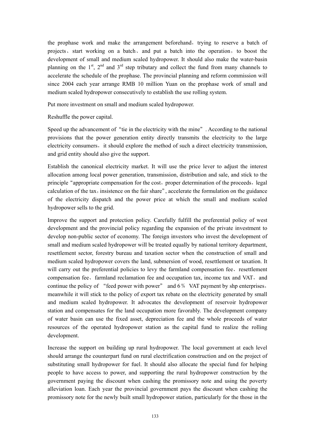the prophase work and make the arrangement beforehand, trying to reserve a batch of projects, start working on a batch, and put a batch into the operation, to boost the development of small and medium scaled hydropower. It should also make the water-basin planning on the  $1<sup>st</sup>$ ,  $2<sup>nd</sup>$  and  $3<sup>rd</sup>$  step tributary and collect the fund from many channels to accelerate the schedule of the prophase. The provincial planning and reform commission will since 2004 each year arrange RMB 10 million Yuan on the prophase work of small and medium scaled hydropower consecutively to establish the use rolling system.

Put more investment on small and medium scaled hydropower.

Reshuffle the power capital.

Speed up the advancement of "tie in the electricity with the mine". According to the national provisions that the power generation entity directly transmits the electricity to the large electricity consumers, it should explore the method of such a direct electricity transmission, and grid entity should also give the support.

Establish the canonical electricity market. It will use the price lever to adjust the interest allocation among local power generation, transmission, distribution and sale, and stick to the principle "appropriate compensation for the cost, proper determination of the proceeds, legal calculation of the tax, insistence on the fair share", accelerate the formulation on the guidance of the electricity dispatch and the power price at which the small and medium scaled hydropower sells to the grid.

Improve the support and protection policy. Carefully fulfill the preferential policy of west development and the provincial policy regarding the expansion of the private investment to develop non-public sector of economy. The foreign investors who invest the development of small and medium scaled hydropower will be treated equally by national territory department, resettlement sector, forestry bureau and taxation sector when the construction of small and medium scaled hydropower covers the land, submersion of wood, resettlement or taxation. It will carry out the preferential policies to levy the farmland compensation fee, resettlement compensation fee, farmland reclamation fee and occupation tax, income tax and VAT, and continue the policy of "feed power with power" and 6% VAT payment by shp enterprises, meanwhile it will stick to the policy of export tax rebate on the electricity generated by small and medium scaled hydropower. It advocates the development of reservoir hydropower station and compensates for the land occupation more favorably. The development company of water basin can use the fixed asset, depreciation fee and the whole proceeds of water resources of the operated hydropower station as the capital fund to realize the rolling development.

Increase the support on building up rural hydropower. The local government at each level should arrange the counterpart fund on rural electrification construction and on the project of substituting small hydropower for fuel. It should also allocate the special fund for helping people to have access to power, and supporting the rural hydropower construction by the government paying the discount when cashing the promissory note and using the poverty alleviation loan. Each year the provincial government pays the discount when cashing the promissory note for the newly built small hydropower station, particularly for the those in the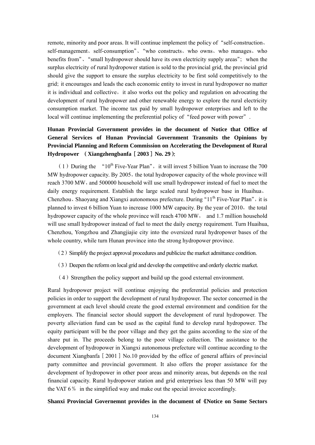remote, minority and poor areas. It will continue implement the policy of "self-construction. self-management、self-consumption"、"who constructs、who owns、who manages、who benefits from", "small hydropower should have its own electricity supply areas"; when the surplus electricity of rural hydropower station is sold to the provincial grid, the provincial grid should give the support to ensure the surplus electricity to be first sold competitively to the grid; it encourages and leads the each economic entity to invest in rural hydropower no matter it is individual and collective, it also works out the policy and regulation on advocating the development of rural hydropower and other renewable energy to explore the rural electricity consumption market. The income tax paid by small hydropower enterprises and left to the local will continue implementing the preferential policy of "feed power with power".

# **Hunan Provincial Government provides in the document of Notice that Office of General Services of Hunan Provincial Government Transmits the Opinions by Provincial Planning and Reform Commission on Accelerating the Development of Rural Hydropower** (**Xiangzhengbanfa**[**2003**]**No. 29**):

(1) During the " $10^{th}$  Five-Year Plan", it will invest 5 billion Yuan to increase the 700 MW hydropower capacity. By 2005, the total hydropower capacity of the whole province will reach 3700 MW, and 500000 household will use small hydropower instead of fuel to meet the daily energy requirement. Establish the large scaled rural hydropower base in Huaihua、 Chenzhou、Shaoyang and Xiangxi autonomous prefecture. During "11<sup>th</sup> Five-Year Plan", it is planned to invest 6 billion Yuan to increase  $1000$  MW capacity. By the year of  $2010$ , the total hydropower capacity of the whole province will reach 4700 MW, and 1.7 million household will use small hydropower instead of fuel to meet the daily energy requirement. Turn Huaihua, Chenzhou, Yongzhou and Zhangjiajie city into the oversized rural hydropower bases of the whole country, while turn Hunan province into the strong hydropower province.

- (2)Simplify the project approval procedures and publicize the market admittance condition.
- (3)Deepen the reform on local grid and develop the competitive and orderly electric market.
- (4) Strengthen the policy support and build up the good external environment.

Rural hydropower project will continue enjoying the preferential policies and protection policies in order to support the development of rural hydropower. The sector concerned in the government at each level should create the good external environment and condition for the employers. The financial sector should support the development of rural hydropower. The poverty alleviation fund can be used as the capital fund to develop rural hydropower. The equity participant will be the poor village and they get the gains according to the size of the share put in. The proceeds belong to the poor village collection. The assistance to the development of hydropower in Xiangxi autonomous prefecture will continue according to the document Xiangbanfa  $[2001]$  No.10 provided by the office of general affairs of provincial party committee and provincial government. It also offers the proper assistance for the development of hydropower in other poor areas and minority areas, but depends on the real financial capacity. Rural hydropower station and grid enterprises less than 50 MW will pay the VAT 6% in the simplified way and make out the special invoice accordingly.

#### **Shanxi Provincial Governemnt provides in the document of**《**Notice on Some Sectors**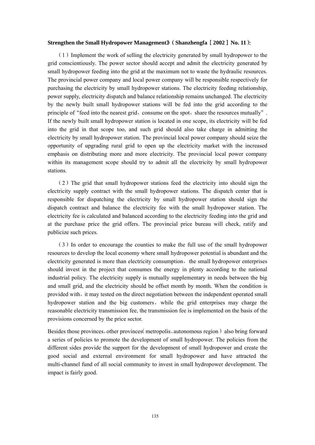#### **Strengthen the Small Hydropower Management**》(**Shanzhengfa**[**2002**]**No. 11**):

(1)Implement the work of selling the electricity generated by small hydropower to the grid conscientiously. The power sector should accept and admit the electricity generated by small hydropower feeding into the grid at the maximum not to waste the hydraulic resources. The provincial power company and local power company will be responsible respectively for purchasing the electricity by small hydropower stations. The electricity feeding relationship, power supply, electricity dispatch and balance relationship remains unchanged. The electricity by the newly built small hydropower stations will be fed into the grid according to the principle of "feed into the nearest grid, consume on the spot, share the resources mutually". If the newly built small hydropower station is located in one scope, its electricity will be fed into the grid in that scope too, and such grid should also take charge in admitting the electricity by small hydropower station. The provincial local power company should seize the opportunity of upgrading rural grid to open up the electricity market with the increased emphasis on distributing more and more electricity. The provincial local power company within its management scope should try to admit all the electricity by small hydropower stations.

 $(2)$  The grid that small hydropower stations feed the electricity into should sign the electricity supply contract with the small hydropower stations. The dispatch center that is responsible for dispatching the electricity by small hydropower station should sign the dispatch contract and balance the electricity fee with the small hydropower station. The electricity fee is calculated and balanced according to the electricity feeding into the grid and at the purchase price the grid offers. The provincial price bureau will check, ratify and publicize such prices.

(3)In order to encourage the counties to make the full use of the small hydropower resources to develop the local economy where small hydropower potential is abundant and the electricity generated is more than electricity consumption, the small hydropower enterprises should invest in the project that consumes the energy in plenty according to the national industrial policy. The electricity supply is mutually supplementary in needs between the big and small grid, and the electricity should be offset month by month. When the condition is provided with, it may tested on the direct negotiation between the independent operated small hydropower station and the big customers, while the grid enterprises may charge the reasonable electricity transmission fee, the transmission fee is implemented on the basis of the provisions concerned by the price sector.

Besides those provinces, other provinces metropolis, autonomous region) also bring forward a series of policies to promote the development of small hydropower. The policies from the different sides provide the support for the development of small hydropower and create the good social and external environment for small hydropower and have attracted the multi-channel fund of all social community to invest in small hydropower development. The impact is fairly good.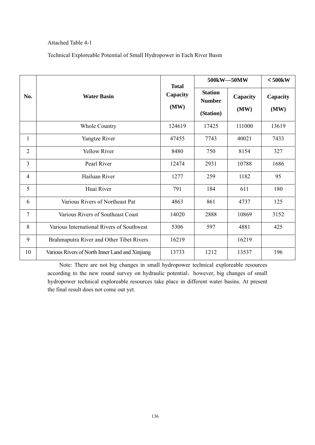### Attached Table 4-1

### Technical Exploreable Potential of Small Hydropower in Each River Basin

|                | <b>Water Basin</b>                              | <b>Total</b>     | 500kW-50MW                                   | $<$ 500 $kW$     |                  |
|----------------|-------------------------------------------------|------------------|----------------------------------------------|------------------|------------------|
| No.            |                                                 | Capacity<br>(MW) | <b>Station</b><br><b>Number</b><br>(Station) | Capacity<br>(MW) | Capacity<br>(MW) |
|                | <b>Whole Country</b>                            | 124619           | 17425                                        | 111000           | 13619            |
| 1              | Yangtze River                                   | 47455            | 7743                                         | 40021            | 7433             |
| $\overline{2}$ | <b>Yellow River</b>                             | 8480             | 750                                          | 8154             | 327              |
| $\overline{3}$ | Pearl River                                     | 12474            | 2931                                         | 10788            | 1686             |
| $\overline{4}$ | Hailuan River                                   | 1277             | 259                                          | 1182             | 95               |
| 5              | Huai River                                      | 791              | 184                                          | 611              | 180              |
| 6              | Various Rivers of Northeast Pat                 | 4863             | 861                                          | 4737             | 125              |
| $\overline{7}$ | Various Rivers of Southeast Coast               | 14020            | 2888                                         | 10869            | 3152             |
| 8              | Various International Rivers of Southwest       | 5306             | 597                                          | 4881             | 425              |
| 9              | Brahmaputra River and Other Tibet Rivers        | 16219            |                                              | 16219            |                  |
| 10             | Various Rivers of North Inner Land and Xinjiang | 13733            | 1212                                         | 13537            | 196              |

Note: There are not big changes in small hydropower technical exploreable resources according to the new round survey on hydraulic potential, however, big changes of small hydropower technical exploreable resources take place in different water basins. At present the final result does not come out yet.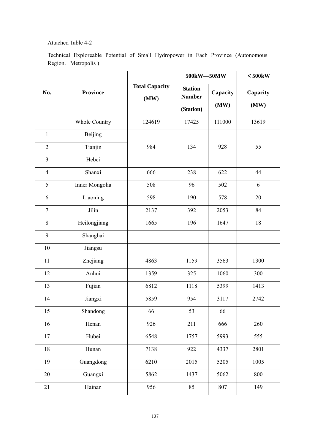### Attached Table 4-2

Technical Exploreable Potential of Small Hydropower in Each Province (Autonomous Region、Metropolis )

|                |                      |                               | 500kW-50MW                      | $<$ 500 $kW$ |          |
|----------------|----------------------|-------------------------------|---------------------------------|--------------|----------|
| No.            | <b>Province</b>      | <b>Total Capacity</b><br>(MW) | <b>Station</b><br><b>Number</b> | Capacity     | Capacity |
|                |                      |                               | (Station)                       | (MW)         | (MW)     |
|                | <b>Whole Country</b> | 124619                        | 17425                           | 111000       | 13619    |
| $\mathbf{1}$   | Beijing              |                               |                                 |              |          |
| $\overline{2}$ | Tianjin              | 984                           | 134                             | 928          | 55       |
| $\overline{3}$ | Hebei                |                               |                                 |              |          |
| $\overline{4}$ | Shanxi               | 666                           | 238                             | 622          | 44       |
| 5              | Inner Mongolia       | 508                           | 96                              | 502          | 6        |
| 6              | Liaoning             | 598                           | 190                             | 578          | 20       |
| $\tau$         | Jilin                | 2137                          | 392                             | 2053         | 84       |
| 8              | Heilongjiang         | 1665                          | 196                             | 1647         | 18       |
| 9              | Shanghai             |                               |                                 |              |          |
| 10             | Jiangsu              |                               |                                 |              |          |
| 11             | Zhejiang             | 4863                          | 1159                            | 3563         | 1300     |
| 12             | Anhui                | 1359                          | 325                             | 1060         | 300      |
| 13             | Fujian               | 6812                          | 1118                            | 5399         | 1413     |
| 14             | Jiangxi              | 5859                          | 954                             | 3117         | 2742     |
| 15             | Shandong             | 66                            | 53                              | 66           |          |
| 16             | Henan                | 926                           | 211                             | 666          | 260      |
| 17             | Hubei                | 6548                          | 1757                            | 5993         | 555      |
| 18             | Hunan                | 7138                          | 922                             | 4337         | 2801     |
| 19             | Guangdong            | 6210                          | 2015                            | 5205         | 1005     |
| 20             | Guangxi              | 5862                          | 1437                            | 5062         | 800      |
| 21             | Hainan               | 956                           | 85                              | 807          | 149      |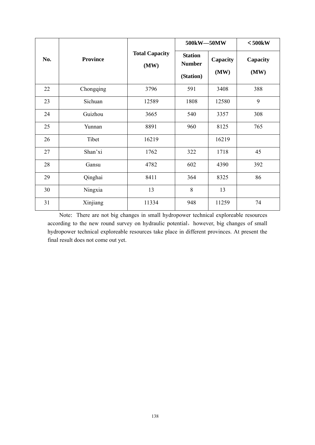|     |                 |                               | 500kW-50MW                                   | $<$ 500 $kW$     |                  |
|-----|-----------------|-------------------------------|----------------------------------------------|------------------|------------------|
| No. | <b>Province</b> | <b>Total Capacity</b><br>(MW) | <b>Station</b><br><b>Number</b><br>(Station) | Capacity<br>(MW) | Capacity<br>(MW) |
| 22  | Chongqing       | 3796                          | 591                                          | 3408             | 388              |
| 23  | Sichuan         | 12589                         | 1808                                         | 12580            | 9                |
| 24  | Guizhou         | 3665                          | 540                                          | 3357             | 308              |
| 25  | Yunnan          | 8891                          | 960                                          | 8125             | 765              |
| 26  | Tibet           | 16219                         |                                              | 16219            |                  |
| 27  | Shan'xi         | 1762                          | 322                                          | 1718             | 45               |
| 28  | Gansu           | 4782                          | 602                                          | 4390             | 392              |
| 29  | Qinghai         | 8411                          | 364                                          | 8325             | 86               |
| 30  | Ningxia         | 13                            | 8                                            | 13               |                  |
| 31  | Xinjiang        | 11334                         | 948                                          | 11259            | 74               |

Note: There are not big changes in small hydropower technical exploreable resources according to the new round survey on hydraulic potential, however, big changes of small hydropower technical exploreable resources take place in different provinces. At present the final result does not come out yet.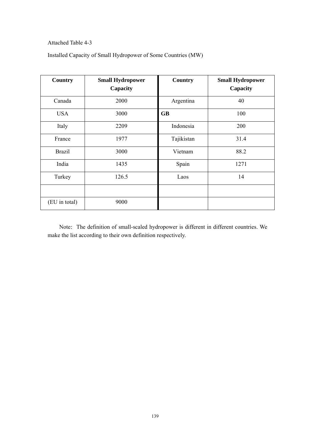## Attached Table 4-3

## Installed Capacity of Small Hydropower of Some Countries (MW)

| Country       | <b>Small Hydropower</b><br>Capacity | Country    | <b>Small Hydropower</b><br>Capacity |
|---------------|-------------------------------------|------------|-------------------------------------|
| Canada        | 2000                                | Argentina  | 40                                  |
| <b>USA</b>    | 3000                                | <b>GB</b>  | 100                                 |
| Italy         | 2209                                | Indonesia  | 200                                 |
| France        | 1977                                | Tajikistan | 31.4                                |
| <b>Brazil</b> | 3000                                | Vietnam    | 88.2                                |
| India         | 1435                                | Spain      | 1271                                |
| Turkey        | 126.5                               | Laos       | 14                                  |
|               |                                     |            |                                     |
| (EU in total) | 9000                                |            |                                     |

Note: The definition of small-scaled hydropower is different in different countries. We make the list according to their own definition respectively.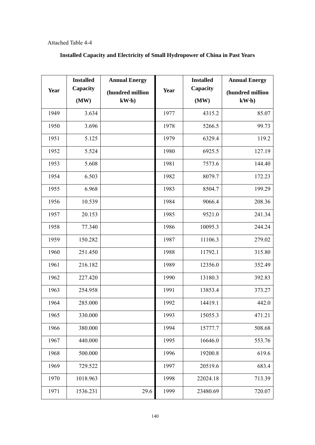# Attached Table 4-4

# **Installed Capacity and Electricity of Small Hydropower of China in Past Years**

| Year | <b>Installed</b><br>Capacity | <b>Annual Energy</b><br>(hundred million | Year | <b>Installed</b><br>Capacity | <b>Annual Energy</b><br>(hundred million |
|------|------------------------------|------------------------------------------|------|------------------------------|------------------------------------------|
|      | (MW)                         | kW·h)                                    |      | (MW)                         | kW·h)                                    |
| 1949 | 3.634                        |                                          | 1977 | 4315.2                       | 85.07                                    |
| 1950 | 3.696                        |                                          | 1978 | 5266.5                       | 99.73                                    |
| 1951 | 5.125                        |                                          | 1979 | 6329.4                       | 119.2                                    |
| 1952 | 5.524                        |                                          | 1980 | 6925.5                       | 127.19                                   |
| 1953 | 5.608                        |                                          | 1981 | 7573.6                       | 144.40                                   |
| 1954 | 6.503                        |                                          | 1982 | 8079.7                       | 172.23                                   |
| 1955 | 6.968                        |                                          | 1983 | 8504.7                       | 199.29                                   |
| 1956 | 10.539                       |                                          | 1984 | 9066.4                       | 208.36                                   |
| 1957 | 20.153                       |                                          | 1985 | 9521.0                       | 241.34                                   |
| 1958 | 77.340                       |                                          | 1986 | 10095.3                      | 244.24                                   |
| 1959 | 150.282                      |                                          | 1987 | 11106.3                      | 279.02                                   |
| 1960 | 251.450                      |                                          | 1988 | 11792.1                      | 315.80                                   |
| 1961 | 216.182                      |                                          | 1989 | 12356.0                      | 352.49                                   |
| 1962 | 227.420                      |                                          | 1990 | 13180.3                      | 392.83                                   |
| 1963 | 254.958                      |                                          | 1991 | 13853.4                      | 373.27                                   |
| 1964 | 285.000                      |                                          | 1992 | 14419.1                      | 442.0                                    |
| 1965 | 330.000                      |                                          | 1993 | 15055.3                      | 471.21                                   |
| 1966 | 380.000                      |                                          | 1994 | 15777.7                      | 508.68                                   |
| 1967 | 440.000                      |                                          | 1995 | 16646.0                      | 553.76                                   |
| 1968 | 500.000                      |                                          | 1996 | 19200.8                      | 619.6                                    |
| 1969 | 729.522                      |                                          | 1997 | 20519.6                      | 683.4                                    |
| 1970 | 1018.963                     |                                          | 1998 | 22024.18                     | 713.39                                   |
| 1971 | 1536.231                     | 29.6                                     | 1999 | 23480.69                     | 720.07                                   |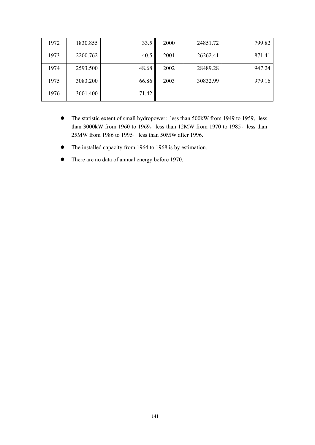| 1972 | 1830.855 | 33.5  | 2000 | 24851.72 | 799.82 |
|------|----------|-------|------|----------|--------|
| 1973 | 2200.762 | 40.5  | 2001 | 26262.41 | 871.41 |
| 1974 | 2593.500 | 48.68 | 2002 | 28489.28 | 947.24 |
| 1975 | 3083.200 | 66.86 | 2003 | 30832.99 | 979.16 |
| 1976 | 3601.400 | 71.42 |      |          |        |

- $\bullet$  The statistic extent of small hydropower: less than 500kW from 1949 to 1959, less than 3000kW from 1960 to 1969, less than 12MW from 1970 to 1985, less than 25MW from 1986 to 1995, less than 50MW after 1996.
- The installed capacity from 1964 to 1968 is by estimation.
- There are no data of annual energy before 1970.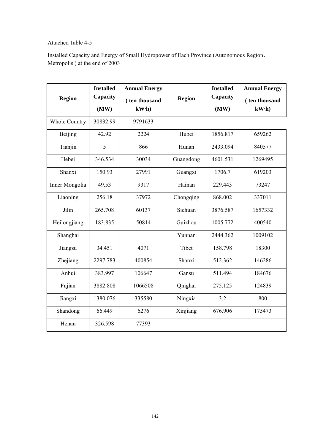# Attached Table 4-5

Installed Capacity and Energy of Small Hydropower of Each Province (Autonomous Region、 Metropolis ) at the end of 2003

| <b>Region</b>        | <b>Installed</b><br>Capacity | <b>Annual Energy</b> |               | <b>Installed</b><br>Capacity | <b>Annual Energy</b> |
|----------------------|------------------------------|----------------------|---------------|------------------------------|----------------------|
|                      |                              | (ten thousand        | <b>Region</b> |                              | (ten thousand        |
|                      | (MW)                         | kW·h)                |               | (MW)                         | kW·h)                |
| <b>Whole Country</b> | 30832.99                     | 9791633              |               |                              |                      |
| Beijing              | 42.92                        | 2224                 | Hubei         | 1856.817                     | 659262               |
| Tianjin              | 5                            | 866                  | Hunan         | 2433.094                     | 840577               |
| Hebei                | 346.534                      | 30034                | Guangdong     | 4601.531                     | 1269495              |
| Shanxi               | 150.93                       | 27991                | Guangxi       | 1706.7                       | 619203               |
| Inner Mongolia       | 49.53                        | 9317                 | Hainan        | 229.443                      | 73247                |
| Liaoning             | 256.18                       | 37972                | Chongqing     | 868.002                      | 337011               |
| Jilin                | 265.708                      | 60137                | Sichuan       | 3876.587                     | 1657332              |
| Heilongjiang         | 183.835                      | 50814                | Guizhou       | 1005.772                     | 400540               |
| Shanghai             |                              |                      | Yunnan        | 2444.362                     | 1009102              |
| Jiangsu              | 34.451                       | 4071                 | Tibet         | 158.798                      | 18300                |
| Zhejiang             | 2297.783                     | 400854               | Shanxi        | 512.362                      | 146286               |
| Anhui                | 383.997                      | 106647               | Gansu         | 511.494                      | 184676               |
| Fujian               | 3882.808                     | 1066508              | Qinghai       | 275.125                      | 124839               |
| Jiangxi              | 1380.076                     | 335580               | Ningxia       | 3.2                          | 800                  |
| Shandong             | 66.449                       | 6276                 | Xinjiang      | 676.906                      | 175473               |
| Henan                | 326.598                      | 77393                |               |                              |                      |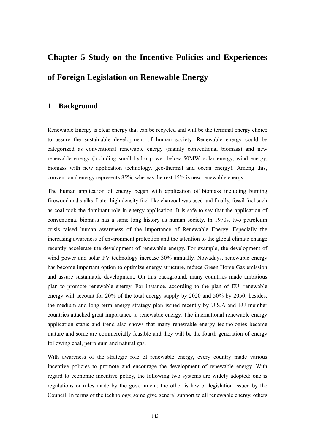# **Chapter 5 Study on the Incentive Policies and Experiences of Foreign Legislation on Renewable Energy**

## **1 Background**

Renewable Energy is clear energy that can be recycled and will be the terminal energy choice to assure the sustainable development of human society. Renewable energy could be categorized as conventional renewable energy (mainly conventional biomass) and new renewable energy (including small hydro power below 50MW, solar energy, wind energy, biomass with new application technology, geo-thermal and ocean energy). Among this, conventional energy represents 85%, whereas the rest 15% is new renewable energy.

The human application of energy began with application of biomass including burning firewood and stalks. Later high density fuel like charcoal was used and finally, fossil fuel such as coal took the dominant role in energy application. It is safe to say that the application of conventional biomass has a same long history as human society. In 1970s, two petroleum crisis raised human awareness of the importance of Renewable Energy. Especially the increasing awareness of environment protection and the attention to the global climate change recently accelerate the development of renewable energy. For example, the development of wind power and solar PV technology increase 30% annually. Nowadays, renewable energy has become important option to optimize energy structure, reduce Green Horse Gas emission and assure sustainable development. On this background, many countries made ambitious plan to promote renewable energy. For instance, according to the plan of EU, renewable energy will account for 20% of the total energy supply by 2020 and 50% by 2050; besides, the medium and long term energy strategy plan issued recently by U.S.A and EU member countries attached great importance to renewable energy. The international renewable energy application status and trend also shows that many renewable energy technologies became mature and some are commercially feasible and they will be the fourth generation of energy following coal, petroleum and natural gas.

With awareness of the strategic role of renewable energy, every country made various incentive policies to promote and encourage the development of renewable energy. With regard to economic incentive policy, the following two systems are widely adopted: one is regulations or rules made by the government; the other is law or legislation issued by the Council. In terms of the technology, some give general support to all renewable energy, others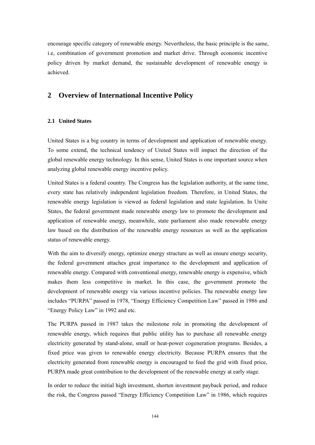encourage specific category of renewable energy. Nevertheless, the basic principle is the same, i.e, combination of government promotion and market drive. Through economic incentive policy driven by market demand, the sustainable development of renewable energy is achieved.

# **2 Overview of International Incentive Policy**

## **2.1 United States**

United States is a big country in terms of development and application of renewable energy. To some extend, the technical tendency of United States will impact the direction of the global renewable energy technology. In this sense, United States is one important source when analyzing global renewable energy incentive policy.

United States is a federal country. The Congress has the legislation authority, at the same time, every state has relatively independent legislation freedom. Therefore, in United States, the renewable energy legislation is viewed as federal legislation and state legislation. In Unite States, the federal government made renewable energy law to promote the development and application of renewable energy, meanwhile, state parliament also made renewable energy law based on the distribution of the renewable energy resources as well as the application status of renewable energy.

With the aim to diversify energy, optimize energy structure as well as ensure energy security, the federal government attaches great importance to the development and application of renewable energy. Compared with conventional energy, renewable energy is expensive, which makes them less competitive in market. In this case, the government promote the development of renewable energy via various incentive policies. The renewable energy law includes "PURPA" passed in 1978, "Energy Efficiency Competition Law" passed in 1986 and "Energy Policy Law" in 1992 and etc.

The PURPA passed in 1987 takes the milestone role in promoting the development of renewable energy, which requires that public utility has to purchase all renewable energy electricity generated by stand-alone, small or heat-power cogeneration programs. Besides, a fixed price was given to renewable energy electricity. Because PURPA ensures that the electricity generated from renewable energy is encouraged to feed the grid with fixed price, PURPA made great contribution to the development of the renewable energy at early stage.

In order to reduce the initial high investment, shorten investment payback period, and reduce the risk, the Congress passed "Energy Efficiency Competition Law" in 1986, which requires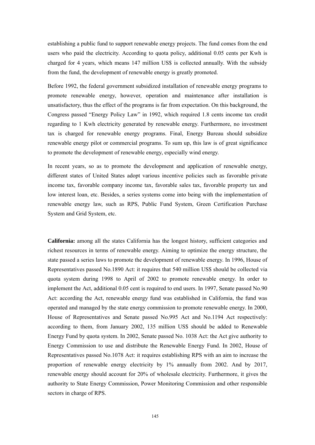establishing a public fund to support renewable energy projects. The fund comes from the end users who paid the electricity. According to quota policy, additional 0.05 cents per Kwh is charged for 4 years, which means 147 million US\$ is collected annually. With the subsidy from the fund, the development of renewable energy is greatly promoted.

Before 1992, the federal government subsidized installation of renewable energy programs to promote renewable energy, however, operation and maintenance after installation is unsatisfactory, thus the effect of the programs is far from expectation. On this background, the Congress passed "Energy Policy Law" in 1992, which required 1.8 cents income tax credit regarding to 1 Kwh electricity generated by renewable energy. Furthermore, no investment tax is charged for renewable energy programs. Final, Energy Bureau should subsidize renewable energy pilot or commercial programs. To sum up, this law is of great significance to promote the development of renewable energy, especially wind energy.

In recent years, so as to promote the development and application of renewable energy, different states of United States adopt various incentive policies such as favorable private income tax, favorable company income tax, favorable sales tax, favorable property tax and low interest loan, etc. Besides, a series systems come into being with the implementation of renewable energy law, such as RPS, Public Fund System, Green Certification Purchase System and Grid System, etc.

**California:** among all the states California has the longest history, sufficient categories and richest resources in terms of renewable energy. Aiming to optimize the energy structure, the state passed a series laws to promote the development of renewable energy. In 1996, House of Representatives passed No.1890 Act: it requires that 540 million US\$ should be collected via quota system during 1998 to April of 2002 to promote renewable energy. In order to implement the Act, additional 0.05 cent is required to end users. In 1997, Senate passed No.90 Act: according the Act, renewable energy fund was established in California, the fund was operated and managed by the state energy commission to promote renewable energy. In 2000, House of Representatives and Senate passed No.995 Act and No.1194 Act respectively: according to them, from January 2002, 135 million US\$ should be added to Renewable Energy Fund by quota system. In 2002, Senate passed No. 1038 Act: the Act give authority to Energy Commission to use and distribute the Renewable Energy Fund. In 2002, House of Representatives passed No.1078 Act: it requires establishing RPS with an aim to increase the proportion of renewable energy electricity by 1% annually from 2002. And by 2017, renewable energy should account for 20% of wholesale electricity. Furthermore, it gives the authority to State Energy Commission, Power Monitoring Commission and other responsible sectors in charge of RPS.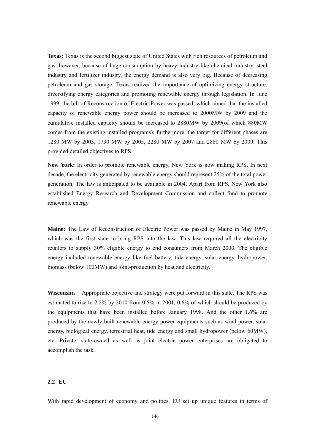**Texas:** Texas is the second biggest state of United States with rich resources of petroleum and gas, however, because of huge consumption by heavy industry like chemical industry, steel industry and fertilizer industry, the energy demand is also very big. Because of decreasing petroleum and gas storage, Texas realized the importance of optimizing energy structure, diversifying energy categories and promoting renewable energy through legislation. In June 1999, the bill of Reconstruction of Electric Power was passed, which aimed that the installed capacity of renewable energy power should be increased to 2000MW by 2009 and the cumulative installed capacity should be increased to 2880MW by 2009(of which 880MW comes from the existing installed programs): furthermore, the target for different phases are 1280 MW by 2003, 1730 MW by 2005, 2280 MW by 2007 and 2880 MW by 2009. This provided detailed objectives to RPS.

**New York:** In order to promote renewable energy, New York is now making RPS. In next decade, the electricity generated by renewable energy should represent 25% of the total power generation. The law is anticipated to be available in 2004. Apart from RPS, New York also established Energy Research and Development Commission and collect fund to promote renewable energy.

**Maine:** The Law of Reconstruction of Electric Power was passed by Maine in May 1997, which was the first state to bring RPS into the law. This law required all the electricity retailers to supply 30% eligible energy to end consumers from March 2000. The eligible energy included renewable energy like fuel battery, tide energy, solar energy, hydropower, biomass (below 100MW) and joint-production by heat and electricity.

**Wisconsin**: Appropriate objective and strategy were put forward in this state. The RPS was estimated to rise to 2.2% by 2010 from 0.5% in 2001, 0.6% of which should be produced by the equipments that have been installed before January 1998. And the other 1.6% are produced by the newly-built renewable energy power equipments such as wind power, solar energy, biological energy, terrestrial heat, tide energy and small hydropower (below 60MW), etc. Private, state-owned as well as joint electric power enterprises are obligated to accomplish the task.

#### **2.2 EU**

With rapid development of economy and politics, EU set up unique features in terms of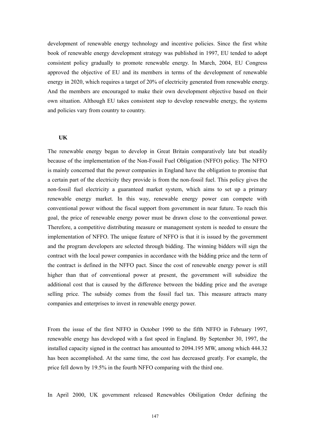development of renewable energy technology and incentive policies. Since the first white book of renewable energy development strategy was published in 1997, EU tended to adopt consistent policy gradually to promote renewable energy. In March, 2004, EU Congress approved the objective of EU and its members in terms of the development of renewable energy in 2020, which requires a target of 20% of electricity generated from renewable energy. And the members are encouraged to make their own development objective based on their own situation. Although EU takes consistent step to develop renewable energy, the systems and policies vary from country to country.

#### **UK**

The renewable energy began to develop in Great Britain comparatively late but steadily because of the implementation of the Non-Fossil Fuel Obligation (NFFO) policy. The NFFO is mainly concerned that the power companies in England have the obligation to promise that a certain part of the electricity they provide is from the non-fossil fuel. This policy gives the non-fossil fuel electricity a guaranteed market system, which aims to set up a primary renewable energy market. In this way, renewable energy power can compete with conventional power without the fiscal support from government in near future. To reach this goal, the price of renewable energy power must be drawn close to the conventional power. Therefore, a competitive distributing measure or management system is needed to ensure the implementation of NFFO. The unique feature of NFFO is that it is issued by the government and the program developers are selected through bidding. The winning bidders will sign the contract with the local power companies in accordance with the bidding price and the term of the contract is defined in the NFFO pact. Since the cost of renewable energy power is still higher than that of conventional power at present, the government will subsidize the additional cost that is caused by the difference between the bidding price and the average selling price. The subsidy comes from the fossil fuel tax. This measure attracts many companies and enterprises to invest in renewable energy power.

From the issue of the first NFFO in October 1990 to the fifth NFFO in February 1997, renewable energy has developed with a fast speed in England. By September 30, 1997, the installed capacity signed in the contract has amounted to 2094.195 MW, among which 444.32 has been accomplished. At the same time, the cost has decreased greatly. For example, the price fell down by 19.5% in the fourth NFFO comparing with the third one.

In April 2000, UK government released Renewables Obiligation Order defining the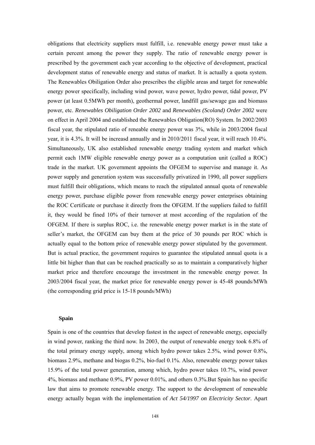obligations that electricity suppliers must fulfill, i.e. renewable energy power must take a certain percent among the power they supply. The ratio of renewable energy power is prescribed by the government each year according to the objective of development, practical development status of renewable energy and status of market. It is actually a quota system. The Renewables Obiligation Order also prescribes the eligible areas and target for renewable energy power specifically, including wind power, wave power, hydro power, tidal power, PV power (at least 0.5MWh per month), geothermal power, landfill gas/sewage gas and biomass power, etc. *Renewables Obiligation Order 2002* and *Renewables (Scoland) Order 2002* were on effect in April 2004 and established the Renewables Obligation(RO) System. In 2002/2003 fiscal year, the stipulated ratio of reneable energy power was 3%, while in 2003/2004 fiscal year, it is 4.3%. It will be increasd annually and in 2010/2011 fiscal year, it will reach 10.4%. Simultaneously, UK also established renewable energy trading system and market which permit each 1MW eligible renewable energy power as a computation unit (called a ROC) trade in the market. UK government appoints the OFGEM to supervise and manage it. As power supply and generation system was successfully privatized in 1990, all power suppliers must fulfill their obligations, which means to reach the stipulated annual quota of renewable energy power, purchase eligible power from renewable energy power enterprises obtaining the ROC Certificate or purchase it directly from the OFGEM. If the suppliers failed to fulfill it, they would be fined 10% of their turnover at most according of the regulation of the OFGEM. If there is surplus ROC, i.e. the renewable energy power market is in the state of seller's market, the OFGEM can buy them at the price of 30 pounds per ROC which is actually equal to the bottom price of renewable energy power stipulated by the government. But is actual practice, the government requires to guarantee the stipulated annual quota is a little bit higher than that can be reached practically so as to maintain a comparatively higher market price and therefore encourage the investment in the renewable energy power. In 2003/2004 fiscal year, the market price for renewable energy power is 45-48 pounds/MWh (the corresponding grid price is 15-18 pounds/MWh)

#### **Spain**

Spain is one of the countries that develop fastest in the aspect of renewable energy, especially in wind power, ranking the third now. In 2003, the output of renewable energy took 6.8% of the total primary energy supply, among which hydro power takes 2.5%, wind power 0.8%, biomass 2.9%, methane and biogas 0.2%, bio-fuel 0.1%. Also, renewable energy power takes 15.9% of the total power generation, among which, hydro power takes 10.7%, wind power 4%, biomass and methane 0.9%, PV power 0.01%, and others 0.3%.But Spain has no specific law that aims to promote renewable energy. The support to the development of renewable energy actually began with the implementation of *Act 54/1997 on Electricity Sector*. Apart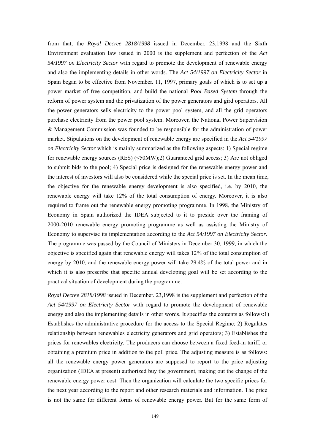from that, the *Royal Decree 2818/1998* issued in December. 23,1998 and the Sixth Environment evaluation law issued in 2000 is the supplement and perfection of the *Act 54/1997 on Electricity Sector* with regard to promote the development of renewable energy and also the implementing details in other words. The *Act 54/1997 on Electricity Sector* in Spain began to be effective from November. 11, 1997, primary goals of which is to set up a power market of free competition, and build the national *Pool Based System* through the reform of power system and the privatization of the power generators and gird operators. All the power generators sells electricity to the power pool system, and all the grid operators purchase electricity from the power pool system. Moreover, the National Power Supervision & Management Commission was founded to be responsible for the administration of power market. Stipulations on the development of renewable energy are specified in the *Act 54/1997 on Electricity Sector* which is mainly summarized as the following aspects: 1) Special regime for renewable energy sources (RES) (<50MW);2) Guaranteed grid access; 3) Are not obliged to submit bids to the pool; 4) Special price is designed for the renewable energy power and the interest of investors will also be considered while the special price is set. In the mean time, the objective for the renewable energy development is also specified, i.e. by 2010, the renewable energy will take 12% of the total consumption of energy. Moreover, it is also required to frame out the renewable energy promoting programme. In 1998, the Ministry of Economy in Spain authorized the IDEA subjected to it to preside over the framing of 2000-2010 renewable energy promoting programme as well as assisting the Ministry of Economy to supervise its implementation according to the *Act 54/1997 on Electricity Sector*. The programme was passed by the Council of Ministers in December 30, 1999, in which the objective is specified again that renewable energy will takes 12% of the total consumption of energy by 2010, and the renewable energy power will take 29.4% of the total power and in which it is also prescribe that specific annual developing goal will be set according to the practical situation of development during the programme.

*Royal Decree 2818/1998* issued in December. 23,1998 is the supplement and perfection of the *Act 54/1997 on Electricity Sector* with regard to promote the development of renewable energy and also the implementing details in other words. It specifies the contents as follows:1) Establishes the administrative procedure for the access to the Special Regime; 2) Regulates relationship between renewables electricity generators and grid operators; 3) Establishes the prices for renewables electricity. The producers can choose between a fixed feed-in tariff, or obtaining a premium price in addition to the poll price. The adjusting measure is as follows: all the renewable energy power generators are supposed to report to the price adjusting organization (IDEA at present) authorized buy the government, making out the change of the renewable energy power cost. Then the organization will calculate the two specific prices for the next year according to the report and other research materials and information. The price is not the same for different forms of renewable energy power. But for the same form of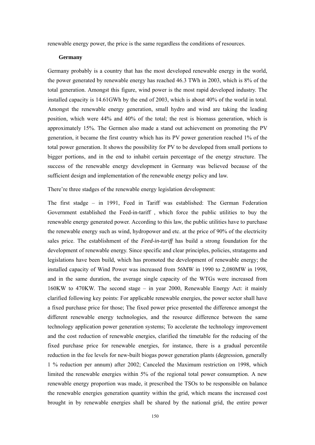renewable energy power, the price is the same regardless the conditions of resources.

#### **Germany**

Germany probably is a country that has the most developed renewable energy in the world, the power generated by renewable energy has reached 46.3 TWh in 2003, which is 8% of the total generation. Amongst this figure, wind power is the most rapid developed industry. The installed capacity is 14.61GWh by the end of 2003, which is about 40% of the world in total. Amongst the renewable energy generation, small hydro and wind are taking the leading position, which were 44% and 40% of the total; the rest is biomass generation, which is approximately 15%. The Germen also made a stand out achievement on promoting the PV generation, it became the first country which has its PV power generation reached 1% of the total power generation. It shows the possibility for PV to be developed from small portions to bigger portions, and in the end to inhabit certain percentage of the energy structure. The success of the renewable energy development in Germany was believed because of the sufficient design and implementation of the renewable energy policy and law.

There're three stadges of the renewable energy legislation development:

The first stadge – in 1991, Feed in Tariff was established: The German Federation Government established the Feed-in-tariff , which force the public utilities to buy the renewable energy generated power. According to this law, the public utilities have to purchase the renewable energy such as wind, hydropower and etc. at the price of 90% of the electricity sales price. The establishment of the *Feed-in-tariff* has build a strong foundation for the development of renewable energy. Since specific and clear principles, policies, stratagems and legislations have been build, which has promoted the development of renewable energy; the installed capacity of Wind Power was increased from 56MW in 1990 to 2,080MW in 1998, and in the same duration, the average single capacity of the WTGs were increased from 160KW to 470KW. The second stage – in year 2000, Renewable Energy Act: it mainly clarified following key points: For applicable renewable energies, the power sector shall have a fixed purchase price for those; The fixed power price presented the difference amongst the different renewable energy technologies, and the resource difference between the same technology application power generation systems; To accelerate the technology improvement and the cost reduction of renewable energies, clarified the timetable for the reducing of the fixed purchase price for renewable energies, for instance, there is a gradual percentile reduction in the fee levels for new-built biogas power generation plants (degression, generally 1 % reduction per annum) after 2002; Canceled the Maximum restriction on 1998, which limited the renewable energies within 5% of the regional total power consumption. A new renewable energy proportion was made, it prescribed the TSOs to be responsible on balance the renewable energies generation quantity within the grid, which means the increased cost brought in by renewable energies shall be shared by the national grid, the entire power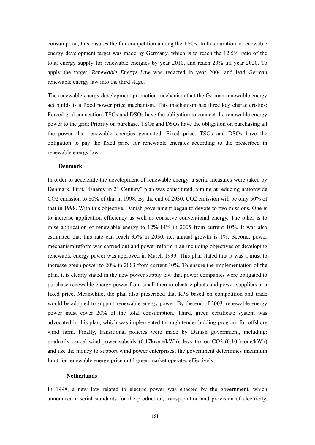consumption, this ensures the fair competition among the TSOs. In this duration, a renewable energy development target was made by Germany, which is to reach the 12.5% ratio of the total energy supply for renewable energies by year 2010, and reach 20% till year 2020. To apply the target, *Renewable Energy Law* was redacted in year 2004 and lead German renewable energy law into the third stage.

The renewable energy development promotion mechanism that the German renewable energy act builds is a fixed power price mechanism. This machanism has three key characteristics: Forced grid connection. TSOs and DSOs have the obligation to connect the renewable energy power to the grid; Priority on purchase. TSOs and DSOs have the obligation on purchasing all the power that renewable energies generated; Fixed price. TSOs and DSOs have the obligation to pay the fixed price for renewable energies according to the prescribed in renewable energy law.

#### **Denmark**

In order to accelerate the development of renewable energy, a serial measures were taken by Denmark. First, "Energy in 21 Century" plan was constituted, aiming at reducing nationwide CO2 emission to 80% of that in 1998. By the end of 2030, CO2 emission will be only 50% of that in 1998. With this objective, Danish government began to devote to two missions. One is to increase application efficiency as well as conserve conventional energy. The other is to raise application of renewable energy to 12%-14% in 2005 from current 10%. It was also estimated that this rate can reach 35% in 2030, i.e. annual growth is 1%. Second, power mechanism reform was carried out and power reform plan including objectives of developing renewable energy power was approved in March 1999. This plan stated that it was a must to increase green power to 20% in 2003 from current 10%. To ensure the implementation of the plan, it is clearly stated in the new power supply law that power companies were obligated to purchase renewable energy power from small thermo-electric plants and power suppliers at a fixed price. Meanwhile, the plan also prescribed that RPS based on competition and trade would be adopted to support renewable energy power. By the end of 2003, renewable energy power must cover 20% of the total consumption. Third, green certificate system was advocated in this plan, which was implemented through tender bidding program for offshore wind farm. Finally, transitional policies were made by Danish government, including: gradually cancel wind power subsidy (0.17krone/kWh); levy tax on CO2 (0.10 krone/kWh) and use the money to support wind power enterprises; the government determines maximum limit for renewable energy price until green market operates effectively.

#### **Netherlands**

In 1998, a new law related to electric power was enacted by the government, which announced a serial standards for the production, transportation and provision of electricity.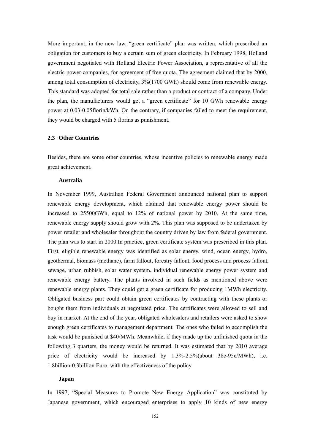More important, in the new law, "green certificate" plan was written, which prescribed an obligation for customers to buy a certain sum of green electricity. In February 1998, Holland government negotiated with Holland Electric Power Association, a representative of all the electric power companies, for agreement of free quota. The agreement claimed that by 2000, among total consumption of electricity, 3%(1700 GWh) should come from renewable energy. This standard was adopted for total sale rather than a product or contract of a company. Under the plan, the manufacturers would get a "green certificate" for 10 GWh renewable energy power at 0.03-0.05florin/kWh. On the contrary, if companies failed to meet the requirement, they would be charged with 5 florins as punishment.

#### **2.3 Other Countries**

Besides, there are some other countries, whose incentive policies to renewable energy made great achievement.

#### **Australia**

In November 1999, Australian Federal Government announced national plan to support renewable energy development, which claimed that renewable energy power should be increased to 25500GWh, equal to 12% of national power by 2010. At the same time, renewable energy supply should grow with 2%. This plan was supposed to be undertaken by power retailer and wholesaler throughout the country driven by law from federal government. The plan was to start in 2000.In practice, green certificate system was prescribed in this plan. First, eligible renewable energy was identified as solar energy, wind, ocean energy, hydro, geothermal, biomass (methane), farm fallout, forestry fallout, food process and process fallout, sewage, urban rubbish, solar water system, individual renewable energy power system and renewable energy battery. The plants involved in such fields as mentioned above were renewable energy plants. They could get a green certificate for producing 1MWh electricity. Obligated business part could obtain green certificates by contracting with these plants or bought them from individuals at negotiated price. The certificates were allowed to sell and buy in market. At the end of the year, obligated wholesalers and retailers were asked to show enough green certificates to management department. The ones who failed to accomplish the task would be punished at \$40/MWh. Meanwhile, if they made up the unfinished quota in the following 3 quarters, the money would be returned. It was estimated that by 2010 average price of electricity would be increased by 1.3%-2.5%(about 38c-95c/MWh), i.e. 1.8billion-0.3billion Euro, with the effectiveness of the policy.

#### **Japan**

In 1997, "Special Measures to Promote New Energy Application" was constituted by Japanese government, which encouraged enterprises to apply 10 kinds of new energy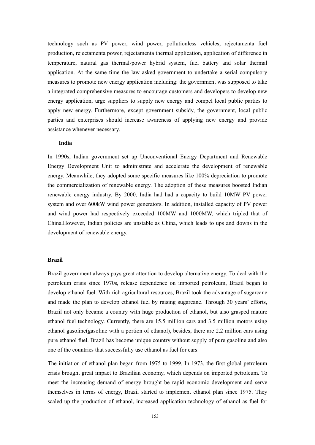technology such as PV power, wind power, pollutionless vehicles, rejectamenta fuel production, rejectamenta power, rejectamenta thermal application, application of difference in temperature, natural gas thermal-power hybrid system, fuel battery and solar thermal application. At the same time the law asked government to undertake a serial compulsory measures to promote new energy application including: the government was supposed to take a integrated comprehensive measures to encourage customers and developers to develop new energy application, urge suppliers to supply new energy and compel local public parties to apply new energy. Furthermore, except government subsidy, the government, local public parties and enterprises should increase awareness of applying new energy and provide assistance whenever necessary.

#### **India**

In 1990s, Indian government set up Unconventional Energy Department and Renewable Energy Development Unit to administrate and accelerate the development of renewable energy. Meanwhile, they adopted some specific measures like 100% depreciation to promote the commercialization of renewable energy. The adoption of these measures boosted Indian renewable energy industry. By 2000, India had had a capacity to build 10MW PV power system and over 600kW wind power generators. In addition, installed capacity of PV power and wind power had respectively exceeded 100MW and 1000MW, which tripled that of China.However, Indian policies are unstable as China, which leads to ups and downs in the development of renewable energy.

#### **Brazil**

Brazil government always pays great attention to develop alternative energy. To deal with the petroleum crisis since 1970s, release dependence on imported petroleum, Brazil began to develop ethanol fuel. With rich agricultural resources, Brazil took the advantage of sugarcane and made the plan to develop ethanol fuel by raising sugarcane. Through 30 years' efforts, Brazil not only became a country with huge production of ethanol, but also grasped mature ethanol fuel technology. Currently, there are 15.5 million cars and 3.5 million motors using ethanol gasoline(gasoline with a portion of ethanol), besides, there are 2.2 million cars using pure ethanol fuel. Brazil has become unique country without supply of pure gasoline and also one of the countries that successfully use ethanol as fuel for cars.

The initiation of ethanol plan began from 1975 to 1999. In 1973, the first global petroleum crisis brought great impact to Brazilian economy, which depends on imported petroleum. To meet the increasing demand of energy brought be rapid economic development and serve themselves in terms of energy, Brazil started to implement ethanol plan since 1975. They scaled up the production of ethanol, increased application technology of ethanol as fuel for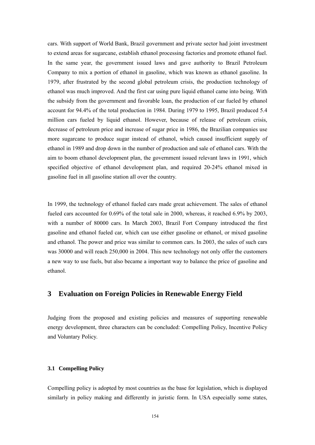cars. With support of World Bank, Brazil government and private sector had joint investment to extend areas for sugarcane, establish ethanol processing factories and promote ethanol fuel. In the same year, the government issued laws and gave authority to Brazil Petroleum Company to mix a portion of ethanol in gasoline, which was known as ethanol gasoline. In 1979, after frustrated by the second global petroleum crisis, the production technology of ethanol was much improved. And the first car using pure liquid ethanol came into being. With the subsidy from the government and favorable loan, the production of car fueled by ethanol account for 94.4% of the total production in 1984. During 1979 to 1995, Brazil produced 5.4 million cars fueled by liquid ethanol. However, because of release of petroleum crisis, decrease of petroleum price and increase of sugar price in 1986, the Brazilian companies use more sugarcane to produce sugar instead of ethanol, which caused insufficient supply of ethanol in 1989 and drop down in the number of production and sale of ethanol cars. With the aim to boom ethanol development plan, the government issued relevant laws in 1991, which specified objective of ethanol development plan, and required 20-24% ethanol mixed in gasoline fuel in all gasoline station all over the country.

In 1999, the technology of ethanol fueled cars made great achievement. The sales of ethanol fueled cars accounted for 0.69% of the total sale in 2000, whereas, it reached 6.9% by 2003, with a number of 80000 cars. In March 2003, Brazil Fort Company introduced the first gasoline and ethanol fueled car, which can use either gasoline or ethanol, or mixed gasoline and ethanol. The power and price was similar to common cars. In 2003, the sales of such cars was 30000 and will reach 250,000 in 2004. This new technology not only offer the customers a new way to use fuels, but also became a important way to balance the price of gasoline and ethanol.

## **3 Evaluation on Foreign Policies in Renewable Energy Field**

Judging from the proposed and existing policies and measures of supporting renewable energy development, three characters can be concluded: Compelling Policy, Incentive Policy and Voluntary Policy.

## **3.1 Compelling Policy**

Compelling policy is adopted by most countries as the base for legislation, which is displayed similarly in policy making and differently in juristic form. In USA especially some states,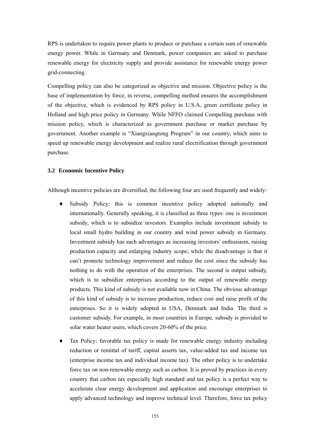RPS is undertaken to require power plants to produce or purchase a certain sum of renewable energy power. While in Germany and Denmark, power companies are asked to purchase renewable energy for electricity supply and provide assistance for renewable energy power grid-connecting.

Compelling policy can also be categorized as objective and mission. Objective policy is the base of implementation by force, in reverse, compelling method ensures the accomplishment of the objective, which is evidenced by RPS policy in U.S.A, green certificate policy in Holland and high price policy in Germany. While NFFO claimed Compelling purchase with mission policy, which is characterized as government purchase or market purchase by government. Another example is "Xiangxiangtong Program" in our country, which aims to speed up renewable energy development and realize rural electrification through government purchase.

#### **3.2 Economic Incentive Policy**

Although incentive policies are diversified, the following four are used frequently and widely:

- ♦ Subsidy Policy: this is common incentive policy adopted nationally and internationally. Generally speaking, it is classified as three types: one is investment subsidy, which is to subsidize investors. Examples include investment subsidy to local small hydro building in our country and wind power subsidy in Germany. Investment subsidy has such advantages as increasing investors' enthusiasm, raising production capacity and enlarging industry scope; while the disadvantage is that it can't promote technology improvement and reduce the cost since the subsidy has nothing to do with the operation of the enterprises. The second is output subsidy, which is to subsidize enterprises according to the output of renewable energy products. This kind of subsidy is not available now in China. The obvious advantage of this kind of subsidy is to increase production, reduce cost and raise profit of the enterprises. So it is widely adopted in USA, Denmark and India. The third is customer subsidy. For example, in most countries in Europe, subsidy is provided to solar water heater users, which covers 20-60% of the price.
- Tax Policy: favorable tax policy is made for renewable energy industry including reduction or remittal of tariff, capital asserts tax, value-added tax and income tax (enterprise income tax and individual income tax). The other policy is to undertake force tax on non-renewable energy such as carbon. It is proved by practices in every country that carbon tax especially high standard and tax policy is a perfect way to accelerate clear energy development and application and encourage enterprises to apply advanced technology and improve technical level. Therefore, force tax policy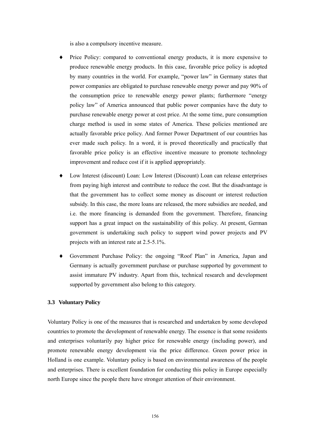is also a compulsory incentive measure.

- ♦ Price Policy: compared to conventional energy products, it is more expensive to produce renewable energy products. In this case, favorable price policy is adopted by many countries in the world. For example, "power law" in Germany states that power companies are obligated to purchase renewable energy power and pay 90% of the consumption price to renewable energy power plants; furthermore "energy policy law" of America announced that public power companies have the duty to purchase renewable energy power at cost price. At the some time, pure consumption charge method is used in some states of America. These policies mentioned are actually favorable price policy. And former Power Department of our countries has ever made such policy. In a word, it is proved theoretically and practically that favorable price policy is an effective incentive measure to promote technology improvement and reduce cost if it is applied appropriately.
- Low Interest (discount) Loan: Low Interest (Discount) Loan can release enterprises from paying high interest and contribute to reduce the cost. But the disadvantage is that the government has to collect some money as discount or interest reduction subsidy. In this case, the more loans are released, the more subsidies are needed, and i.e. the more financing is demanded from the government. Therefore, financing support has a great impact on the sustainability of this policy. At present, German government is undertaking such policy to support wind power projects and PV projects with an interest rate at 2.5-5.1%.
- Government Purchase Policy: the ongoing "Roof Plan" in America, Japan and Germany is actually government purchase or purchase supported by government to assist immature PV industry. Apart from this, technical research and development supported by government also belong to this category.

#### **3.3 Voluntary Policy**

Voluntary Policy is one of the measures that is researched and undertaken by some developed countries to promote the development of renewable energy. The essence is that some residents and enterprises voluntarily pay higher price for renewable energy (including power), and promote renewable energy development via the price difference. Green power price in Holland is one example. Voluntary policy is based on environmental awareness of the people and enterprises. There is excellent foundation for conducting this policy in Europe especially north Europe since the people there have stronger attention of their environment.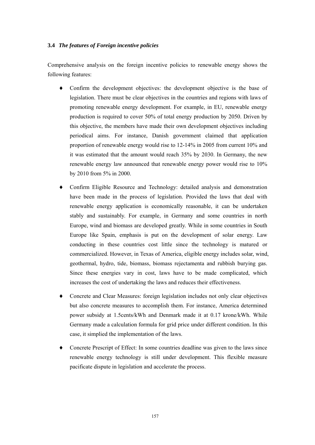#### **3.4** *The features of Foreign incentive policies*

Comprehensive analysis on the foreign incentive policies to renewable energy shows the following features:

- Confirm the development objectives: the development objective is the base of legislation. There must be clear objectives in the countries and regions with laws of promoting renewable energy development. For example, in EU, renewable energy production is required to cover 50% of total energy production by 2050. Driven by this objective, the members have made their own development objectives including periodical aims. For instance, Danish government claimed that application proportion of renewable energy would rise to 12-14% in 2005 from current 10% and it was estimated that the amount would reach 35% by 2030. In Germany, the new renewable energy law announced that renewable energy power would rise to 10% by 2010 from 5% in 2000.
- Confirm Eligible Resource and Technology: detailed analysis and demonstration have been made in the process of legislation. Provided the laws that deal with renewable energy application is economically reasonable, it can be undertaken stably and sustainably. For example, in Germany and some countries in north Europe, wind and biomass are developed greatly. While in some countries in South Europe like Spain, emphasis is put on the development of solar energy. Law conducting in these countries cost little since the technology is matured or commercialized. However, in Texas of America, eligible energy includes solar, wind, geothermal, hydro, tide, biomass, biomass rejectamenta and rubbish burying gas. Since these energies vary in cost, laws have to be made complicated, which increases the cost of undertaking the laws and reduces their effectiveness.
- Concrete and Clear Measures: foreign legislation includes not only clear objectives but also concrete measures to accomplish them. For instance, America determined power subsidy at 1.5cents/kWh and Denmark made it at 0.17 krone/kWh. While Germany made a calculation formula for grid price under different condition. In this case, it simplied the implementation of the laws.
- Concrete Prescript of Effect: In some countries deadline was given to the laws since renewable energy technology is still under development. This flexible measure pacificate dispute in legislation and accelerate the process.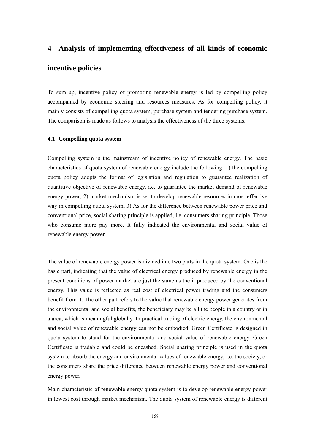## **4 Analysis of implementing effectiveness of all kinds of economic**

## **incentive policies**

To sum up, incentive policy of promoting renewable energy is led by compelling policy accompanied by economic steering and resources measures. As for compelling policy, it mainly consists of compelling quota system, purchase system and tendering purchase system. The comparison is made as follows to analysis the effectiveness of the three systems.

## **4.1 Compelling quota system**

Compelling system is the mainstream of incentive policy of renewable energy. The basic characteristics of quota system of renewable energy include the following: 1) the compelling quota policy adopts the format of legislation and regulation to guarantee realization of quantitive objective of renewable energy, i.e. to guarantee the market demand of renewable energy power; 2) market mechanism is set to develop renewable resources in most effective way in compelling quota system; 3) As for the difference between renewable power price and conventional price, social sharing principle is applied, i.e. consumers sharing principle. Those who consume more pay more. It fully indicated the environmental and social value of renewable energy power.

The value of renewable energy power is divided into two parts in the quota system: One is the basic part, indicating that the value of electrical energy produced by renewable energy in the present conditions of power market are just the same as the it produced by the conventional energy. This value is reflected as real cost of electrical power trading and the consumers benefit from it. The other part refers to the value that renewable energy power generates from the environmental and social benefits, the beneficiary may be all the people in a country or in a area, which is meaningful globally. In practical trading of electric energy, the environmental and social value of renewable energy can not be embodied. Green Certificate is designed in quota system to stand for the environmental and social value of renewable energy. Green Certificate is tradable and could be encashed. Social sharing principle is used in the quota system to absorb the energy and environmental values of renewable energy, i.e. the society, or the consumers share the price difference between renewable energy power and conventional energy power.

Main characteristic of renewable energy quota system is to develop renewable energy power in lowest cost through market mechanism. The quota system of renewable energy is different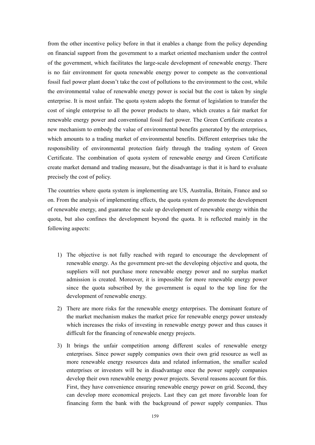from the other incentive policy before in that it enables a change from the policy depending on financial support from the government to a market oriented mechanism under the control of the government, which facilitates the large-scale development of renewable energy. There is no fair environment for quota renewable energy power to compete as the conventional fossil fuel power plant doesn't take the cost of pollutions to the environment to the cost, while the environmental value of renewable energy power is social but the cost is taken by single enterprise. It is most unfair. The quota system adopts the format of legislation to transfer the cost of single enterprise to all the power products to share, which creates a fair market for renewable energy power and conventional fossil fuel power. The Green Certificate creates a new mechanism to embody the value of environmental benefits generated by the enterprises, which amounts to a trading market of environmental benefits. Different enterprises take the responsibility of environmental protection fairly through the trading system of Green Certificate. The combination of quota system of renewable energy and Green Certificate create market demand and trading measure, but the disadvantage is that it is hard to evaluate precisely the cost of policy.

The countries where quota system is implementing are US, Australia, Britain, France and so on. From the analysis of implementing effects, the quota system do promote the development of renewable energy, and guarantee the scale up development of renewable energy within the quota, but also confines the development beyond the quota. It is reflected mainly in the following aspects:

- 1) The objective is not fully reached with regard to encourage the development of renewable energy. As the government pre-set the developing objective and quota, the suppliers will not purchase more renewable energy power and no surplus market admission is created. Moreover, it is impossible for more renewable energy power since the quota subscribed by the government is equal to the top line for the development of renewable energy.
- 2) There are more risks for the renewable energy enterprises. The dominant feature of the market mechanism makes the market price for renewable energy power unsteady which increases the risks of investing in renewable energy power and thus causes it difficult for the financing of renewable energy projects.
- 3) It brings the unfair competition among different scales of renewable energy enterprises. Since power supply companies own their own grid resource as well as more renewable energy resources data and related information, the smaller scaled enterprises or investors will be in disadvantage once the power supply companies develop their own renewable energy power projects. Several reasons account for this. First, they have convenience ensuring renewable energy power on grid. Second, they can develop more economical projects. Last they can get more favorable loan for financing form the bank with the background of power supply companies. Thus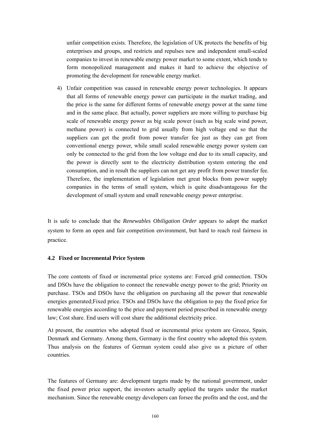unfair competition exists. Therefore, the legislation of UK protects the benefits of big enterprises and groups, and restricts and repulses new and independent small-scaled companies to invest in renewable energy power market to some extent, which tends to form monopolized management and makes it hard to achieve the objective of promoting the development for renewable energy market.

4) Unfair competition was caused in renewable energy power technologies. It appears that all forms of renewable energy power can participate in the market trading, and the price is the same for different forms of renewable energy power at the same time and in the same place. But actually, power suppliers are more willing to purchase big scale of renewable energy power as big scale power (such as big scale wind power, methane power) is connected to grid usually from high voltage end so that the suppliers can get the profit from power transfer fee just as they can get from conventional energy power, while small scaled renewable energy power system can only be connected to the grid from the low voltage end due to its small capacity, and the power is directly sent to the electricity distribution system entering the end consumption, and in result the suppliers can not get any profit from power transfer fee. Therefore, the implementation of legislation met great blocks from power supply companies in the terms of small system, which is quite disadvantageous for the development of small system and small renewable energy power enterprise.

It is safe to conclude that the *Renewables Obiligation Order* appears to adopt the market system to form an open and fair competition environment, but hard to reach real fairness in practice.

#### **4.2 Fixed or Incremental Price System**

The core contents of fixed or incremental price systems are: Forced grid connection. TSOs and DSOs have the obligation to connect the renewable energy power to the grid; Priority on purchase. TSOs and DSOs have the obligation on purchasing all the power that renewable energies generated;Fixed price. TSOs and DSOs have the obligation to pay the fixed price for renewable energies according to the price and payment period prescribed in renewable energy law; Cost share. End users will cost share the additional electricity price.

At present, the countries who adopted fixed or incremental price system are Greece, Spain, Denmark and Germany. Among them, Germany is the first country who adopted this system. Thus analysis on the features of German system could also give us a picture of other countries.

The features of Germany are: development targets made by the national government, under the fixed power price support, the investors actually applied the targets under the market mechanism. Since the renewable energy developers can forsee the profits and the cost, and the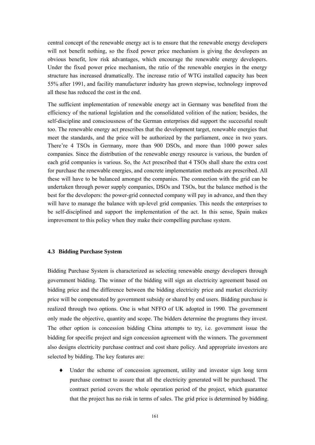central concept of the renewable energy act is to ensure that the renewable energy developers will not benefit nothing, so the fixed power price mechanism is giving the developers an obvious benefit, low risk advantages, which encourage the renewable energy developers. Under the fixed power price mechanism, the ratio of the renewable energies in the energy structure has increased dramatically. The increase ratio of WTG installed capacity has been 55% after 1991, and facility manufacturer industry has grown stepwise, technology improved all these has reduced the cost in the end.

The sufficient implementation of renewable energy act in Germany was benefited from the efficiency of the national legislation and the consolidated volition of the nation; besides, the self-discipline and consciousness of the German enterprises did support the successful result too. The renewable energy act prescribes that the development target, renewable energies that meet the standards, and the price will be authorized by the parliament, once in two years. There're 4 TSOs in Germany, more than 900 DSOs, and more than 1000 power sales companies. Since the distribution of the renewable energy resource is various, the burden of each grid companies is various. So, the Act prescribed that 4 TSOs shall share the extra cost for purchase the renewable energies, and concrete implementation methods are prescribed. All these will have to be balanced amongst the companies. The connection with the grid can be undertaken through power supply companies, DSOs and TSOs, but the balance method is the best for the developers: the power-grid connected company will pay in advance, and then they will have to manage the balance with up-level grid companies. This needs the enterprises to be self-disciplined and support the implementation of the act. In this sense, Spain makes improvement to this policy when they make their compelling purchase system.

## **4.3 Bidding Purchase System**

Bidding Purchase System is characterized as selecting renewable energy developers through government bidding. The winner of the bidding will sign an electricity agreement based on bidding price and the difference between the bidding electricity price and market electricity price will be compensated by government subsidy or shared by end users. Bidding purchase is realized through two options. One is what NFFO of UK adopted in 1990. The government only made the objective, quantity and scope. The bidders determine the programs they invest. The other option is concession bidding China attempts to try, i.e. government issue the bidding for specific project and sign concession agreement with the winners. The government also designs electricity purchase contract and cost share policy. And appropriate investors are selected by bidding. The key features are:

♦ Under the scheme of concession agreement, utility and investor sign long term purchase contract to assure that all the electricity generated will be purchased. The contract period covers the whole operation period of the project, which guarantee that the project has no risk in terms of sales. The grid price is determined by bidding.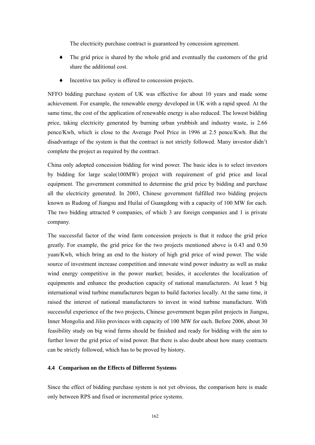The electricity purchase contract is guaranteed by concession agreement.

- ♦ The grid price is shared by the whole grid and eventually the customers of the grid share the additional cost.
- Incentive tax policy is offered to concession projects.

NFFO bidding purchase system of UK was effective for about 10 years and made some achievement. For example, the renewable energy developed in UK with a rapid speed. At the same time, the cost of the application of renewable energy is also reduced. The lowest bidding price, taking electricity generated by burning urban yrubbish and industry waste, is 2.66 pence/Kwh, which is close to the Average Pool Price in 1996 at 2.5 pence/Kwh. But the disadvantage of the system is that the contract is not strictly followed. Many investor didn't complete the project as required by the contract.

China only adopted concession bidding for wind power. The basic idea is to select investors by bidding for large scale(100MW) project with requirement of grid price and local equipment. The government committed to determine the grid price by bidding and purchase all the electricity generated. In 2003, Chinese government fulfilled two bidding projects known as Rudong of Jiangsu and Huilai of Guangdong with a capacity of 100 MW for each. The two bidding attracted 9 companies, of which 3 are foreign companies and 1 is private company.

The successful factor of the wind farm concession projects is that it reduce the grid price greatly. For example, the grid price for the two projects mentioned above is 0.43 and 0.50 yuan/Kwh, which bring an end to the history of high grid price of wind power. The wide source of investment increase competition and innovate wind power industry as well as make wind energy competitive in the power market; besides, it accelerates the localization of equipments and enhance the production capacity of national manufacturers. At least 5 big international wind turbine manufacturers began to build factories locally. At the same time, it raised the interest of national manufacturers to invest in wind turbine manufacture. With successful experience of the two projects, Chinese government began pilot projects in Jiangsu, Inner Mongolia and Jilin provinces with capacity of 100 MW for each. Before 2006, about 30 feasibility study on big wind farms should be finished and ready for bidding with the aim to further lower the grid price of wind power. But there is also doubt about how many contracts can be strictly followed, which has to be proved by history.

#### **4.4 Comparison on the Effects of Different Systems**

Since the effect of bidding purchase system is not yet obvious, the comparison here is made only between RPS and fixed or incremental price systems.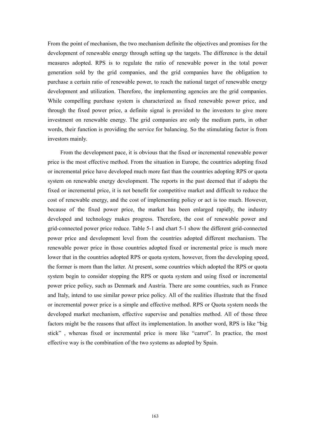From the point of mechanism, the two mechanism definite the objectives and promises for the development of renewable energy through setting up the targets. The difference is the detail measures adopted. RPS is to regulate the ratio of renewable power in the total power generation sold by the grid companies, and the grid companies have the obligation to purchase a certain ratio of renewable power, to reach the national target of renewable energy development and utilization. Therefore, the implementing agencies are the grid companies. While compelling purchase system is characterized as fixed renewable power price, and through the fixed power price, a definite signal is provided to the investors to give more investment on renewable energy. The grid companies are only the medium parts, in other words, their function is providing the service for balancing. So the stimulating factor is from investors mainly.

From the development pace, it is obvious that the fixed or incremental renewable power price is the most effective method. From the situation in Europe, the countries adopting fixed or incremental price have developed much more fast than the countries adopting RPS or quota system on renewable energy development. The reports in the past deemed that if adopts the fixed or incremental price, it is not benefit for competitive market and difficult to reduce the cost of renewable energy, and the cost of implementing policy or act is too much. However, because of the fixed power price, the market has been enlarged rapidly, the industry developed and technology makes progress. Therefore, the cost of renewable power and grid-connected power price reduce. Table 5-1 and chart 5-1 show the different grid-connected power price and development level from the countries adopted different mechanism. The renewable power price in those countries adopted fixed or incremental price is much more lower that in the countries adopted RPS or quota system, however, from the developing speed, the former is morn than the latter. At present, some countries which adopted the RPS or quota system begin to consider stopping the RPS or quota system and using fixed or incremental power price policy, such as Denmark and Austria. There are some countries, such as France and Italy, intend to use similar power price policy. All of the realities illustrate that the fixed or incremental power price is a simple and effective method. RPS or Quota system needs the developed market mechanism, effective supervise and penalties method. All of those three factors might be the reasons that affect its implementation. In another word, RPS is like "big stick" , whereas fixed or incremental price is more like "carrot". In practice, the most effective way is the combination of the two systems as adopted by Spain.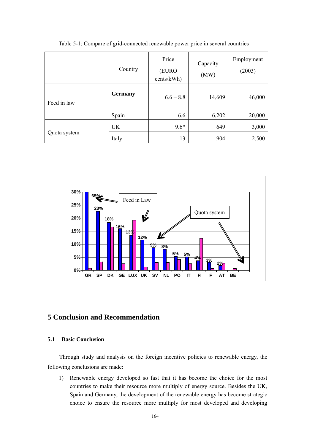|              | Country        | Price<br>(EURO<br>cents/kWh) | Capacity<br>(MW) | Employment<br>(2003) |
|--------------|----------------|------------------------------|------------------|----------------------|
| Feed in law  | <b>Germany</b> | $6.6 - 8.8$                  | 14,609           | 46,000               |
|              | Spain          | 6.6                          | 6,202            | 20,000               |
|              | <b>UK</b>      | $9.6*$                       | 649              | 3,000                |
| Quota system | Italy          | 13                           | 904              | 2,500                |

Table 5-1: Compare of grid-connected renewable power price in several countries



# **5 Conclusion and Recommendation**

## **5.1 Basic Conclusion**

Through study and analysis on the foreign incentive policies to renewable energy, the following conclusions are made:

1) Renewable energy developed so fast that it has become the choice for the most countries to make their resource more multiply of energy source. Besides the UK, Spain and Germany, the development of the renewable energy has become strategic choice to ensure the resource more multiply for most developed and developing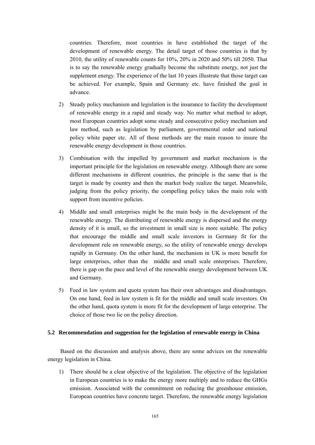countries. Therefore, most countries in have established the target of the development of renewable energy. The detail target of those countries is that by 2010, the utility of renewable counts for 10%, 20% in 2020 and 50% till 2050. That is to say the renewable energy gradually become the substitute energy, not just the supplement energy. The experience of the last 10 years illustrate that those target can be achieved. For example, Spain and Germany etc. have finished the goal in advance.

- 2) Steady policy mechanism and legislation is the insurance to facility the development of renewable energy in a rapid and steady way. No matter what method to adopt, most European countries adopt some steady and consecutive policy mechanism and law method, such as legislation by parliament, governmental order and national policy white paper etc. All of those methods are the main reason to insure the renewable energy development in those countries.
- 3) Combination with the impelled by government and market mechanism is the important principle for the legislation on renewable energy. Although there are some different mechanisms in different countries, the principle is the same that is the target is made by country and then the market body realize the target. Meanwhile, judging from the policy priority, the compelling policy takes the main role with support from incentive policies.
- 4) Middle and small enterprises might be the main body in the development of the renewable energy. The distributing of renewable energy is dispersed and the energy density of it is small, so the investment in small size is more suitable. The policy that encourage the middle and small scale investors in Germany fit for the development rule on renewable energy, so the utility of renewable energy develops rapidly in Germany. On the other hand, the mechanism in UK is more benefit for large enterprises, other than the middle and small scale enterprises. Therefore, there is gap on the pace and level of the renewable energy development between UK and Germany.
- 5) Feed in law system and quota system has their own advantages and disadvantages. On one hand, feed in law system is fit for the middle and small scale investors. On the other hand, quota system is more fit for the development of large enterprise. The choice of those two lie on the policy direction.

## **5.2 Recommendation and suggestion for the legislation of renewable energy in China**

Based on the discussion and analysis above, there are some advices on the renewable energy legislation in China.

1) There should be a clear objective of the legislation. The objective of the legislation in European countries is to make the energy more multiply and to reduce the GHGs emission. Associated with the commitment on reducing the greenhouse emission, European countries have concrete target. Therefore, the renewable energy legislation